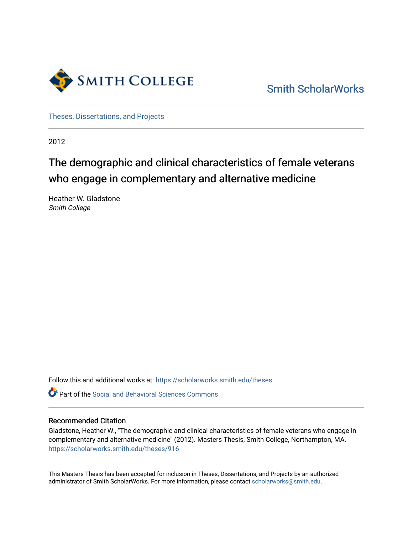

[Smith ScholarWorks](https://scholarworks.smith.edu/) 

[Theses, Dissertations, and Projects](https://scholarworks.smith.edu/theses) 

2012

# The demographic and clinical characteristics of female veterans who engage in complementary and alternative medicine

Heather W. Gladstone Smith College

Follow this and additional works at: [https://scholarworks.smith.edu/theses](https://scholarworks.smith.edu/theses?utm_source=scholarworks.smith.edu%2Ftheses%2F916&utm_medium=PDF&utm_campaign=PDFCoverPages) 

**C** Part of the Social and Behavioral Sciences Commons

# Recommended Citation

Gladstone, Heather W., "The demographic and clinical characteristics of female veterans who engage in complementary and alternative medicine" (2012). Masters Thesis, Smith College, Northampton, MA. [https://scholarworks.smith.edu/theses/916](https://scholarworks.smith.edu/theses/916?utm_source=scholarworks.smith.edu%2Ftheses%2F916&utm_medium=PDF&utm_campaign=PDFCoverPages) 

This Masters Thesis has been accepted for inclusion in Theses, Dissertations, and Projects by an authorized administrator of Smith ScholarWorks. For more information, please contact [scholarworks@smith.edu](mailto:scholarworks@smith.edu).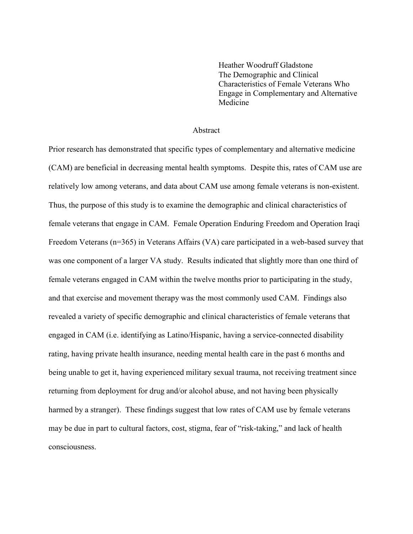Heather Woodruff Gladstone The Demographic and Clinical Characteristics of Female Veterans Who Engage in Complementary and Alternative Medicine

#### Abstract

Prior research has demonstrated that specific types of complementary and alternative medicine (CAM) are beneficial in decreasing mental health symptoms. Despite this, rates of CAM use are relatively low among veterans, and data about CAM use among female veterans is non-existent. Thus, the purpose of this study is to examine the demographic and clinical characteristics of female veterans that engage in CAM. Female Operation Enduring Freedom and Operation Iraqi Freedom Veterans (n=365) in Veterans Affairs (VA) care participated in a web-based survey that was one component of a larger VA study. Results indicated that slightly more than one third of female veterans engaged in CAM within the twelve months prior to participating in the study, and that exercise and movement therapy was the most commonly used CAM. Findings also revealed a variety of specific demographic and clinical characteristics of female veterans that engaged in CAM (i.e. identifying as Latino/Hispanic, having a service-connected disability rating, having private health insurance, needing mental health care in the past 6 months and being unable to get it, having experienced military sexual trauma, not receiving treatment since returning from deployment for drug and/or alcohol abuse, and not having been physically harmed by a stranger). These findings suggest that low rates of CAM use by female veterans may be due in part to cultural factors, cost, stigma, fear of "risk-taking," and lack of health consciousness.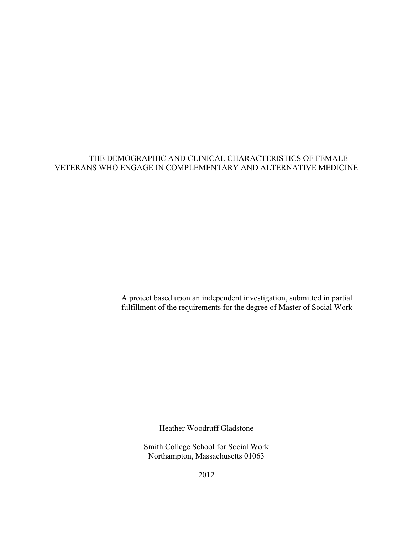# THE DEMOGRAPHIC AND CLINICAL CHARACTERISTICS OF FEMALE VETERANS WHO ENGAGE IN COMPLEMENTARY AND ALTERNATIVE MEDICINE

A project based upon an independent investigation, submitted in partial fulfillment of the requirements for the degree of Master of Social Work

Heather Woodruff Gladstone

Smith College School for Social Work Northampton, Massachusetts 01063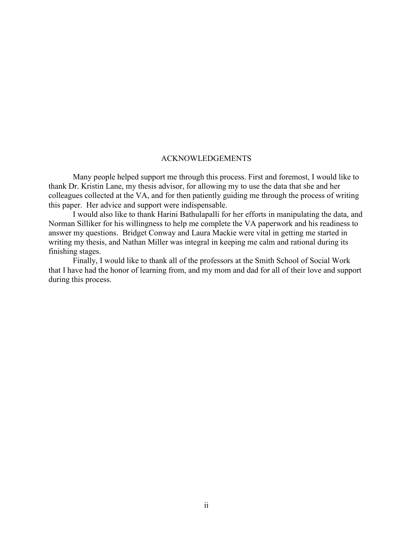### ACKNOWLEDGEMENTS

Many people helped support me through this process. First and foremost, I would like to thank Dr. Kristin Lane, my thesis advisor, for allowing my to use the data that she and her colleagues collected at the VA, and for then patiently guiding me through the process of writing this paper. Her advice and support were indispensable.

I would also like to thank Harini Bathulapalli for her efforts in manipulating the data, and Norman Silliker for his willingness to help me complete the VA paperwork and his readiness to answer my questions. Bridget Conway and Laura Mackie were vital in getting me started in writing my thesis, and Nathan Miller was integral in keeping me calm and rational during its finishing stages.

Finally, I would like to thank all of the professors at the Smith School of Social Work that I have had the honor of learning from, and my mom and dad for all of their love and support during this process.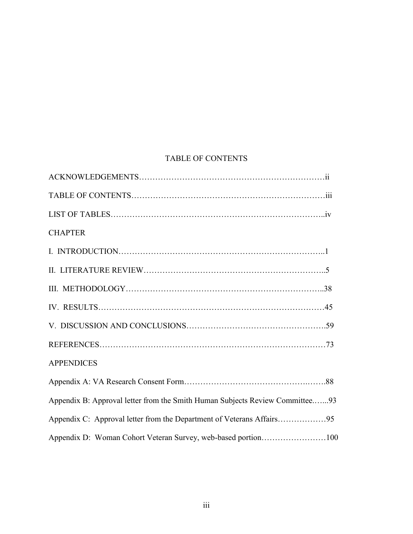# TABLE OF CONTENTS

| <b>CHAPTER</b>                                                               |
|------------------------------------------------------------------------------|
|                                                                              |
|                                                                              |
|                                                                              |
|                                                                              |
|                                                                              |
|                                                                              |
| <b>APPENDICES</b>                                                            |
|                                                                              |
| Appendix B: Approval letter from the Smith Human Subjects Review Committee93 |
|                                                                              |
| Appendix D: Woman Cohort Veteran Survey, web-based portion100                |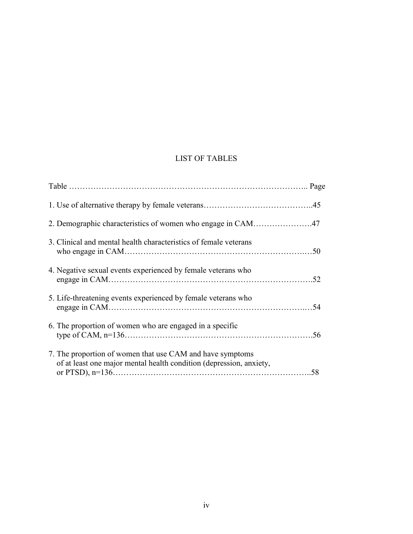# LIST OF TABLES

| 3. Clinical and mental health characteristics of female veterans                                                                 |  |
|----------------------------------------------------------------------------------------------------------------------------------|--|
| 4. Negative sexual events experienced by female veterans who                                                                     |  |
| 5. Life-threatening events experienced by female veterans who                                                                    |  |
| 6. The proportion of women who are engaged in a specific                                                                         |  |
| 7. The proportion of women that use CAM and have symptoms<br>of at least one major mental health condition (depression, anxiety, |  |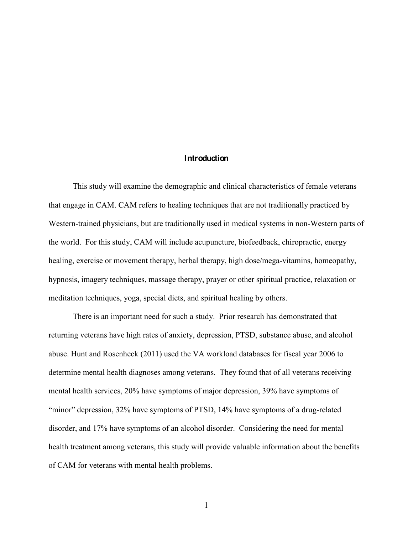# **Introduction**

This study will examine the demographic and clinical characteristics of female veterans that engage in CAM. CAM refers to healing techniques that are not traditionally practiced by Western-trained physicians, but are traditionally used in medical systems in non-Western parts of the world. For this study, CAM will include acupuncture, biofeedback, chiropractic, energy healing, exercise or movement therapy, herbal therapy, high dose/mega-vitamins, homeopathy, hypnosis, imagery techniques, massage therapy, prayer or other spiritual practice, relaxation or meditation techniques, yoga, special diets, and spiritual healing by others.

There is an important need for such a study. Prior research has demonstrated that returning veterans have high rates of anxiety, depression, PTSD, substance abuse, and alcohol abuse. Hunt and Rosenheck (2011) used the VA workload databases for fiscal year 2006 to determine mental health diagnoses among veterans. They found that of all veterans receiving mental health services, 20% have symptoms of major depression, 39% have symptoms of "minor" depression, 32% have symptoms of PTSD, 14% have symptoms of a drug-related disorder, and 17% have symptoms of an alcohol disorder. Considering the need for mental health treatment among veterans, this study will provide valuable information about the benefits of CAM for veterans with mental health problems.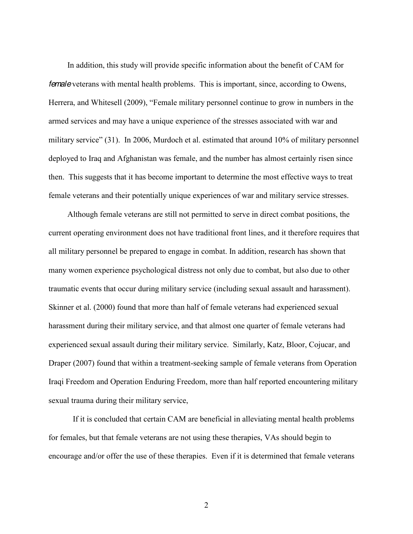In addition, this study will provide specific information about the benefit of CAM for *female* veterans with mental health problems. This is important, since, according to Owens, Herrera, and Whitesell (2009), "Female military personnel continue to grow in numbers in the armed services and may have a unique experience of the stresses associated with war and military service"  $(31)$ . In 2006, Murdoch et al. estimated that around 10% of military personnel deployed to Iraq and Afghanistan was female, and the number has almost certainly risen since then. This suggests that it has become important to determine the most effective ways to treat female veterans and their potentially unique experiences of war and military service stresses.

Although female veterans are still not permitted to serve in direct combat positions, the current operating environment does not have traditional front lines, and it therefore requires that all military personnel be prepared to engage in combat. In addition, research has shown that many women experience psychological distress not only due to combat, but also due to other traumatic events that occur during military service (including sexual assault and harassment). Skinner et al. (2000) found that more than half of female veterans had experienced sexual harassment during their military service, and that almost one quarter of female veterans had experienced sexual assault during their military service. Similarly, Katz, Bloor, Cojucar, and Draper (2007) found that within a treatment-seeking sample of female veterans from Operation Iraqi Freedom and Operation Enduring Freedom, more than half reported encountering military sexual trauma during their military service,

If it is concluded that certain CAM are beneficial in alleviating mental health problems for females, but that female veterans are not using these therapies, VAs should begin to encourage and/or offer the use of these therapies. Even if it is determined that female veterans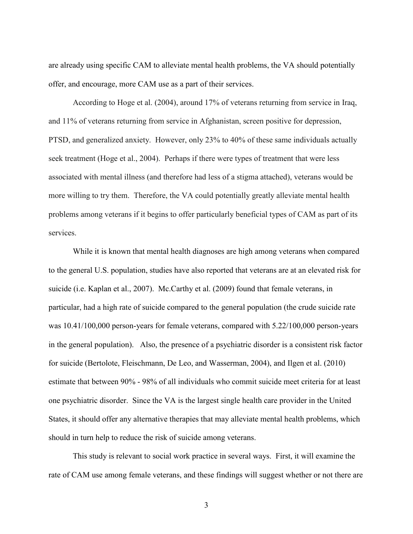are already using specific CAM to alleviate mental health problems, the VA should potentially offer, and encourage, more CAM use as a part of their services.

According to Hoge et al. (2004), around 17% of veterans returning from service in Iraq, and 11% of veterans returning from service in Afghanistan, screen positive for depression, PTSD, and generalized anxiety. However, only 23% to 40% of these same individuals actually seek treatment (Hoge et al., 2004). Perhaps if there were types of treatment that were less associated with mental illness (and therefore had less of a stigma attached), veterans would be more willing to try them. Therefore, the VA could potentially greatly alleviate mental health problems among veterans if it begins to offer particularly beneficial types of CAM as part of its services.

While it is known that mental health diagnoses are high among veterans when compared to the general U.S. population, studies have also reported that veterans are at an elevated risk for suicide (i.e. Kaplan et al., 2007). Mc.Carthy et al. (2009) found that female veterans, in particular, had a high rate of suicide compared to the general population (the crude suicide rate was 10.41/100,000 person-years for female veterans, compared with 5.22/100,000 person-years in the general population). Also, the presence of a psychiatric disorder is a consistent risk factor for suicide (Bertolote, Fleischmann, De Leo, and Wasserman, 2004), and Ilgen et al. (2010) estimate that between 90% - 98% of all individuals who commit suicide meet criteria for at least one psychiatric disorder. Since the VA is the largest single health care provider in the United States, it should offer any alternative therapies that may alleviate mental health problems, which should in turn help to reduce the risk of suicide among veterans.

This study is relevant to social work practice in several ways. First, it will examine the rate of CAM use among female veterans, and these findings will suggest whether or not there are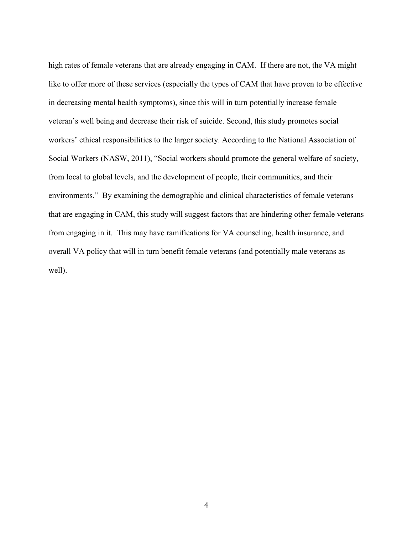high rates of female veterans that are already engaging in CAM. If there are not, the VA might like to offer more of these services (especially the types of CAM that have proven to be effective in decreasing mental health symptoms), since this will in turn potentially increase female veteran's well being and decrease their risk of suicide. Second, this study promotes social workers' ethical responsibilities to the larger society. According to the National Association of Social Workers (NASW, 2011), "Social workers should promote the general welfare of society, from local to global levels, and the development of people, their communities, and their environments." By examining the demographic and clinical characteristics of female veterans that are engaging in CAM, this study will suggest factors that are hindering other female veterans from engaging in it. This may have ramifications for VA counseling, health insurance, and overall VA policy that will in turn benefit female veterans (and potentially male veterans as well).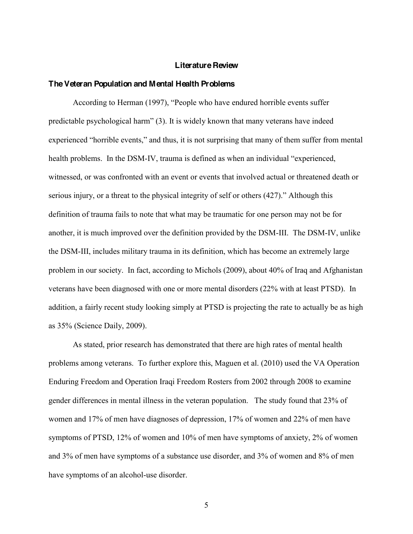#### **Literature Review**

#### **The Veteran Population and Mental Health Problems**

According to Herman (1997), "People who have endured horrible events suffer predictable psychological harm" (3). It is widely known that many veterans have indeed experienced "horrible events," and thus, it is not surprising that many of them suffer from mental health problems. In the DSM-IV, trauma is defined as when an individual "experienced, witnessed, or was confronted with an event or events that involved actual or threatened death or serious injury, or a threat to the physical integrity of self or others  $(427)$ ." Although this definition of trauma fails to note that what may be traumatic for one person may not be for another, it is much improved over the definition provided by the DSM-III. The DSM-IV, unlike the DSM-III, includes military trauma in its definition, which has become an extremely large problem in our society. In fact, according to Michols (2009), about 40% of Iraq and Afghanistan veterans have been diagnosed with one or more mental disorders (22% with at least PTSD). In addition, a fairly recent study looking simply at PTSD is projecting the rate to actually be as high as 35% (Science Daily, 2009).

As stated, prior research has demonstrated that there are high rates of mental health problems among veterans. To further explore this, Maguen et al. (2010) used the VA Operation Enduring Freedom and Operation Iraqi Freedom Rosters from 2002 through 2008 to examine gender differences in mental illness in the veteran population. The study found that 23% of women and 17% of men have diagnoses of depression, 17% of women and 22% of men have symptoms of PTSD, 12% of women and 10% of men have symptoms of anxiety, 2% of women and 3% of men have symptoms of a substance use disorder, and 3% of women and 8% of men have symptoms of an alcohol-use disorder.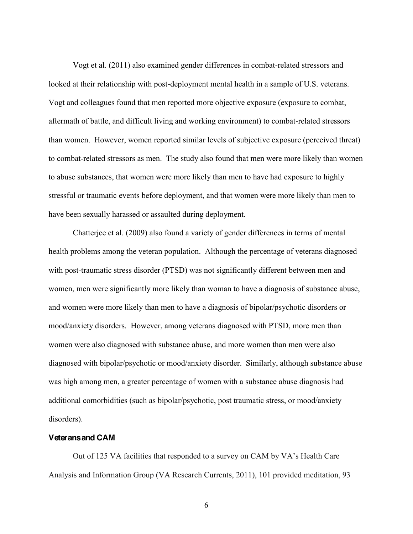Vogt et al. (2011) also examined gender differences in combat-related stressors and looked at their relationship with post-deployment mental health in a sample of U.S. veterans. Vogt and colleagues found that men reported more objective exposure (exposure to combat, aftermath of battle, and difficult living and working environment) to combat-related stressors than women. However, women reported similar levels of subjective exposure (perceived threat) to combat-related stressors as men. The study also found that men were more likely than women to abuse substances, that women were more likely than men to have had exposure to highly stressful or traumatic events before deployment, and that women were more likely than men to have been sexually harassed or assaulted during deployment.

Chatterjee et al. (2009) also found a variety of gender differences in terms of mental health problems among the veteran population. Although the percentage of veterans diagnosed with post-traumatic stress disorder (PTSD) was not significantly different between men and women, men were significantly more likely than woman to have a diagnosis of substance abuse, and women were more likely than men to have a diagnosis of bipolar/psychotic disorders or mood/anxiety disorders. However, among veterans diagnosed with PTSD, more men than women were also diagnosed with substance abuse, and more women than men were also diagnosed with bipolar/psychotic or mood/anxiety disorder. Similarly, although substance abuse was high among men, a greater percentage of women with a substance abuse diagnosis had additional comorbidities (such as bipolar/psychotic, post traumatic stress, or mood/anxiety disorders).

# **Veterans and CAM**

Out of 125 VA facilities that responded to a survey on CAM by VA's Health Care Analysis and Information Group (VA Research Currents, 2011), 101 provided meditation, 93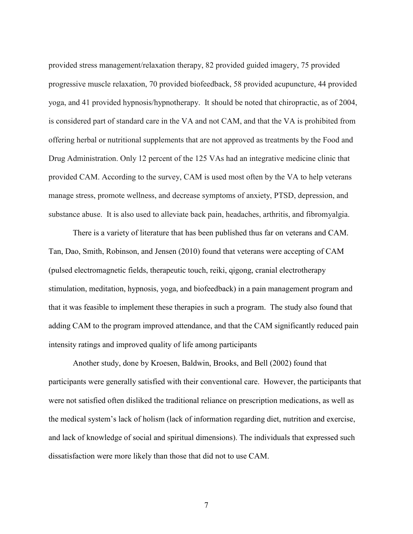provided stress management/relaxation therapy, 82 provided guided imagery, 75 provided progressive muscle relaxation, 70 provided biofeedback, 58 provided acupuncture, 44 provided yoga, and 41 provided hypnosis/hypnotherapy. It should be noted that chiropractic, as of 2004, is considered part of standard care in the VA and not CAM, and that the VA is prohibited from offering herbal or nutritional supplements that are not approved as treatments by the Food and Drug Administration. Only 12 percent of the 125 VAs had an integrative medicine clinic that provided CAM. According to the survey, CAM is used most often by the VA to help veterans manage stress, promote wellness, and decrease symptoms of anxiety, PTSD, depression, and substance abuse. It is also used to alleviate back pain, headaches, arthritis, and fibromyalgia.

There is a variety of literature that has been published thus far on veterans and CAM. Tan, Dao, Smith, Robinson, and Jensen (2010) found that veterans were accepting of CAM (pulsed electromagnetic fields, therapeutic touch, reiki, qigong, cranial electrotherapy stimulation, meditation, hypnosis, yoga, and biofeedback) in a pain management program and that it was feasible to implement these therapies in such a program. The study also found that adding CAM to the program improved attendance, and that the CAM significantly reduced pain intensity ratings and improved quality of life among participants

Another study, done by Kroesen, Baldwin, Brooks, and Bell (2002) found that participants were generally satisfied with their conventional care. However, the participants that were not satisfied often disliked the traditional reliance on prescription medications, as well as the medical system's lack of holism (lack of information regarding diet, nutrition and exercise, and lack of knowledge of social and spiritual dimensions). The individuals that expressed such dissatisfaction were more likely than those that did not to use CAM.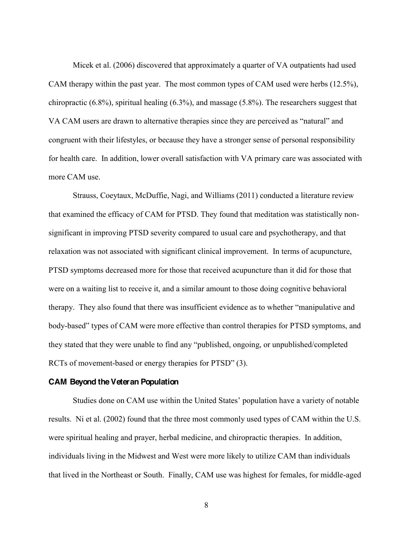Micek et al. (2006) discovered that approximately a quarter of VA outpatients had used CAM therapy within the past year. The most common types of CAM used were herbs (12.5%), chiropractic (6.8%), spiritual healing (6.3%), and massage (5.8%). The researchers suggest that VA CAM users are drawn to alternative therapies since they are perceived as "natural" and congruent with their lifestyles, or because they have a stronger sense of personal responsibility for health care. In addition, lower overall satisfaction with VA primary care was associated with more CAM use.

Strauss, Coeytaux, McDuffie, Nagi, and Williams (2011) conducted a literature review that examined the efficacy of CAM for PTSD. They found that meditation was statistically nonsignificant in improving PTSD severity compared to usual care and psychotherapy, and that relaxation was not associated with significant clinical improvement. In terms of acupuncture, PTSD symptoms decreased more for those that received acupuncture than it did for those that were on a waiting list to receive it, and a similar amount to those doing cognitive behavioral therapy. They also found that there was insufficient evidence as to whether "manipulative and body-based" types of CAM were more effective than control therapies for PTSD symptoms, and they stated that they were unable to find any "published, ongoing, or unpublished/completed RCTs of movement-based or energy therapies for  $PTSD''(3)$ .

#### **CAM Beyond the Veteran Population**

Studies done on CAM use within the United States' population have a variety of notable results. Ni et al. (2002) found that the three most commonly used types of CAM within the U.S. were spiritual healing and prayer, herbal medicine, and chiropractic therapies. In addition, individuals living in the Midwest and West were more likely to utilize CAM than individuals that lived in the Northeast or South. Finally, CAM use was highest for females, for middle-aged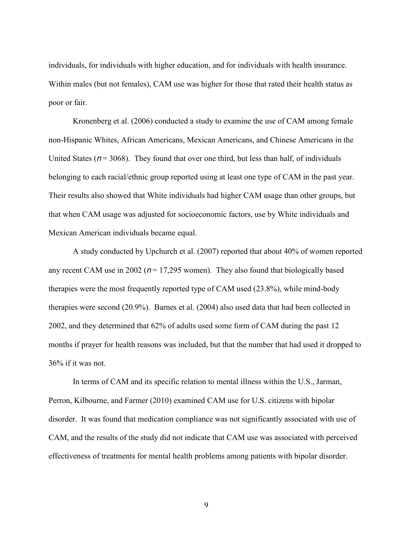individuals, for individuals with higher education, and for individuals with health insurance. Within males (but not females), CAM use was higher for those that rated their health status as poor or fair.

Kronenberg et al. (2006) conducted a study to examine the use of CAM among female non-Hispanic Whites, African Americans, Mexican Americans, and Chinese Americans in the United States ( $n = 3068$ ). They found that over one third, but less than half, of individuals belonging to each racial/ethnic group reported using at least one type of CAM in the past year. Their results also showed that White individuals had higher CAM usage than other groups, but that when CAM usage was adjusted for socioeconomic factors, use by White individuals and Mexican American individuals became equal.

A study conducted by Upchurch et al. (2007) reported that about 40% of women reported any recent CAM use in 2002 ( $n = 17,295$  women). They also found that biologically based therapies were the most frequently reported type of CAM used (23.8%), while mind-body therapies were second (20.9%). Barnes et al. (2004) also used data that had been collected in 2002, and they determined that 62% of adults used some form of CAM during the past 12 months if prayer for health reasons was included, but that the number that had used it dropped to 36% if it was not.

In terms of CAM and its specific relation to mental illness within the U.S., Jarman, Perron, Kilbourne, and Farmer (2010) examined CAM use for U.S. citizens with bipolar disorder. It was found that medication compliance was not significantly associated with use of CAM, and the results of the study did not indicate that CAM use was associated with perceived effectiveness of treatments for mental health problems among patients with bipolar disorder.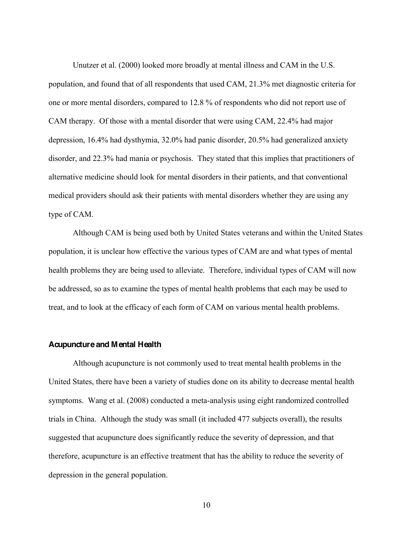Unutzer et al. (2000) looked more broadly at mental illness and CAM in the U.S. population, and found that of all respondents that used CAM, 21.3% met diagnostic criteria for one or more mental disorders, compared to 12.8 % of respondents who did not report use of CAM therapy. Of those with a mental disorder that were using CAM, 22.4% had major depression, 16.4% had dysthymia, 32.0% had panic disorder, 20.5% had generalized anxiety disorder, and 22.3% had mania or psychosis. They stated that this implies that practitioners of alternative medicine should look for mental disorders in their patients, and that conventional medical providers should ask their patients with mental disorders whether they are using any type of CAM.

Although CAM is being used both by United States veterans and within the United States population, it is unclear how effective the various types of CAM are and what types of mental health problems they are being used to alleviate. Therefore, individual types of CAM will now be addressed, so as to examine the types of mental health problems that each may be used to treat, and to look at the efficacy of each form of CAM on various mental health problems.

# **Acupuncture and Mental Health**

Although acupuncture is not commonly used to treat mental health problems in the United States, there have been a variety of studies done on its ability to decrease mental health symptoms. Wang et al. (2008) conducted a meta-analysis using eight randomized controlled trials in China. Although the study was small (it included 477 subjects overall), the results suggested that acupuncture does significantly reduce the severity of depression, and that therefore, acupuncture is an effective treatment that has the ability to reduce the severity of depression in the general population.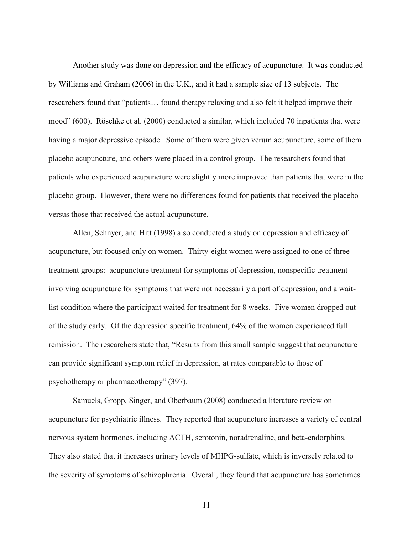Another study was done on depression and the efficacy of acupuncture. It was conducted by Williams and Graham (2006) in the U.K., and it had a sample size of 13 subjects. The researchers found that "patients... found therapy relaxing and also felt it helped improve their mood"  $(600)$ . Röschke et al.  $(2000)$  conducted a similar, which included 70 inpatients that were having a major depressive episode. Some of them were given verum acupuncture, some of them placebo acupuncture, and others were placed in a control group. The researchers found that patients who experienced acupuncture were slightly more improved than patients that were in the placebo group. However, there were no differences found for patients that received the placebo versus those that received the actual acupuncture.

Allen, Schnyer, and Hitt (1998) also conducted a study on depression and efficacy of acupuncture, but focused only on women. Thirty-eight women were assigned to one of three treatment groups: acupuncture treatment for symptoms of depression, nonspecific treatment involving acupuncture for symptoms that were not necessarily a part of depression, and a waitlist condition where the participant waited for treatment for 8 weeks. Five women dropped out of the study early. Of the depression specific treatment, 64% of the women experienced full remission. The researchers state that, "Results from this small sample suggest that acupuncture can provide significant symptom relief in depression, at rates comparable to those of psychotherapy or pharmacotherapy" (397).

Samuels, Gropp, Singer, and Oberbaum (2008) conducted a literature review on acupuncture for psychiatric illness. They reported that acupuncture increases a variety of central nervous system hormones, including ACTH, serotonin, noradrenaline, and beta-endorphins. They also stated that it increases urinary levels of MHPG-sulfate, which is inversely related to the severity of symptoms of schizophrenia. Overall, they found that acupuncture has sometimes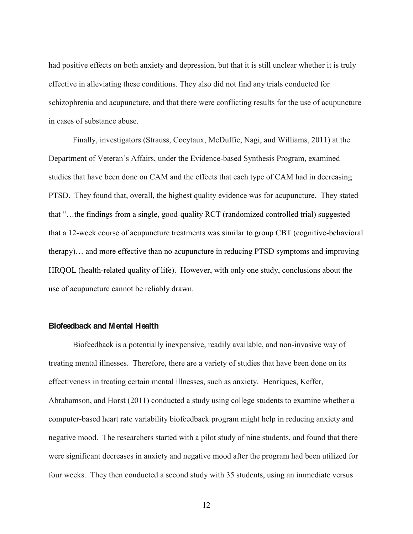had positive effects on both anxiety and depression, but that it is still unclear whether it is truly effective in alleviating these conditions. They also did not find any trials conducted for schizophrenia and acupuncture, and that there were conflicting results for the use of acupuncture in cases of substance abuse.

Finally, investigators (Strauss, Coeytaux, McDuffie, Nagi, and Williams, 2011) at the Department of Veteran's Affairs, under the Evidence-based Synthesis Program, examined studies that have been done on CAM and the effects that each type of CAM had in decreasing PTSD. They found that, overall, the highest quality evidence was for acupuncture. They stated that "...the findings from a single, good-quality RCT (randomized controlled trial) suggested that a 12-week course of acupuncture treatments was similar to group CBT (cognitive-behavioral therapy)... and more effective than no acupuncture in reducing PTSD symptoms and improving HRQOL (health-related quality of life). However, with only one study, conclusions about the use of acupuncture cannot be reliably drawn.

#### **Biofeedback and Mental Health**

Biofeedback is a potentially inexpensive, readily available, and non-invasive way of treating mental illnesses. Therefore, there are a variety of studies that have been done on its effectiveness in treating certain mental illnesses, such as anxiety. Henriques, Keffer, Abrahamson, and Horst (2011) conducted a study using college students to examine whether a computer-based heart rate variability biofeedback program might help in reducing anxiety and negative mood. The researchers started with a pilot study of nine students, and found that there were significant decreases in anxiety and negative mood after the program had been utilized for four weeks. They then conducted a second study with 35 students, using an immediate versus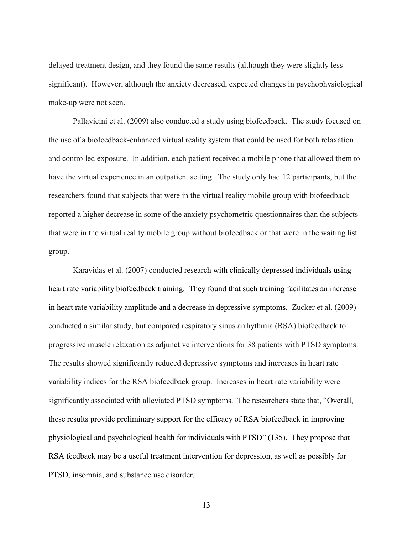delayed treatment design, and they found the same results (although they were slightly less significant). However, although the anxiety decreased, expected changes in psychophysiological make-up were not seen.

Pallavicini et al. (2009) also conducted a study using biofeedback. The study focused on the use of a biofeedback-enhanced virtual reality system that could be used for both relaxation and controlled exposure. In addition, each patient received a mobile phone that allowed them to have the virtual experience in an outpatient setting. The study only had 12 participants, but the researchers found that subjects that were in the virtual reality mobile group with biofeedback reported a higher decrease in some of the anxiety psychometric questionnaires than the subjects that were in the virtual reality mobile group without biofeedback or that were in the waiting list group.

Karavidas et al. (2007) conducted research with clinically depressed individuals using heart rate variability biofeedback training. They found that such training facilitates an increase in heart rate variability amplitude and a decrease in depressive symptoms. Zucker et al. (2009) conducted a similar study, but compared respiratory sinus arrhythmia (RSA) biofeedback to progressive muscle relaxation as adjunctive interventions for 38 patients with PTSD symptoms. The results showed significantly reduced depressive symptoms and increases in heart rate variability indices for the RSA biofeedback group. Increases in heart rate variability were significantly associated with alleviated PTSD symptoms. The researchers state that, "Overall, these results provide preliminary support for the efficacy of RSA biofeedback in improving physiological and psychological health for individuals with PTSD" (135). They propose that RSA feedback may be a useful treatment intervention for depression, as well as possibly for PTSD, insomnia, and substance use disorder.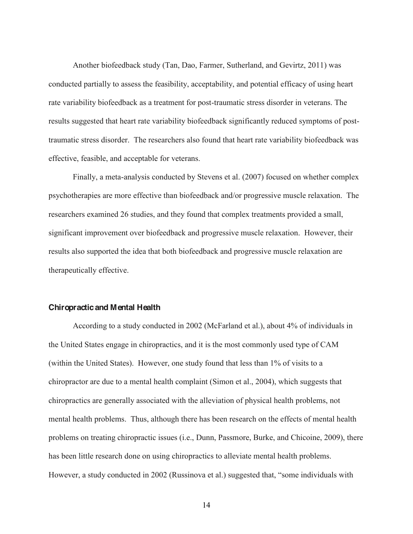Another biofeedback study (Tan, Dao, Farmer, Sutherland, and Gevirtz, 2011) was conducted partially to assess the feasibility, acceptability, and potential efficacy of using heart rate variability biofeedback as a treatment for post-traumatic stress disorder in veterans. The results suggested that heart rate variability biofeedback significantly reduced symptoms of posttraumatic stress disorder. The researchers also found that heart rate variability biofeedback was effective, feasible, and acceptable for veterans.

Finally, a meta-analysis conducted by Stevens et al. (2007) focused on whether complex psychotherapies are more effective than biofeedback and/or progressive muscle relaxation. The researchers examined 26 studies, and they found that complex treatments provided a small, significant improvement over biofeedback and progressive muscle relaxation. However, their results also supported the idea that both biofeedback and progressive muscle relaxation are therapeutically effective.

#### **Chiropractic and Mental Health**

According to a study conducted in 2002 (McFarland et al.), about 4% of individuals in the United States engage in chiropractics, and it is the most commonly used type of CAM (within the United States). However, one study found that less than 1% of visits to a chiropractor are due to a mental health complaint (Simon et al., 2004), which suggests that chiropractics are generally associated with the alleviation of physical health problems, not mental health problems. Thus, although there has been research on the effects of mental health problems on treating chiropractic issues (i.e., Dunn, Passmore, Burke, and Chicoine, 2009), there has been little research done on using chiropractics to alleviate mental health problems. However, a study conducted in 2002 (Russinova et al.) suggested that, "some individuals with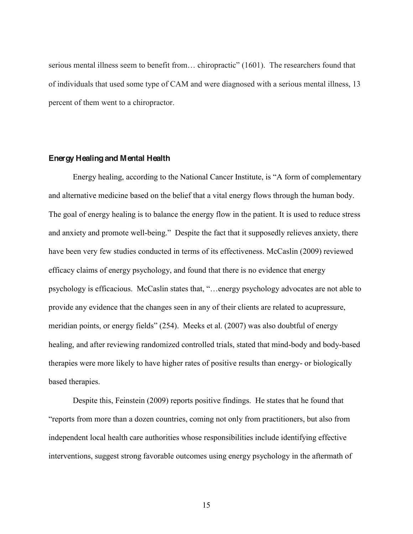serious mental illness seem to benefit from... chiropractic"  $(1601)$ . The researchers found that of individuals that used some type of CAM and were diagnosed with a serious mental illness, 13 percent of them went to a chiropractor.

#### **Energy Healing and Mental Health**

Energy healing, according to the National Cancer Institute, is "A form of complementary and alternative medicine based on the belief that a vital energy flows through the human body. The goal of energy healing is to balance the energy flow in the patient. It is used to reduce stress and anxiety and promote well-being." Despite the fact that it supposedly relieves anxiety, there have been very few studies conducted in terms of its effectiveness. McCaslin (2009) reviewed efficacy claims of energy psychology, and found that there is no evidence that energy psychology is efficacious. McCaslin states that, "...energy psychology advocates are not able to provide any evidence that the changes seen in any of their clients are related to acupressure, meridian points, or energy fields"  $(254)$ . Meeks et al.  $(2007)$  was also doubtful of energy healing, and after reviewing randomized controlled trials, stated that mind-body and body-based therapies were more likely to have higher rates of positive results than energy- or biologically based therapies.

Despite this, Feinstein (2009) reports positive findings. He states that he found that "reports from more than a dozen countries, coming not only from practitioners, but also from independent local health care authorities whose responsibilities include identifying effective interventions, suggest strong favorable outcomes using energy psychology in the aftermath of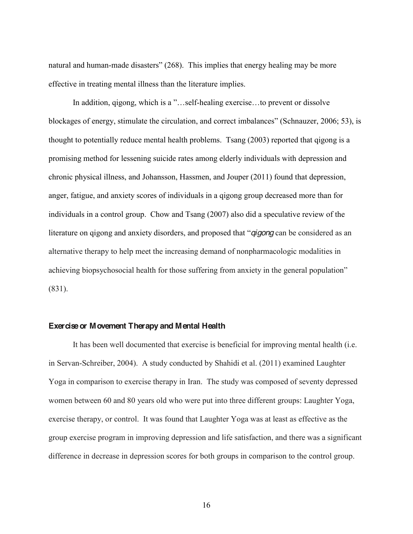natural and human-made disasters" (268). This implies that energy healing may be more effective in treating mental illness than the literature implies.

In addition, qigong, which is a "...self-healing exercise...to prevent or dissolve blockages of energy, stimulate the circulation, and correct imbalances" (Schnauzer, 2006; 53), is thought to potentially reduce mental health problems. Tsang (2003) reported that qigong is a promising method for lessening suicide rates among elderly individuals with depression and chronic physical illness, and Johansson, Hassmen, and Jouper (2011) found that depression, anger, fatigue, and anxiety scores of individuals in a qigong group decreased more than for individuals in a control group. Chow and Tsang (2007) also did a speculative review of the literature on qigong and anxiety disorders, and proposed that *<sup><i>q*</sup>igong can be considered as an alternative therapy to help meet the increasing demand of nonpharmacologic modalities in achieving biopsychosocial health for those suffering from anxiety in the general population" (831).

## **Exercise or Movement Therapy and Mental Health**

It has been well documented that exercise is beneficial for improving mental health (i.e. in Servan-Schreiber, 2004). A study conducted by Shahidi et al. (2011) examined Laughter Yoga in comparison to exercise therapy in Iran. The study was composed of seventy depressed women between 60 and 80 years old who were put into three different groups: Laughter Yoga, exercise therapy, or control. It was found that Laughter Yoga was at least as effective as the group exercise program in improving depression and life satisfaction, and there was a significant difference in decrease in depression scores for both groups in comparison to the control group.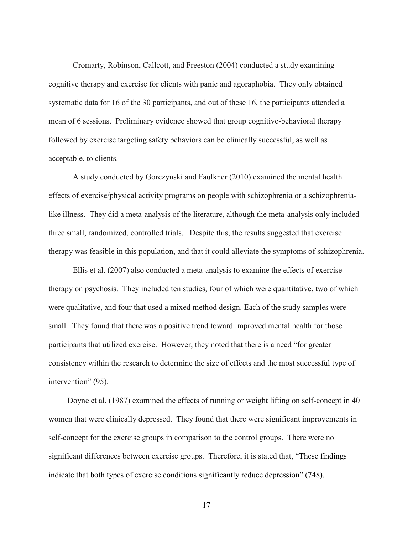Cromarty, Robinson, Callcott, and Freeston (2004) conducted a study examining cognitive therapy and exercise for clients with panic and agoraphobia. They only obtained systematic data for 16 of the 30 participants, and out of these 16, the participants attended a mean of 6 sessions. Preliminary evidence showed that group cognitive-behavioral therapy followed by exercise targeting safety behaviors can be clinically successful, as well as acceptable, to clients.

A study conducted by Gorczynski and Faulkner (2010) examined the mental health effects of exercise/physical activity programs on people with schizophrenia or a schizophrenialike illness. They did a meta-analysis of the literature, although the meta-analysis only included three small, randomized, controlled trials. Despite this, the results suggested that exercise therapy was feasible in this population, and that it could alleviate the symptoms of schizophrenia.

Ellis et al. (2007) also conducted a meta-analysis to examine the effects of exercise therapy on psychosis. They included ten studies, four of which were quantitative, two of which were qualitative, and four that used a mixed method design. Each of the study samples were small. They found that there was a positive trend toward improved mental health for those participants that utilized exercise. However, they noted that there is a need "for greater consistency within the research to determine the size of effects and the most successful type of intervention"  $(95)$ .

Doyne et al. (1987) examined the effects of running or weight lifting on self-concept in 40 women that were clinically depressed. They found that there were significant improvements in self-concept for the exercise groups in comparison to the control groups. There were no significant differences between exercise groups. Therefore, it is stated that, "These findings indicate that both types of exercise conditions significantly reduce depression" (748).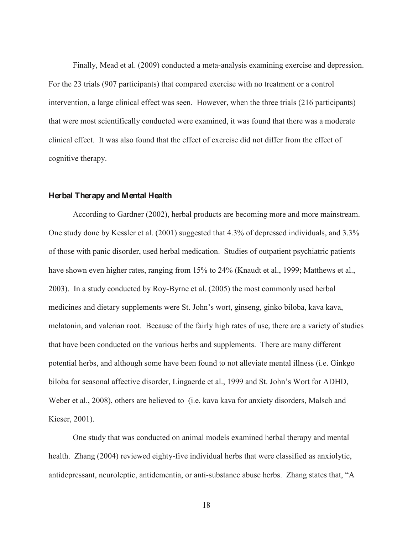Finally, Mead et al. (2009) conducted a meta-analysis examining exercise and depression. For the 23 trials (907 participants) that compared exercise with no treatment or a control intervention, a large clinical effect was seen. However, when the three trials (216 participants) that were most scientifically conducted were examined, it was found that there was a moderate clinical effect. It was also found that the effect of exercise did not differ from the effect of cognitive therapy.

#### **Herbal Therapy and Mental Health**

According to Gardner (2002), herbal products are becoming more and more mainstream. One study done by Kessler et al. (2001) suggested that 4.3% of depressed individuals, and 3.3% of those with panic disorder, used herbal medication. Studies of outpatient psychiatric patients have shown even higher rates, ranging from 15% to 24% (Knaudt et al., 1999; Matthews et al., 2003). In a study conducted by Roy-Byrne et al. (2005) the most commonly used herbal medicines and dietary supplements were St. John's wort, ginseng, ginko biloba, kava kava, melatonin, and valerian root. Because of the fairly high rates of use, there are a variety of studies that have been conducted on the various herbs and supplements. There are many different potential herbs, and although some have been found to not alleviate mental illness (i.e. Ginkgo biloba for seasonal affective disorder, Lingaerde et al., 1999 and St. John's Wort for ADHD, Weber et al., 2008), others are believed to (i.e. kava kava for anxiety disorders, Malsch and Kieser, 2001).

One study that was conducted on animal models examined herbal therapy and mental health. Zhang (2004) reviewed eighty-five individual herbs that were classified as anxiolytic, antidepressant, neuroleptic, antidementia, or anti-substance abuse herbs. Zhang states that, "A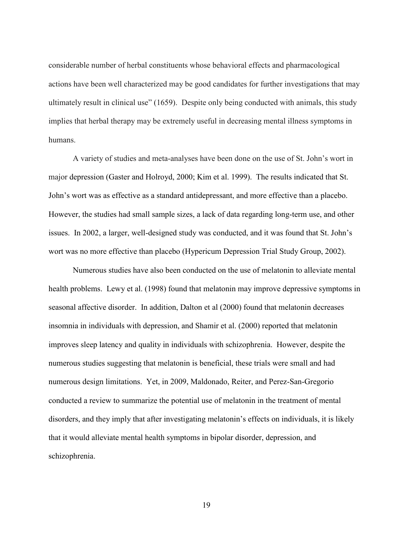considerable number of herbal constituents whose behavioral effects and pharmacological actions have been well characterized may be good candidates for further investigations that may ultimately result in clinical use" (1659). Despite only being conducted with animals, this study implies that herbal therapy may be extremely useful in decreasing mental illness symptoms in humans.

A variety of studies and meta-analyses have been done on the use of St. John's wort in major depression (Gaster and Holroyd, 2000; Kim et al. 1999). The results indicated that St. John's wort was as effective as a standard antidepressant, and more effective than a placebo. However, the studies had small sample sizes, a lack of data regarding long-term use, and other issues. In 2002, a larger, well-designed study was conducted, and it was found that St. John's wort was no more effective than placebo (Hypericum Depression Trial Study Group, 2002).

Numerous studies have also been conducted on the use of melatonin to alleviate mental health problems. Lewy et al. (1998) found that melatonin may improve depressive symptoms in seasonal affective disorder. In addition, Dalton et al (2000) found that melatonin decreases insomnia in individuals with depression, and Shamir et al. (2000) reported that melatonin improves sleep latency and quality in individuals with schizophrenia. However, despite the numerous studies suggesting that melatonin is beneficial, these trials were small and had numerous design limitations. Yet, in 2009, Maldonado, Reiter, and Perez-San-Gregorio conducted a review to summarize the potential use of melatonin in the treatment of mental disorders, and they imply that after investigating melatonin's effects on individuals, it is likely that it would alleviate mental health symptoms in bipolar disorder, depression, and schizophrenia.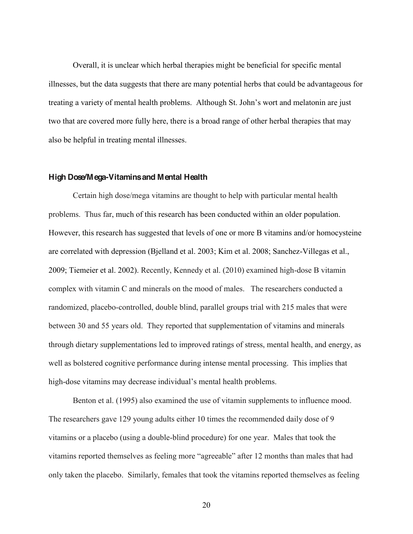Overall, it is unclear which herbal therapies might be beneficial for specific mental illnesses, but the data suggests that there are many potential herbs that could be advantageous for treating a variety of mental health problems. Although St. John's wort and melatonin are just two that are covered more fully here, there is a broad range of other herbal therapies that may also be helpful in treating mental illnesses.

#### **High Dose/Mega-Vitamins and Mental Health**

Certain high dose/mega vitamins are thought to help with particular mental health problems. Thus far, much of this research has been conducted within an older population. However, this research has suggested that levels of one or more B vitamins and/or homocysteine are correlated with depression (Bjelland et al. 2003; Kim et al. 2008; Sanchez-Villegas et al., 2009; Tiemeier et al. 2002). Recently, Kennedy et al. (2010) examined high-dose B vitamin complex with vitamin C and minerals on the mood of males. The researchers conducted a randomized, placebo-controlled, double blind, parallel groups trial with 215 males that were between 30 and 55 years old. They reported that supplementation of vitamins and minerals through dietary supplementations led to improved ratings of stress, mental health, and energy, as well as bolstered cognitive performance during intense mental processing. This implies that high-dose vitamins may decrease individual's mental health problems.

Benton et al. (1995) also examined the use of vitamin supplements to influence mood. The researchers gave 129 young adults either 10 times the recommended daily dose of 9 vitamins or a placebo (using a double-blind procedure) for one year. Males that took the vitamins reported themselves as feeling more "agreeable" after 12 months than males that had only taken the placebo. Similarly, females that took the vitamins reported themselves as feeling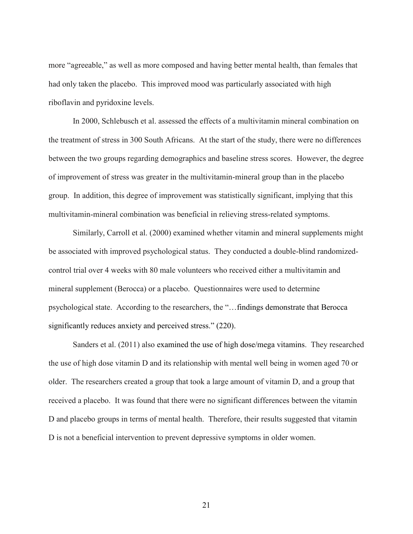more "agreeable," as well as more composed and having better mental health, than females that had only taken the placebo. This improved mood was particularly associated with high riboflavin and pyridoxine levels.

In 2000, Schlebusch et al. assessed the effects of a multivitamin mineral combination on the treatment of stress in 300 South Africans. At the start of the study, there were no differences between the two groups regarding demographics and baseline stress scores. However, the degree of improvement of stress was greater in the multivitamin-mineral group than in the placebo group. In addition, this degree of improvement was statistically significant, implying that this multivitamin-mineral combination was beneficial in relieving stress-related symptoms.

Similarly, Carroll et al. (2000) examined whether vitamin and mineral supplements might be associated with improved psychological status. They conducted a double-blind randomizedcontrol trial over 4 weeks with 80 male volunteers who received either a multivitamin and mineral supplement (Berocca) or a placebo. Questionnaires were used to determine psychological state. According to the researchers, the "... findings demonstrate that Berocca significantly reduces anxiety and perceived stress."  $(220)$ .

Sanders et al. (2011) also examined the use of high dose/mega vitamins. They researched the use of high dose vitamin D and its relationship with mental well being in women aged 70 or older. The researchers created a group that took a large amount of vitamin D, and a group that received a placebo. It was found that there were no significant differences between the vitamin D and placebo groups in terms of mental health. Therefore, their results suggested that vitamin D is not a beneficial intervention to prevent depressive symptoms in older women.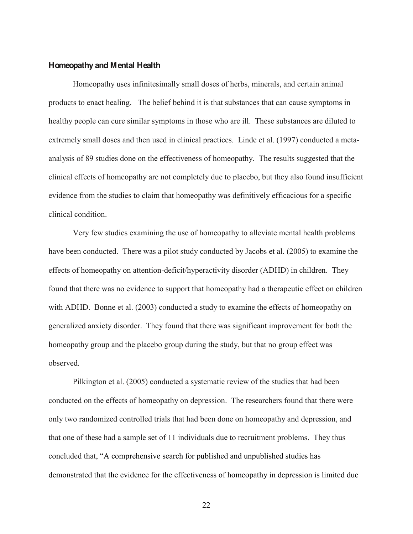#### **Homeopathy and Mental Health**

Homeopathy uses infinitesimally small doses of herbs, minerals, and certain animal products to enact healing. The belief behind it is that substances that can cause symptoms in healthy people can cure similar symptoms in those who are ill. These substances are diluted to extremely small doses and then used in clinical practices. Linde et al. (1997) conducted a metaanalysis of 89 studies done on the effectiveness of homeopathy. The results suggested that the clinical effects of homeopathy are not completely due to placebo, but they also found insufficient evidence from the studies to claim that homeopathy was definitively efficacious for a specific clinical condition.

Very few studies examining the use of homeopathy to alleviate mental health problems have been conducted. There was a pilot study conducted by Jacobs et al. (2005) to examine the effects of homeopathy on attention-deficit/hyperactivity disorder (ADHD) in children. They found that there was no evidence to support that homeopathy had a therapeutic effect on children with ADHD. Bonne et al. (2003) conducted a study to examine the effects of homeopathy on generalized anxiety disorder. They found that there was significant improvement for both the homeopathy group and the placebo group during the study, but that no group effect was observed.

Pilkington et al. (2005) conducted a systematic review of the studies that had been conducted on the effects of homeopathy on depression. The researchers found that there were only two randomized controlled trials that had been done on homeopathy and depression, and that one of these had a sample set of 11 individuals due to recruitment problems. They thus concluded that, "A comprehensive search for published and unpublished studies has demonstrated that the evidence for the effectiveness of homeopathy in depression is limited due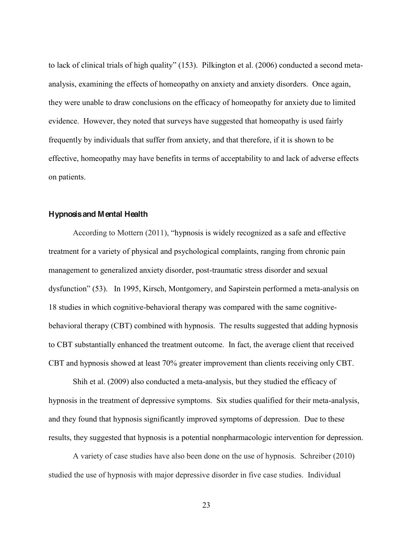to lack of clinical trials of high quality"  $(153)$ . Pilkington et al.  $(2006)$  conducted a second metaanalysis, examining the effects of homeopathy on anxiety and anxiety disorders. Once again, they were unable to draw conclusions on the efficacy of homeopathy for anxiety due to limited evidence. However, they noted that surveys have suggested that homeopathy is used fairly frequently by individuals that suffer from anxiety, and that therefore, if it is shown to be effective, homeopathy may have benefits in terms of acceptability to and lack of adverse effects on patients.

### **Hypnosis and Mental Health**

According to Mottern  $(2011)$ , "hypnosis is widely recognized as a safe and effective treatment for a variety of physical and psychological complaints, ranging from chronic pain management to generalized anxiety disorder, post-traumatic stress disorder and sexual dysfunction" (53). In 1995, Kirsch, Montgomery, and Sapirstein performed a meta-analysis on 18 studies in which cognitive-behavioral therapy was compared with the same cognitivebehavioral therapy (CBT) combined with hypnosis. The results suggested that adding hypnosis to CBT substantially enhanced the treatment outcome. In fact, the average client that received CBT and hypnosis showed at least 70% greater improvement than clients receiving only CBT.

Shih et al. (2009) also conducted a meta-analysis, but they studied the efficacy of hypnosis in the treatment of depressive symptoms. Six studies qualified for their meta-analysis, and they found that hypnosis significantly improved symptoms of depression. Due to these results, they suggested that hypnosis is a potential nonpharmacologic intervention for depression.

A variety of case studies have also been done on the use of hypnosis. Schreiber (2010) studied the use of hypnosis with major depressive disorder in five case studies. Individual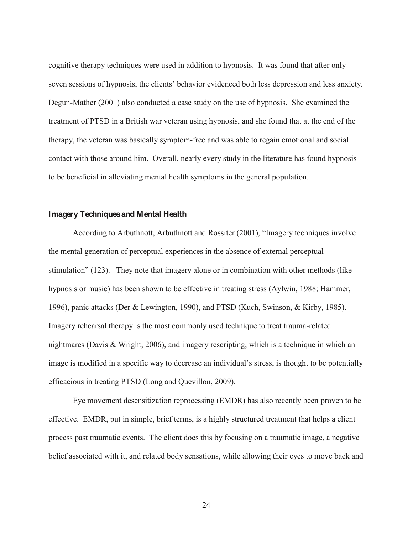cognitive therapy techniques were used in addition to hypnosis. It was found that after only seven sessions of hypnosis, the clients' behavior evidenced both less depression and less anxiety. Degun-Mather (2001) also conducted a case study on the use of hypnosis. She examined the treatment of PTSD in a British war veteran using hypnosis, and she found that at the end of the therapy, the veteran was basically symptom-free and was able to regain emotional and social contact with those around him. Overall, nearly every study in the literature has found hypnosis to be beneficial in alleviating mental health symptoms in the general population.

#### **Imagery Techniques and Mental Health**

According to Arbuthnott, Arbuthnott and Rossiter (2001), "Imagery techniques involve the mental generation of perceptual experiences in the absence of external perceptual stimulation" (123). They note that imagery alone or in combination with other methods (like hypnosis or music) has been shown to be effective in treating stress (Aylwin, 1988; Hammer, 1996), panic attacks (Der & Lewington, 1990), and PTSD (Kuch, Swinson, & Kirby, 1985). Imagery rehearsal therapy is the most commonly used technique to treat trauma-related nightmares (Davis & Wright, 2006), and imagery rescripting, which is a technique in which an image is modified in a specific way to decrease an individual's stress, is thought to be potentially efficacious in treating PTSD (Long and Quevillon, 2009).

Eye movement desensitization reprocessing (EMDR) has also recently been proven to be effective. EMDR, put in simple, brief terms, is a highly structured treatment that helps a client process past traumatic events. The client does this by focusing on a traumatic image, a negative belief associated with it, and related body sensations, while allowing their eyes to move back and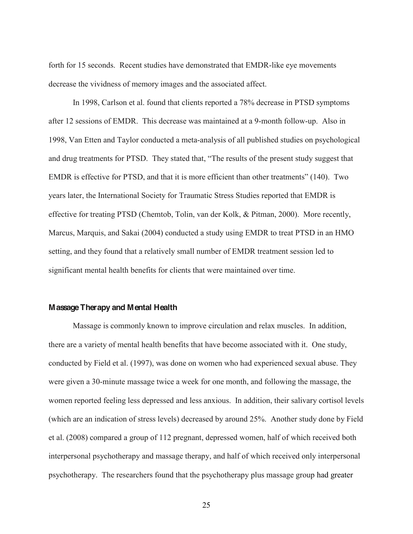forth for 15 seconds. Recent studies have demonstrated that EMDR-like eye movements decrease the vividness of memory images and the associated affect.

In 1998, Carlson et al. found that clients reported a 78% decrease in PTSD symptoms after 12 sessions of EMDR. This decrease was maintained at a 9-month follow-up. Also in 1998, Van Etten and Taylor conducted a meta-analysis of all published studies on psychological and drug treatments for PTSD. They stated that, "The results of the present study suggest that EMDR is effective for PTSD, and that it is more efficient than other treatments" (140). Two years later, the International Society for Traumatic Stress Studies reported that EMDR is effective for treating PTSD (Chemtob, Tolin, van der Kolk, & Pitman, 2000). More recently, Marcus, Marquis, and Sakai (2004) conducted a study using EMDR to treat PTSD in an HMO setting, and they found that a relatively small number of EMDR treatment session led to significant mental health benefits for clients that were maintained over time.

#### **Massage Therapy and Mental Health**

Massage is commonly known to improve circulation and relax muscles. In addition, there are a variety of mental health benefits that have become associated with it. One study, conducted by Field et al. (1997), was done on women who had experienced sexual abuse. They were given a 30-minute massage twice a week for one month, and following the massage, the women reported feeling less depressed and less anxious. In addition, their salivary cortisol levels (which are an indication of stress levels) decreased by around 25%. Another study done by Field et al. (2008) compared a group of 112 pregnant, depressed women, half of which received both interpersonal psychotherapy and massage therapy, and half of which received only interpersonal psychotherapy. The researchers found that the psychotherapy plus massage group had greater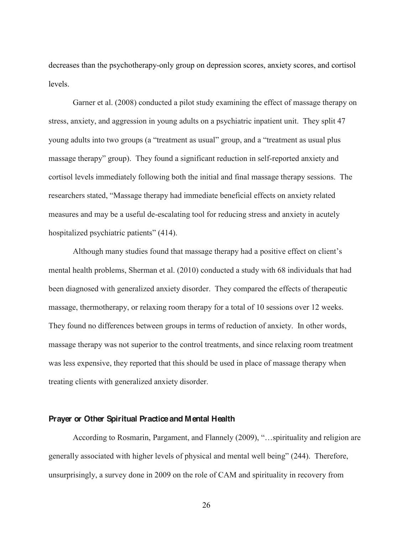decreases than the psychotherapy-only group on depression scores, anxiety scores, and cortisol levels.

Garner et al. (2008) conducted a pilot study examining the effect of massage therapy on stress, anxiety, and aggression in young adults on a psychiatric inpatient unit. They split 47 young adults into two groups (a "treatment as usual" group, and a "treatment as usual plus massage therapy" group). They found a significant reduction in self-reported anxiety and cortisol levels immediately following both the initial and final massage therapy sessions. The researchers stated, "Massage therapy had immediate beneficial effects on anxiety related measures and may be a useful de-escalating tool for reducing stress and anxiety in acutely hospitalized psychiatric patients" (414).

Although many studies found that massage therapy had a positive effect on client's mental health problems, Sherman et al. (2010) conducted a study with 68 individuals that had been diagnosed with generalized anxiety disorder. They compared the effects of therapeutic massage, thermotherapy, or relaxing room therapy for a total of 10 sessions over 12 weeks. They found no differences between groups in terms of reduction of anxiety. In other words, massage therapy was not superior to the control treatments, and since relaxing room treatment was less expensive, they reported that this should be used in place of massage therapy when treating clients with generalized anxiety disorder.

# **Prayer or Other Spiritual Practice and Mental Health**

According to Rosmarin, Pargament, and Flannely (2009), "...spirituality and religion are generally associated with higher levels of physical and mental well being" (244). Therefore, unsurprisingly, a survey done in 2009 on the role of CAM and spirituality in recovery from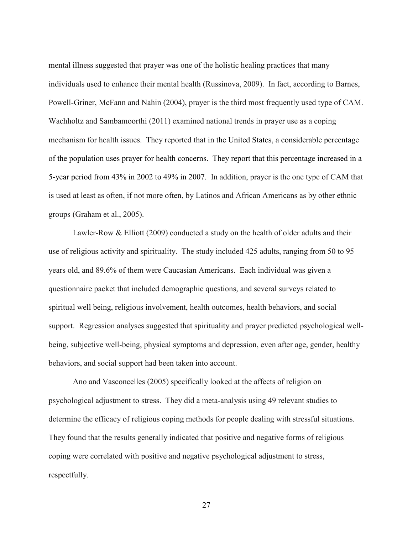mental illness suggested that prayer was one of the holistic healing practices that many individuals used to enhance their mental health (Russinova, 2009). In fact, according to Barnes, Powell-Griner, McFann and Nahin (2004), prayer is the third most frequently used type of CAM. Wachholtz and Sambamoorthi (2011) examined national trends in prayer use as a coping mechanism for health issues. They reported that in the United States, a considerable percentage of the population uses prayer for health concerns. They report that this percentage increased in a 5-year period from 43% in 2002 to 49% in 2007. In addition, prayer is the one type of CAM that is used at least as often, if not more often, by Latinos and African Americans as by other ethnic groups (Graham et al., 2005).

Lawler-Row & Elliott (2009) conducted a study on the health of older adults and their use of religious activity and spirituality. The study included 425 adults, ranging from 50 to 95 years old, and 89.6% of them were Caucasian Americans. Each individual was given a questionnaire packet that included demographic questions, and several surveys related to spiritual well being, religious involvement, health outcomes, health behaviors, and social support. Regression analyses suggested that spirituality and prayer predicted psychological wellbeing, subjective well-being, physical symptoms and depression, even after age, gender, healthy behaviors, and social support had been taken into account.

Ano and Vasconcelles (2005) specifically looked at the affects of religion on psychological adjustment to stress. They did a meta-analysis using 49 relevant studies to determine the efficacy of religious coping methods for people dealing with stressful situations. They found that the results generally indicated that positive and negative forms of religious coping were correlated with positive and negative psychological adjustment to stress, respectfully.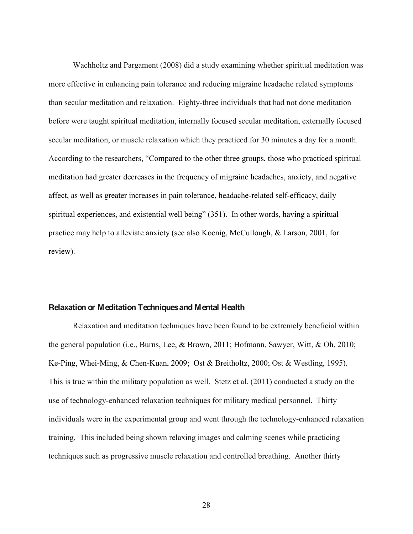Wachholtz and Pargament (2008) did a study examining whether spiritual meditation was more effective in enhancing pain tolerance and reducing migraine headache related symptoms than secular meditation and relaxation. Eighty-three individuals that had not done meditation before were taught spiritual meditation, internally focused secular meditation, externally focused secular meditation, or muscle relaxation which they practiced for 30 minutes a day for a month. According to the researchers, "Compared to the other three groups, those who practiced spiritual meditation had greater decreases in the frequency of migraine headaches, anxiety, and negative affect, as well as greater increases in pain tolerance, headache-related self-efficacy, daily spiritual experiences, and existential well being" (351). In other words, having a spiritual practice may help to alleviate anxiety (see also Koenig, McCullough, & Larson, 2001, for review).

#### **Relaxation or Meditation Techniques and Mental Health**

Relaxation and meditation techniques have been found to be extremely beneficial within the general population (i.e., Burns, Lee, & Brown, 2011; Hofmann, Sawyer, Witt, & Oh, 2010; Ke-Ping, Whei-Ming, & Chen-Kuan, 2009; Ost & Breitholtz, 2000; Ost & Westling, 1995). This is true within the military population as well. Stetz et al. (2011) conducted a study on the use of technology-enhanced relaxation techniques for military medical personnel. Thirty individuals were in the experimental group and went through the technology-enhanced relaxation training. This included being shown relaxing images and calming scenes while practicing techniques such as progressive muscle relaxation and controlled breathing. Another thirty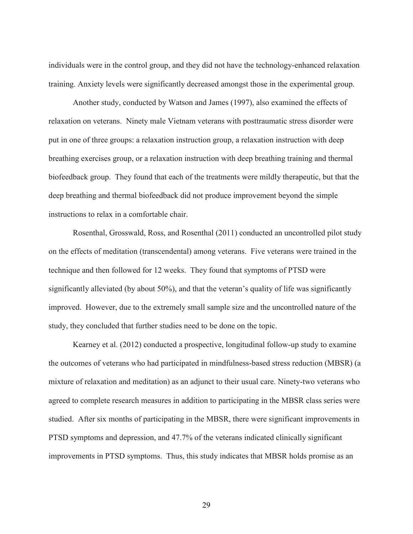individuals were in the control group, and they did not have the technology-enhanced relaxation training. Anxiety levels were significantly decreased amongst those in the experimental group.

Another study, conducted by Watson and James (1997), also examined the effects of relaxation on veterans. Ninety male Vietnam veterans with posttraumatic stress disorder were put in one of three groups: a relaxation instruction group, a relaxation instruction with deep breathing exercises group, or a relaxation instruction with deep breathing training and thermal biofeedback group. They found that each of the treatments were mildly therapeutic, but that the deep breathing and thermal biofeedback did not produce improvement beyond the simple instructions to relax in a comfortable chair.

Rosenthal, Grosswald, Ross, and Rosenthal (2011) conducted an uncontrolled pilot study on the effects of meditation (transcendental) among veterans. Five veterans were trained in the technique and then followed for 12 weeks. They found that symptoms of PTSD were significantly alleviated (by about 50%), and that the veteran's quality of life was significantly improved. However, due to the extremely small sample size and the uncontrolled nature of the study, they concluded that further studies need to be done on the topic.

Kearney et al. (2012) conducted a prospective, longitudinal follow-up study to examine the outcomes of veterans who had participated in mindfulness-based stress reduction (MBSR) (a mixture of relaxation and meditation) as an adjunct to their usual care. Ninety-two veterans who agreed to complete research measures in addition to participating in the MBSR class series were studied. After six months of participating in the MBSR, there were significant improvements in PTSD symptoms and depression, and 47.7% of the veterans indicated clinically significant improvements in PTSD symptoms. Thus, this study indicates that MBSR holds promise as an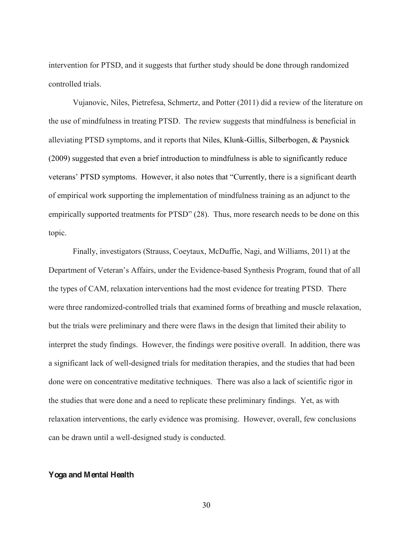intervention for PTSD, and it suggests that further study should be done through randomized controlled trials.

Vujanovic, Niles, Pietrefesa, Schmertz, and Potter (2011) did a review of the literature on the use of mindfulness in treating PTSD. The review suggests that mindfulness is beneficial in alleviating PTSD symptoms, and it reports that Niles, Klunk-Gillis, Silberbogen, & Paysnick (2009) suggested that even a brief introduction to mindfulness is able to significantly reduce veterans' PTSD symptoms. However, it also notes that "Currently, there is a significant dearth of empirical work supporting the implementation of mindfulness training as an adjunct to the empirically supported treatments for PTSD" (28). Thus, more research needs to be done on this topic.

Finally, investigators (Strauss, Coeytaux, McDuffie, Nagi, and Williams, 2011) at the Department of Veteran's Affairs, under the Evidence-based Synthesis Program, found that of all the types of CAM, relaxation interventions had the most evidence for treating PTSD. There were three randomized-controlled trials that examined forms of breathing and muscle relaxation, but the trials were preliminary and there were flaws in the design that limited their ability to interpret the study findings. However, the findings were positive overall. In addition, there was a significant lack of well-designed trials for meditation therapies, and the studies that had been done were on concentrative meditative techniques. There was also a lack of scientific rigor in the studies that were done and a need to replicate these preliminary findings. Yet, as with relaxation interventions, the early evidence was promising. However, overall, few conclusions can be drawn until a well-designed study is conducted.

# **Yoga and Mental Health**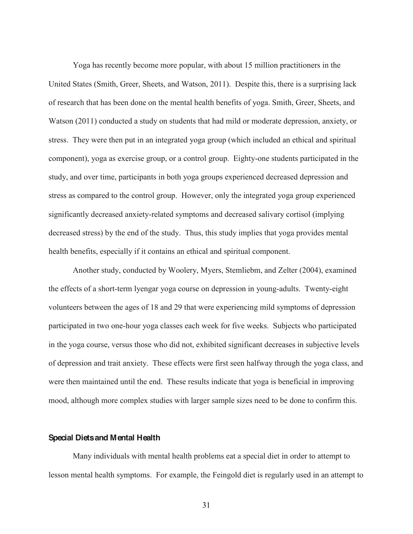Yoga has recently become more popular, with about 15 million practitioners in the United States (Smith, Greer, Sheets, and Watson, 2011). Despite this, there is a surprising lack of research that has been done on the mental health benefits of yoga. Smith, Greer, Sheets, and Watson (2011) conducted a study on students that had mild or moderate depression, anxiety, or stress. They were then put in an integrated yoga group (which included an ethical and spiritual component), yoga as exercise group, or a control group. Eighty-one students participated in the study, and over time, participants in both yoga groups experienced decreased depression and stress as compared to the control group. However, only the integrated yoga group experienced significantly decreased anxiety-related symptoms and decreased salivary cortisol (implying decreased stress) by the end of the study. Thus, this study implies that yoga provides mental health benefits, especially if it contains an ethical and spiritual component.

Another study, conducted by Woolery, Myers, Stemliebm, and Zelter (2004), examined the effects of a short-term lyengar yoga course on depression in young-adults. Twenty-eight volunteers between the ages of 18 and 29 that were experiencing mild symptoms of depression participated in two one-hour yoga classes each week for five weeks. Subjects who participated in the yoga course, versus those who did not, exhibited significant decreases in subjective levels of depression and trait anxiety. These effects were first seen halfway through the yoga class, and were then maintained until the end. These results indicate that yoga is beneficial in improving mood, although more complex studies with larger sample sizes need to be done to confirm this.

### **Special Diets and Mental Health**

Many individuals with mental health problems eat a special diet in order to attempt to lesson mental health symptoms. For example, the Feingold diet is regularly used in an attempt to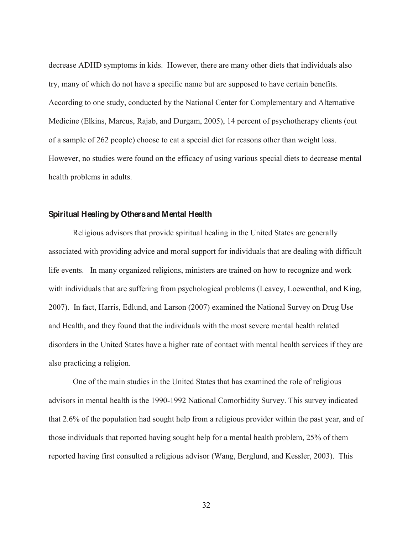decrease ADHD symptoms in kids. However, there are many other diets that individuals also try, many of which do not have a specific name but are supposed to have certain benefits. According to one study, conducted by the National Center for Complementary and Alternative Medicine (Elkins, Marcus, Rajab, and Durgam, 2005), 14 percent of psychotherapy clients (out of a sample of 262 people) choose to eat a special diet for reasons other than weight loss. However, no studies were found on the efficacy of using various special diets to decrease mental health problems in adults.

### **Spiritual Healingby Others and Mental Health**

Religious advisors that provide spiritual healing in the United States are generally associated with providing advice and moral support for individuals that are dealing with difficult life events. In many organized religions, ministers are trained on how to recognize and work with individuals that are suffering from psychological problems (Leavey, Loewenthal, and King, 2007). In fact, Harris, Edlund, and Larson (2007) examined the National Survey on Drug Use and Health, and they found that the individuals with the most severe mental health related disorders in the United States have a higher rate of contact with mental health services if they are also practicing a religion.

One of the main studies in the United States that has examined the role of religious advisors in mental health is the 1990-1992 National Comorbidity Survey. This survey indicated that 2.6% of the population had sought help from a religious provider within the past year, and of those individuals that reported having sought help for a mental health problem, 25% of them reported having first consulted a religious advisor (Wang, Berglund, and Kessler, 2003). This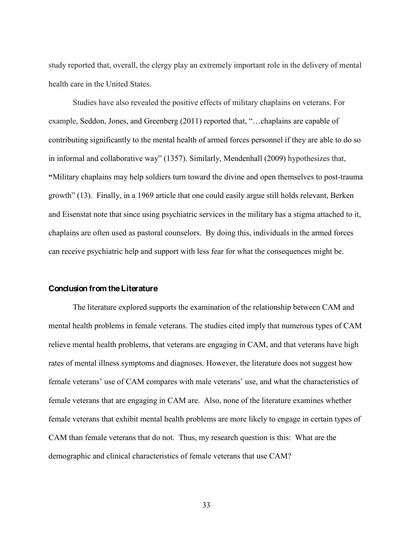study reported that, overall, the clergy play an extremely important role in the delivery of mental health care in the United States.

Studies have also revealed the positive effects of military chaplains on veterans. For example, Seddon, Jones, and Greenberg  $(2011)$  reported that, " $\dots$ chaplains are capable of contributing significantly to the mental health of armed forces personnel if they are able to do so in informal and collaborative way"  $(1357)$ . Similarly, Mendenhall  $(2009)$  hypothesizes that, **³**Military chaplains may help soldiers turn toward the divine and open themselves to post-trauma growth"  $(13)$ . Finally, in a 1969 article that one could easily argue still holds relevant, Berken and Eisenstat note that since using psychiatric services in the military has a stigma attached to it, chaplains are often used as pastoral counselors. By doing this, individuals in the armed forces can receive psychiatric help and support with less fear for what the consequences might be.

### **Conclusion from the Literature**

The literature explored supports the examination of the relationship between CAM and mental health problems in female veterans. The studies cited imply that numerous types of CAM relieve mental health problems, that veterans are engaging in CAM, and that veterans have high rates of mental illness symptoms and diagnoses. However, the literature does not suggest how female veterans' use of CAM compares with male veterans' use, and what the characteristics of female veterans that are engaging in CAM are. Also, none of the literature examines whether female veterans that exhibit mental health problems are more likely to engage in certain types of CAM than female veterans that do not. Thus, my research question is this: What are the demographic and clinical characteristics of female veterans that use CAM?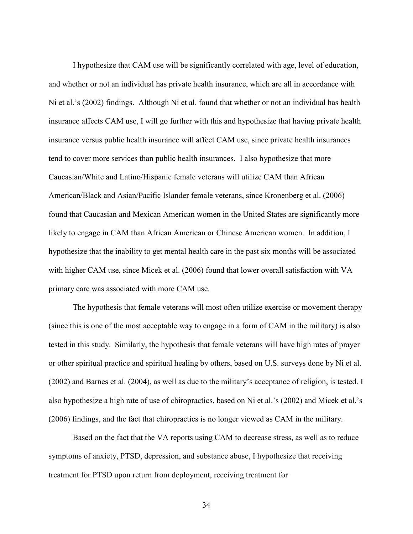I hypothesize that CAM use will be significantly correlated with age, level of education, and whether or not an individual has private health insurance, which are all in accordance with Ni et al.'s  $(2002)$  findings. Although Ni et al. found that whether or not an individual has health insurance affects CAM use, I will go further with this and hypothesize that having private health insurance versus public health insurance will affect CAM use, since private health insurances tend to cover more services than public health insurances. I also hypothesize that more Caucasian/White and Latino/Hispanic female veterans will utilize CAM than African American/Black and Asian/Pacific Islander female veterans, since Kronenberg et al. (2006) found that Caucasian and Mexican American women in the United States are significantly more likely to engage in CAM than African American or Chinese American women. In addition, I hypothesize that the inability to get mental health care in the past six months will be associated with higher CAM use, since Micek et al. (2006) found that lower overall satisfaction with VA primary care was associated with more CAM use.

The hypothesis that female veterans will most often utilize exercise or movement therapy (since this is one of the most acceptable way to engage in a form of CAM in the military) is also tested in this study. Similarly, the hypothesis that female veterans will have high rates of prayer or other spiritual practice and spiritual healing by others, based on U.S. surveys done by Ni et al. (2002) and Barnes et al. (2004), as well as due to the military's acceptance of religion, is tested. I also hypothesize a high rate of use of chiropractics, based on Ni et al.'s (2002) and Micek et al.'s (2006) findings, and the fact that chiropractics is no longer viewed as CAM in the military.

Based on the fact that the VA reports using CAM to decrease stress, as well as to reduce symptoms of anxiety, PTSD, depression, and substance abuse, I hypothesize that receiving treatment for PTSD upon return from deployment, receiving treatment for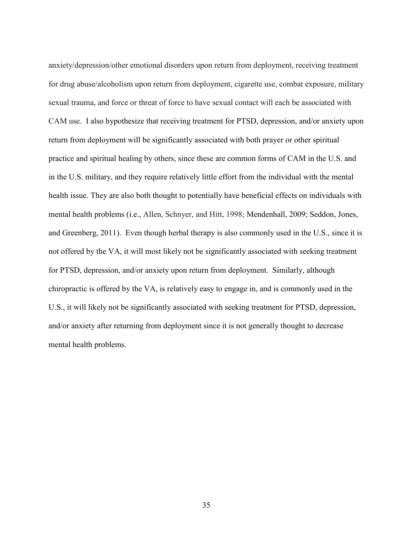anxiety/depression/other emotional disorders upon return from deployment, receiving treatment for drug abuse/alcoholism upon return from deployment, cigarette use, combat exposure, military sexual trauma, and force or threat of force to have sexual contact will each be associated with CAM use. I also hypothesize that receiving treatment for PTSD, depression, and/or anxiety upon return from deployment will be significantly associated with both prayer or other spiritual practice and spiritual healing by others, since these are common forms of CAM in the U.S. and in the U.S. military, and they require relatively little effort from the individual with the mental health issue. They are also both thought to potentially have beneficial effects on individuals with mental health problems (i.e., Allen, Schnyer, and Hitt, 1998; Mendenhall, 2009; Seddon, Jones, and Greenberg, 2011). Even though herbal therapy is also commonly used in the U.S., since it is not offered by the VA, it will most likely not be significantly associated with seeking treatment for PTSD, depression, and/or anxiety upon return from deployment. Similarly, although chiropractic is offered by the VA, is relatively easy to engage in, and is commonly used in the U.S., it will likely not be significantly associated with seeking treatment for PTSD, depression, and/or anxiety after returning from deployment since it is not generally thought to decrease mental health problems.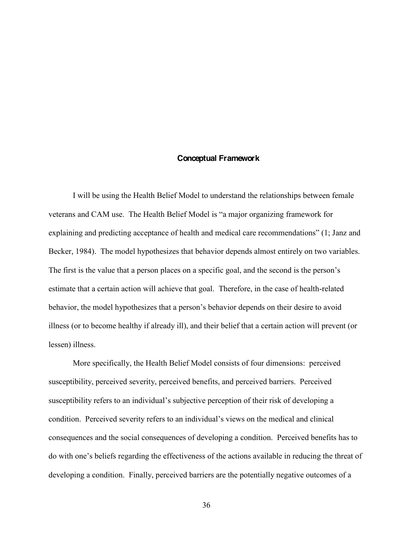### **Conceptual Framework**

I will be using the Health Belief Model to understand the relationships between female veterans and CAM use. The Health Belief Model is "a major organizing framework for explaining and predicting acceptance of health and medical care recommendations"  $(1)$ ; Janz and Becker, 1984). The model hypothesizes that behavior depends almost entirely on two variables. The first is the value that a person places on a specific goal, and the second is the person's estimate that a certain action will achieve that goal. Therefore, in the case of health-related behavior, the model hypothesizes that a person's behavior depends on their desire to avoid illness (or to become healthy if already ill), and their belief that a certain action will prevent (or lessen) illness.

More specifically, the Health Belief Model consists of four dimensions: perceived susceptibility, perceived severity, perceived benefits, and perceived barriers. Perceived susceptibility refers to an individual's subjective perception of their risk of developing a condition. Perceived severity refers to an individual's views on the medical and clinical consequences and the social consequences of developing a condition. Perceived benefits has to do with one's beliefs regarding the effectiveness of the actions available in reducing the threat of developing a condition. Finally, perceived barriers are the potentially negative outcomes of a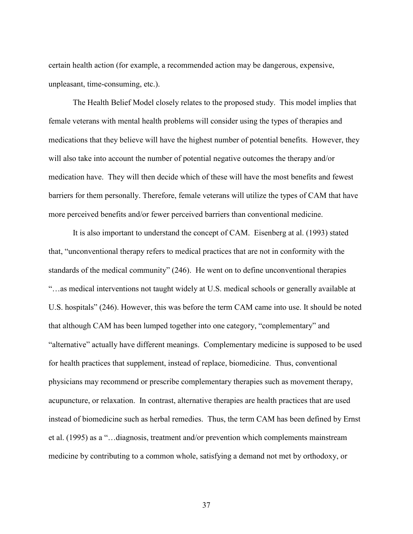certain health action (for example, a recommended action may be dangerous, expensive, unpleasant, time-consuming, etc.).

The Health Belief Model closely relates to the proposed study. This model implies that female veterans with mental health problems will consider using the types of therapies and medications that they believe will have the highest number of potential benefits. However, they will also take into account the number of potential negative outcomes the therapy and/or medication have. They will then decide which of these will have the most benefits and fewest barriers for them personally. Therefore, female veterans will utilize the types of CAM that have more perceived benefits and/or fewer perceived barriers than conventional medicine.

It is also important to understand the concept of CAM. Eisenberg at al. (1993) stated that, "unconventional therapy refers to medical practices that are not in conformity with the standards of the medical community" (246). He went on to define unconventional therapies "...as medical interventions not taught widely at U.S. medical schools or generally available at U.S. hospitals" (246). However, this was before the term CAM came into use. It should be noted that although CAM has been lumped together into one category, "complementary" and "alternative" actually have different meanings. Complementary medicine is supposed to be used for health practices that supplement, instead of replace, biomedicine. Thus, conventional physicians may recommend or prescribe complementary therapies such as movement therapy, acupuncture, or relaxation. In contrast, alternative therapies are health practices that are used instead of biomedicine such as herbal remedies. Thus, the term CAM has been defined by Ernst et al. (1995) as a "...diagnosis, treatment and/or prevention which complements mainstream medicine by contributing to a common whole, satisfying a demand not met by orthodoxy, or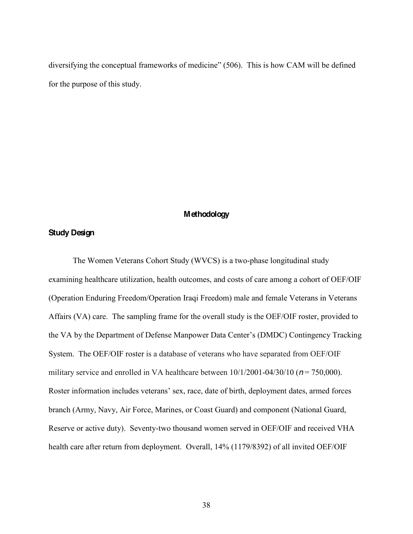diversifying the conceptual frameworks of medicine" (506). This is how CAM will be defined for the purpose of this study.

### **Methodology**

## **Study Design**

The Women Veterans Cohort Study (WVCS) is a two-phase longitudinal study examining healthcare utilization, health outcomes, and costs of care among a cohort of OEF/OIF (Operation Enduring Freedom/Operation Iraqi Freedom) male and female Veterans in Veterans Affairs (VA) care. The sampling frame for the overall study is the OEF/OIF roster, provided to the VA by the Department of Defense Manpower Data Center's (DMDC) Contingency Tracking System. The OEF/OIF roster is a database of veterans who have separated from OEF/OIF military service and enrolled in VA healthcare between  $10/1/2001 - 04/30/10$  ( $n = 750,000$ ). Roster information includes veterans' sex, race, date of birth, deployment dates, armed forces branch (Army, Navy, Air Force, Marines, or Coast Guard) and component (National Guard, Reserve or active duty). Seventy-two thousand women served in OEF/OIF and received VHA health care after return from deployment. Overall, 14% (1179/8392) of all invited OEF/OIF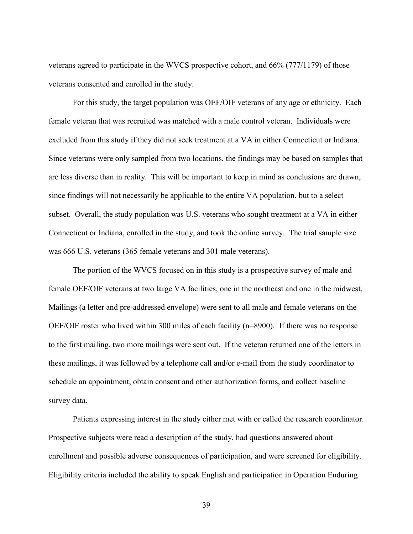veterans agreed to participate in the WVCS prospective cohort, and 66% (777/1179) of those veterans consented and enrolled in the study.

For this study, the target population was OEF/OIF veterans of any age or ethnicity. Each female veteran that was recruited was matched with a male control veteran. Individuals were excluded from this study if they did not seek treatment at a VA in either Connecticut or Indiana. Since veterans were only sampled from two locations, the findings may be based on samples that are less diverse than in reality. This will be important to keep in mind as conclusions are drawn, since findings will not necessarily be applicable to the entire VA population, but to a select subset. Overall, the study population was U.S. veterans who sought treatment at a VA in either Connecticut or Indiana, enrolled in the study, and took the online survey. The trial sample size was 666 U.S. veterans (365 female veterans and 301 male veterans).

The portion of the WVCS focused on in this study is a prospective survey of male and female OEF/OIF veterans at two large VA facilities, one in the northeast and one in the midwest. Mailings (a letter and pre-addressed envelope) were sent to all male and female veterans on the OEF/OIF roster who lived within 300 miles of each facility (n=8900). If there was no response to the first mailing, two more mailings were sent out. If the veteran returned one of the letters in these mailings, it was followed by a telephone call and/or e-mail from the study coordinator to schedule an appointment, obtain consent and other authorization forms, and collect baseline survey data.

Patients expressing interest in the study either met with or called the research coordinator. Prospective subjects were read a description of the study, had questions answered about enrollment and possible adverse consequences of participation, and were screened for eligibility. Eligibility criteria included the ability to speak English and participation in Operation Enduring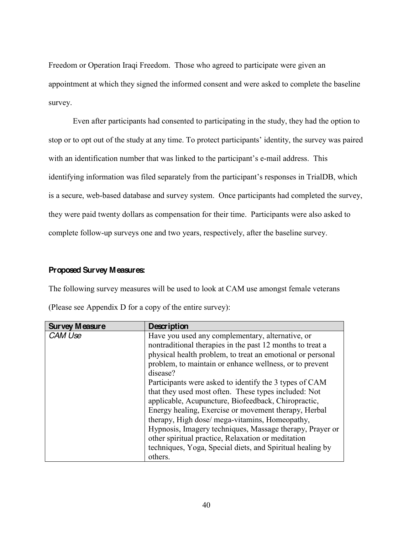Freedom or Operation Iraqi Freedom. Those who agreed to participate were given an appointment at which they signed the informed consent and were asked to complete the baseline survey.

Even after participants had consented to participating in the study, they had the option to stop or to opt out of the study at any time. To protect participants' identity, the survey was paired with an identification number that was linked to the participant's e-mail address. This identifying information was filed separately from the participant's responses in TrialDB, which is a secure, web-based database and survey system. Once participants had completed the survey, they were paid twenty dollars as compensation for their time. Participants were also asked to complete follow-up surveys one and two years, respectively, after the baseline survey.

## **Proposed Survey Measures:**

The following survey measures will be used to look at CAM use amongst female veterans

| <b>Survey Measure</b> | Description                                                |  |  |  |  |
|-----------------------|------------------------------------------------------------|--|--|--|--|
| CAM Use               | Have you used any complementary, alternative, or           |  |  |  |  |
|                       | nontraditional therapies in the past 12 months to treat a  |  |  |  |  |
|                       | physical health problem, to treat an emotional or personal |  |  |  |  |
|                       | problem, to maintain or enhance wellness, or to prevent    |  |  |  |  |
|                       | disease?                                                   |  |  |  |  |
|                       | Participants were asked to identify the 3 types of CAM     |  |  |  |  |
|                       | that they used most often. These types included: Not       |  |  |  |  |
|                       | applicable, Acupuncture, Biofeedback, Chiropractic,        |  |  |  |  |
|                       | Energy healing, Exercise or movement therapy, Herbal       |  |  |  |  |
|                       | therapy, High dose/ mega-vitamins, Homeopathy,             |  |  |  |  |
|                       | Hypnosis, Imagery techniques, Massage therapy, Prayer or   |  |  |  |  |
|                       | other spiritual practice, Relaxation or meditation         |  |  |  |  |
|                       | techniques, Yoga, Special diets, and Spiritual healing by  |  |  |  |  |
|                       | others.                                                    |  |  |  |  |

(Please see Appendix D for a copy of the entire survey):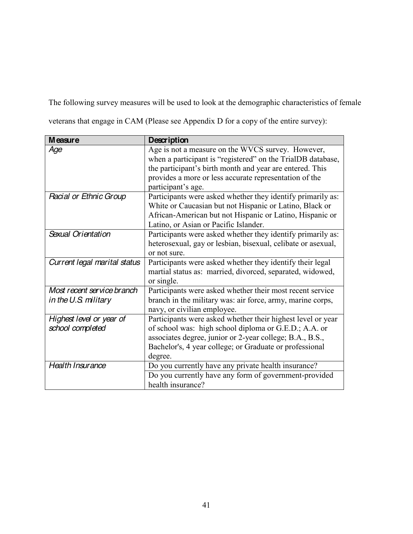The following survey measures will be used to look at the demographic characteristics of female

veterans that engage in CAM (Please see Appendix D for a copy of the entire survey):

| <b>Measure</b>                                     | Description                                                                                                                                                                                                                                                  |
|----------------------------------------------------|--------------------------------------------------------------------------------------------------------------------------------------------------------------------------------------------------------------------------------------------------------------|
| Age                                                | Age is not a measure on the WVCS survey. However,<br>when a participant is "registered" on the TrialDB database,<br>the participant's birth month and year are entered. This<br>provides a more or less accurate representation of the<br>participant's age. |
| Racial or Ethnic Group                             | Participants were asked whether they identify primarily as:<br>White or Caucasian but not Hispanic or Latino, Black or<br>African-American but not Hispanic or Latino, Hispanic or<br>Latino, or Asian or Pacific Islander.                                  |
| Sexual Orientation                                 | Participants were asked whether they identify primarily as:<br>heterosexual, gay or lesbian, bisexual, celibate or asexual,<br>or not sure.                                                                                                                  |
| Current legal marital status                       | Participants were asked whether they identify their legal<br>martial status as: married, divorced, separated, widowed,<br>or single.                                                                                                                         |
| Most recent service branch<br>in the U.S. military | Participants were asked whether their most recent service<br>branch in the military was: air force, army, marine corps,<br>navy, or civilian employee.                                                                                                       |
| Highest level or year of<br>school completed       | Participants were asked whether their highest level or year<br>of school was: high school diploma or G.E.D.; A.A. or<br>associates degree, junior or 2-year college; B.A., B.S.,<br>Bachelor's, 4 year college; or Graduate or professional<br>degree.       |
| Health Insurance                                   | Do you currently have any private health insurance?<br>Do you currently have any form of government-provided<br>health insurance?                                                                                                                            |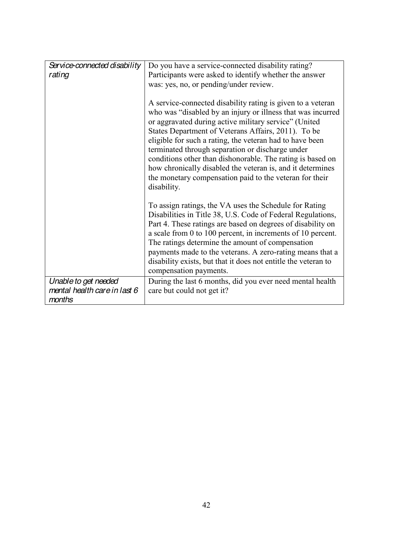| Service-connected disability | Do you have a service-connected disability rating?                                                                                                                                                                                                                                                                                                                                                                                                                                                                                                               |
|------------------------------|------------------------------------------------------------------------------------------------------------------------------------------------------------------------------------------------------------------------------------------------------------------------------------------------------------------------------------------------------------------------------------------------------------------------------------------------------------------------------------------------------------------------------------------------------------------|
| rating                       | Participants were asked to identify whether the answer                                                                                                                                                                                                                                                                                                                                                                                                                                                                                                           |
|                              |                                                                                                                                                                                                                                                                                                                                                                                                                                                                                                                                                                  |
|                              | was: yes, no, or pending/under review.                                                                                                                                                                                                                                                                                                                                                                                                                                                                                                                           |
|                              | A service-connected disability rating is given to a veteran<br>who was "disabled by an injury or illness that was incurred<br>or aggravated during active military service" (United<br>States Department of Veterans Affairs, 2011). To be<br>eligible for such a rating, the veteran had to have been<br>terminated through separation or discharge under<br>conditions other than dishonorable. The rating is based on<br>how chronically disabled the veteran is, and it determines<br>the monetary compensation paid to the veteran for their<br>disability. |
|                              | To assign ratings, the VA uses the Schedule for Rating<br>Disabilities in Title 38, U.S. Code of Federal Regulations,<br>Part 4. These ratings are based on degrees of disability on<br>a scale from 0 to 100 percent, in increments of 10 percent.<br>The ratings determine the amount of compensation<br>payments made to the veterans. A zero-rating means that a<br>disability exists, but that it does not entitle the veteran to<br>compensation payments.                                                                                                 |
| Unable to get needed         | During the last 6 months, did you ever need mental health                                                                                                                                                                                                                                                                                                                                                                                                                                                                                                        |
| mental health care in last 6 | care but could not get it?                                                                                                                                                                                                                                                                                                                                                                                                                                                                                                                                       |
| months                       |                                                                                                                                                                                                                                                                                                                                                                                                                                                                                                                                                                  |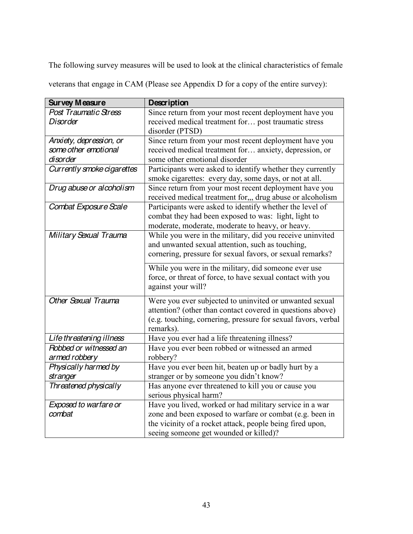The following survey measures will be used to look at the clinical characteristics of female

veterans that engage in CAM (Please see Appendix D for a copy of the entire survey):

| <b>Survey Measure</b>        | Description                                                                                                          |
|------------------------------|----------------------------------------------------------------------------------------------------------------------|
| <b>Post Traumatic Stress</b> | Since return from your most recent deployment have you                                                               |
| <b>Disorder</b>              | received medical treatment for post traumatic stress                                                                 |
|                              | disorder (PTSD)                                                                                                      |
| Anxiety, depression, or      | Since return from your most recent deployment have you                                                               |
| some other emotional         | received medical treatment for anxiety, depression, or                                                               |
| disorder                     | some other emotional disorder                                                                                        |
| Currently smoke cigarettes   | Participants were asked to identify whether they currently<br>smoke cigarettes: every day, some days, or not at all. |
| Drug abuse or alcoholism     | Since return from your most recent deployment have you                                                               |
|                              | received medical treatment for,,, drug abuse or alcoholism                                                           |
| Combat Exposure Scale        | Participants were asked to identify whether the level of                                                             |
|                              | combat they had been exposed to was: light, light to                                                                 |
|                              | moderate, moderate, moderate to heavy, or heavy.                                                                     |
| Military Sexual Trauma       | While you were in the military, did you receive uninvited                                                            |
|                              | and unwanted sexual attention, such as touching,                                                                     |
|                              | cornering, pressure for sexual favors, or sexual remarks?                                                            |
|                              | While you were in the military, did someone ever use                                                                 |
|                              | force, or threat of force, to have sexual contact with you                                                           |
|                              | against your will?                                                                                                   |
| <b>Other Sexual Trauma</b>   |                                                                                                                      |
|                              | Were you ever subjected to uninvited or unwanted sexual                                                              |
|                              | attention? (other than contact covered in questions above)                                                           |
|                              | (e.g. touching, cornering, pressure for sexual favors, verbal<br>remarks).                                           |
| Life threatening illness     |                                                                                                                      |
| Robbed or witnessed an       | Have you ever had a life threatening illness?<br>Have you ever been robbed or witnessed an armed                     |
| armed robbery                | robbery?                                                                                                             |
| Physically harmed by         | Have you ever been hit, beaten up or badly hurt by a                                                                 |
| stranger                     | stranger or by someone you didn't know?                                                                              |
| Threatened physically        |                                                                                                                      |
|                              | Has anyone ever threatened to kill you or cause you<br>serious physical harm?                                        |
| Exposed to warfare or        | Have you lived, worked or had military service in a war                                                              |
| combat                       | zone and been exposed to warfare or combat (e.g. been in                                                             |
|                              | the vicinity of a rocket attack, people being fired upon,                                                            |
|                              |                                                                                                                      |
|                              | seeing someone get wounded or killed)?                                                                               |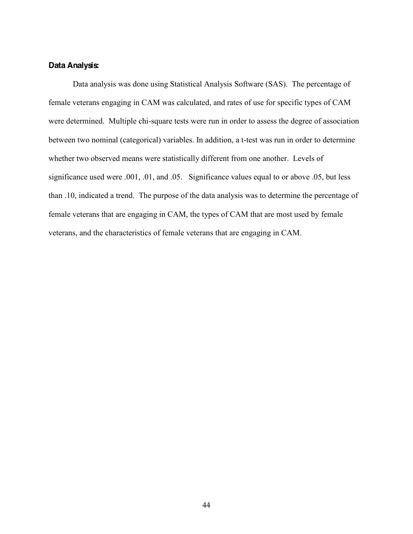### **Data Analysis:**

Data analysis was done using Statistical Analysis Software (SAS). The percentage of female veterans engaging in CAM was calculated, and rates of use for specific types of CAM were determined. Multiple chi-square tests were run in order to assess the degree of association between two nominal (categorical) variables. In addition, a t-test was run in order to determine whether two observed means were statistically different from one another. Levels of significance used were .001, .01, and .05. Significance values equal to or above .05, but less than .10, indicated a trend. The purpose of the data analysis was to determine the percentage of female veterans that are engaging in CAM, the types of CAM that are most used by female veterans, and the characteristics of female veterans that are engaging in CAM.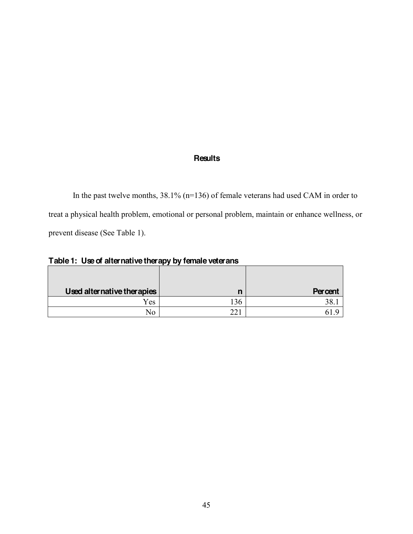# **Results**

In the past twelve months, 38.1% (n=136) of female veterans had used CAM in order to treat a physical health problem, emotional or personal problem, maintain or enhance wellness, or prevent disease (See Table 1).

**Table 1: Use of alternative therapy by female veterans**

| Used alternative therapies | n           | <b>Percent</b> |
|----------------------------|-------------|----------------|
| Yes                        | 36          |                |
| No                         | $\bigcap$ 1 |                |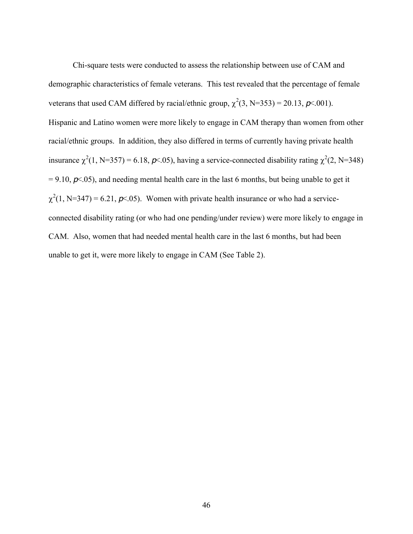Chi-square tests were conducted to assess the relationship between use of CAM and demographic characteristics of female veterans. This test revealed that the percentage of female veterans that used CAM differed by racial/ethnic group,  $\chi^2(3, N=353) = 20.13$ ,  $p \le 0.001$ ). Hispanic and Latino women were more likely to engage in CAM therapy than women from other racial/ethnic groups. In addition, they also differed in terms of currently having private health insurance  $\chi^2(1, N=357) = 6.18$ ,  $p<0.05$ ), having a service-connected disability rating  $\chi^2(2, N=348)$  $= 9.10, \rho \times 0.05$ , and needing mental health care in the last 6 months, but being unable to get it  $\chi^2(1, N=347) = 6.21, \rho \times 0.05$ . Women with private health insurance or who had a serviceconnected disability rating (or who had one pending/under review) were more likely to engage in CAM. Also, women that had needed mental health care in the last 6 months, but had been unable to get it, were more likely to engage in CAM (See Table 2).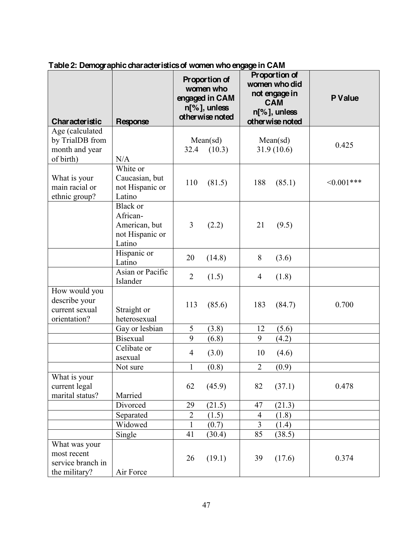| <b>Characteristic</b>                                            | Response                                                           |                      | Proportion of<br>women who<br>engaged in CAM<br>$n[\%]$ , unless<br>otherwise noted |                                  | Proportion of<br>women who did<br>not engage in<br><b>CAM</b><br>$n[\%]$ , unless<br>otherwise noted | <b>P</b> Value |
|------------------------------------------------------------------|--------------------------------------------------------------------|----------------------|-------------------------------------------------------------------------------------|----------------------------------|------------------------------------------------------------------------------------------------------|----------------|
| Age (calculated                                                  |                                                                    |                      |                                                                                     |                                  |                                                                                                      |                |
| by TrialDB from                                                  |                                                                    |                      | Mean(sd)                                                                            |                                  | Mean(sd)                                                                                             | 0.425          |
| month and year                                                   |                                                                    | 32.4                 | (10.3)                                                                              |                                  | 31.9(10.6)                                                                                           |                |
| of birth)                                                        | N/A                                                                |                      |                                                                                     |                                  |                                                                                                      |                |
| What is your<br>main racial or<br>ethnic group?                  | White or<br>Caucasian, but<br>not Hispanic or<br>Latino            | 110                  | (81.5)                                                                              | 188                              | (85.1)                                                                                               | $<0.001***$    |
|                                                                  | Black or<br>African-<br>American, but<br>not Hispanic or<br>Latino | 3                    | (2.2)                                                                               | 21                               | (9.5)                                                                                                |                |
|                                                                  | Hispanic or<br>Latino                                              | 20                   | (14.8)                                                                              | 8                                | (3.6)                                                                                                |                |
|                                                                  | Asian or Pacific<br>Islander                                       | $\overline{2}$       | (1.5)                                                                               | $\overline{4}$                   | (1.8)                                                                                                |                |
| How would you<br>describe your<br>current sexual<br>orientation? | Straight or<br>heterosexual                                        | 113                  | (85.6)                                                                              | 183                              | (84.7)                                                                                               | 0.700          |
|                                                                  | Gay or lesbian                                                     | 5                    | (3.8)                                                                               | 12                               | (5.6)                                                                                                |                |
|                                                                  | <b>Bisexual</b>                                                    | 9                    | (6.8)                                                                               | 9                                | (4.2)                                                                                                |                |
|                                                                  | Celibate or<br>asexual                                             | $\overline{4}$       | (3.0)                                                                               | 10                               | (4.6)                                                                                                |                |
|                                                                  | Not sure                                                           | $\mathbf{1}$         | (0.8)                                                                               | $\overline{2}$                   | (0.9)                                                                                                |                |
| What is your<br>current legal                                    |                                                                    | 62                   | (45.9)                                                                              | 82                               | (37.1)                                                                                               | 0.478          |
| marital status?                                                  | Married<br>Divorced                                                |                      |                                                                                     |                                  |                                                                                                      |                |
|                                                                  |                                                                    | 29<br>$\overline{2}$ | (21.5)                                                                              | 47                               | (21.3)                                                                                               |                |
|                                                                  | Separated<br>Widowed                                               | $\mathbf{1}$         | (1.5)<br>(0.7)                                                                      | $\overline{4}$<br>$\overline{3}$ | (1.8)<br>(1.4)                                                                                       |                |
|                                                                  | Single                                                             | 41                   | (30.4)                                                                              | 85                               | (38.5)                                                                                               |                |
| What was your                                                    |                                                                    |                      |                                                                                     |                                  |                                                                                                      |                |
| most recent<br>service branch in<br>the military?                | Air Force                                                          | 26                   | (19.1)                                                                              | 39                               | (17.6)                                                                                               | 0.374          |

# **Table 2: Demographic characteristics of women who engage in CAM**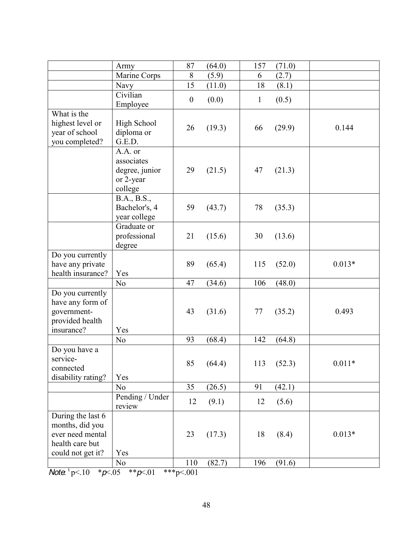|                                                                                                  | Army                                                            | 87               | (64.0) | 157          | (71.0) |          |
|--------------------------------------------------------------------------------------------------|-----------------------------------------------------------------|------------------|--------|--------------|--------|----------|
|                                                                                                  | Marine Corps                                                    | 8                | (5.9)  | 6            | (2.7)  |          |
|                                                                                                  | Navy                                                            | 15               | (11.0) | 18           | (8.1)  |          |
|                                                                                                  | Civilian<br>Employee                                            | $\boldsymbol{0}$ | (0.0)  | $\mathbf{1}$ | (0.5)  |          |
| What is the<br>highest level or<br>year of school<br>you completed?                              | High School<br>diploma or<br>G.E.D.                             | 26               | (19.3) | 66           | (29.9) | 0.144    |
|                                                                                                  | A.A. or<br>associates<br>degree, junior<br>or 2-year<br>college | 29               | (21.5) | 47           | (21.3) |          |
|                                                                                                  | B.A., B.S.,<br>Bachelor's, 4<br>year college                    | 59               | (43.7) | 78           | (35.3) |          |
|                                                                                                  | Graduate or<br>professional<br>degree                           | 21               | (15.6) | 30           | (13.6) |          |
| Do you currently<br>have any private<br>health insurance?                                        | Yes                                                             | 89               | (65.4) | 115          | (52.0) | $0.013*$ |
|                                                                                                  | N <sub>0</sub>                                                  | 47               | (34.6) | 106          | (48.0) |          |
| Do you currently<br>have any form of<br>government-<br>provided health<br>insurance?             | Yes                                                             | 43               | (31.6) | 77           | (35.2) | 0.493    |
|                                                                                                  | N <sub>o</sub>                                                  | 93               | (68.4) | 142          | (64.8) |          |
| Do you have a<br>service-<br>connected<br>disability rating?                                     | Yes                                                             | 85               | (64.4) | 113          | (52.3) | $0.011*$ |
|                                                                                                  | N <sub>o</sub>                                                  | 35               | (26.5) | 91           | (42.1) |          |
|                                                                                                  | Pending / Under<br>review                                       | 12               | (9.1)  | 12           | (5.6)  |          |
| During the last 6<br>months, did you<br>ever need mental<br>health care but<br>could not get it? | Yes                                                             | 23               | (17.3) | 18           | (8.4)  | $0.013*$ |
|                                                                                                  | N <sub>o</sub>                                                  | 110              | (82.7) | 196          | (91.6) |          |

*Note*:  ${}^{t}p<.10$  \*  $p<.05$  \*\* $p<.01$  \*\*\*p<.001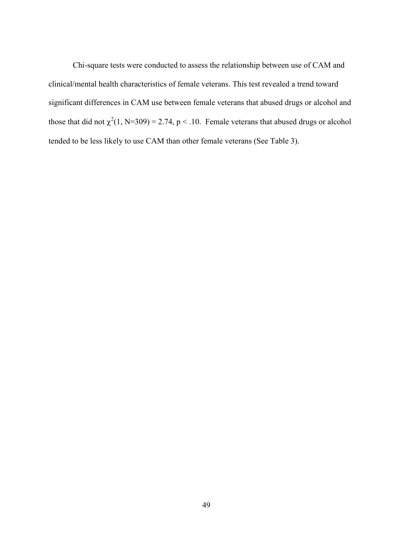Chi-square tests were conducted to assess the relationship between use of CAM and clinical/mental health characteristics of female veterans. This test revealed a trend toward significant differences in CAM use between female veterans that abused drugs or alcohol and those that did not  $\chi^2(1, N=309) = 2.74$ , p < .10. Female veterans that abused drugs or alcohol tended to be less likely to use CAM than other female veterans (See Table 3).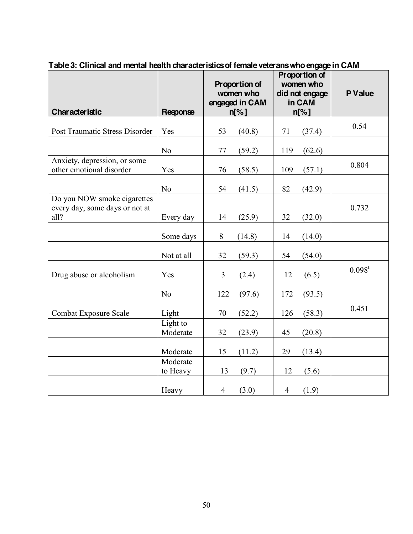| <b>Characteristic</b>                                                 | Response             | Proportion of<br>women who<br>engaged in CAM<br>$n[\%]$ |        | Proportion of<br>women who<br>did not engage<br>in CAM<br>$n[\%]$ |        | P Value   |
|-----------------------------------------------------------------------|----------------------|---------------------------------------------------------|--------|-------------------------------------------------------------------|--------|-----------|
| Post Traumatic Stress Disorder                                        | Yes                  | 53                                                      | (40.8) | 71                                                                | (37.4) | 0.54      |
|                                                                       | N <sub>o</sub>       | 77                                                      | (59.2) | 119                                                               | (62.6) |           |
| Anxiety, depression, or some<br>other emotional disorder              | Yes                  | 76                                                      | (58.5) | 109                                                               | (57.1) | 0.804     |
|                                                                       | N <sub>o</sub>       | 54                                                      | (41.5) | 82                                                                | (42.9) |           |
| Do you NOW smoke cigarettes<br>every day, some days or not at<br>all? | Every day            | 14                                                      | (25.9) | 32                                                                | (32.0) | 0.732     |
|                                                                       | Some days            | 8                                                       | (14.8) | 14                                                                | (14.0) |           |
|                                                                       | Not at all           | 32                                                      | (59.3) | 54                                                                | (54.0) |           |
| Drug abuse or alcoholism                                              | Yes                  | $\overline{3}$                                          | (2.4)  | 12                                                                | (6.5)  | $0.098^t$ |
|                                                                       | N <sub>o</sub>       | 122                                                     | (97.6) | 172                                                               | (93.5) |           |
| <b>Combat Exposure Scale</b>                                          | Light                | 70                                                      | (52.2) | 126                                                               | (58.3) | 0.451     |
|                                                                       | Light to<br>Moderate | 32                                                      | (23.9) | 45                                                                | (20.8) |           |
|                                                                       | Moderate             | 15                                                      | (11.2) | 29                                                                | (13.4) |           |
|                                                                       | Moderate<br>to Heavy | 13                                                      | (9.7)  | 12                                                                | (5.6)  |           |
|                                                                       | Heavy                | $\overline{4}$                                          | (3.0)  | $\overline{4}$                                                    | (1.9)  |           |

**Table 3: Clinical and mental health characteristics of female veterans who engage in CAM**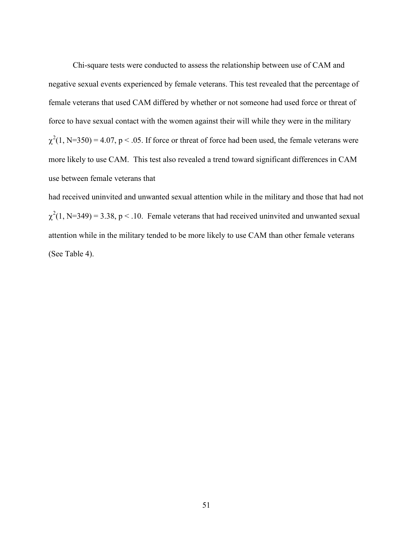Chi-square tests were conducted to assess the relationship between use of CAM and negative sexual events experienced by female veterans. This test revealed that the percentage of female veterans that used CAM differed by whether or not someone had used force or threat of force to have sexual contact with the women against their will while they were in the military  $\chi^2(1, N=350) = 4.07$ , p < .05. If force or threat of force had been used, the female veterans were more likely to use CAM. This test also revealed a trend toward significant differences in CAM use between female veterans that

had received uninvited and unwanted sexual attention while in the military and those that had not  $\chi^2(1, N=349) = 3.38$ , p < .10. Female veterans that had received uninvited and unwanted sexual attention while in the military tended to be more likely to use CAM than other female veterans (See Table 4).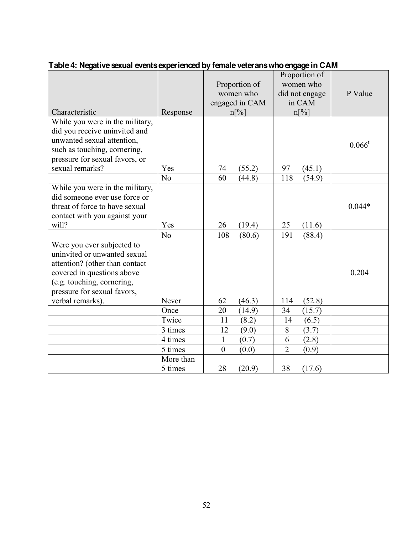| Characteristic                                                                                                                                                                                              | Response             | Proportion of<br>women who<br>engaged in CAM<br>$n\lceil\% \rceil$ | Proportion of<br>women who<br>did not engage<br>in CAM<br>$n[\%]$ | P Value   |
|-------------------------------------------------------------------------------------------------------------------------------------------------------------------------------------------------------------|----------------------|--------------------------------------------------------------------|-------------------------------------------------------------------|-----------|
| While you were in the military,<br>did you receive uninvited and<br>unwanted sexual attention,<br>such as touching, cornering,<br>pressure for sexual favors, or<br>sexual remarks?                         | Yes                  | (55.2)<br>74                                                       | 97<br>(45.1)                                                      | $0.066^t$ |
|                                                                                                                                                                                                             | N <sub>0</sub>       | 60<br>(44.8)                                                       | 118<br>(54.9)                                                     |           |
| While you were in the military,<br>did someone ever use force or<br>threat of force to have sexual<br>contact with you against your<br>will?                                                                | Yes                  | 26<br>(19.4)                                                       | 25<br>(11.6)                                                      | $0.044*$  |
|                                                                                                                                                                                                             | N <sub>0</sub>       | 108<br>(80.6)                                                      | 191<br>(88.4)                                                     |           |
| Were you ever subjected to<br>uninvited or unwanted sexual<br>attention? (other than contact<br>covered in questions above<br>(e.g. touching, cornering,<br>pressure for sexual favors,<br>verbal remarks). | Never                | 62<br>(46.3)                                                       | (52.8)<br>114                                                     | 0.204     |
|                                                                                                                                                                                                             | Once                 | 20<br>(14.9)                                                       | (15.7)<br>34                                                      |           |
|                                                                                                                                                                                                             | Twice                | 11<br>(8.2)                                                        | (6.5)<br>14                                                       |           |
|                                                                                                                                                                                                             | 3 times              | 12<br>(9.0)                                                        | 8<br>(3.7)                                                        |           |
|                                                                                                                                                                                                             | 4 times              | $\mathbf{1}$<br>(0.7)                                              | 6<br>(2.8)                                                        |           |
|                                                                                                                                                                                                             | 5 times              | $\boldsymbol{0}$<br>(0.0)                                          | $\overline{2}$<br>(0.9)                                           |           |
|                                                                                                                                                                                                             | More than<br>5 times | 28<br>(20.9)                                                       | 38<br>(17.6)                                                      |           |

# **Table 4: Negative sexual events experienced by female veterans who engage in CAM**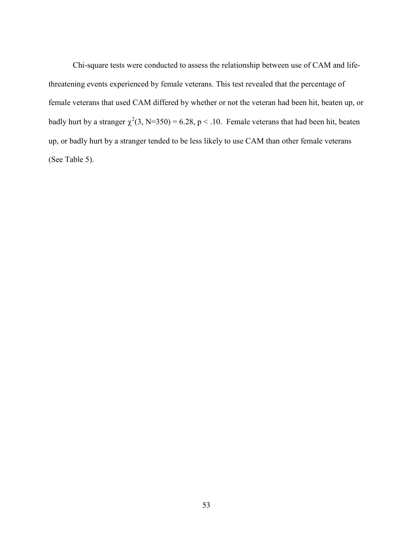Chi-square tests were conducted to assess the relationship between use of CAM and lifethreatening events experienced by female veterans. This test revealed that the percentage of female veterans that used CAM differed by whether or not the veteran had been hit, beaten up, or badly hurt by a stranger  $\chi^2(3, N=350) = 6.28$ , p < .10. Female veterans that had been hit, beaten up, or badly hurt by a stranger tended to be less likely to use CAM than other female veterans (See Table 5).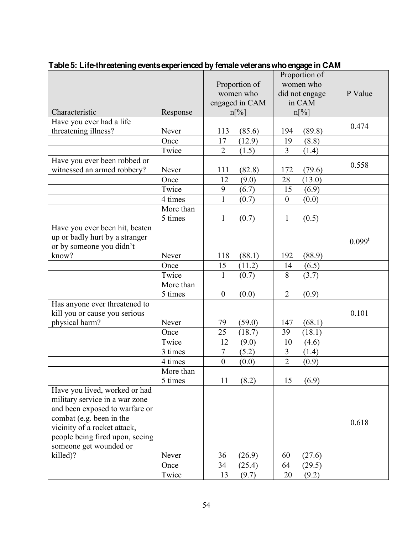|                                 |           |                  |                | Proportion of    |        |           |
|---------------------------------|-----------|------------------|----------------|------------------|--------|-----------|
|                                 |           | Proportion of    |                | women who        |        |           |
|                                 |           | women who        |                | did not engage   |        | P Value   |
|                                 |           |                  | engaged in CAM | in CAM           |        |           |
| Characteristic                  | Response  |                  | $n[\%]$        |                  | n[%]   |           |
| Have you ever had a life        |           |                  |                |                  |        | 0.474     |
| threatening illness?            | Never     | 113              | (85.6)         | 194              | (89.8) |           |
|                                 | Once      | 17               | (12.9)         | 19               | (8.8)  |           |
|                                 | Twice     | $\overline{2}$   | (1.5)          | $\overline{3}$   | (1.4)  |           |
| Have you ever been robbed or    |           |                  |                |                  |        | 0.558     |
| witnessed an armed robbery?     | Never     | 111              | (82.8)         | 172              | (79.6) |           |
|                                 | Once      | 12               | (9.0)          | 28               | (13.0) |           |
|                                 | Twice     | 9                | (6.7)          | 15               | (6.9)  |           |
|                                 | 4 times   | $\mathbf{1}$     | (0.7)          | $\boldsymbol{0}$ | (0.0)  |           |
|                                 | More than |                  |                |                  |        |           |
|                                 | 5 times   | $\mathbf{1}$     | (0.7)          | $\mathbf{1}$     | (0.5)  |           |
| Have you ever been hit, beaten  |           |                  |                |                  |        |           |
| up or badly hurt by a stranger  |           |                  |                |                  |        | $0.099^t$ |
| or by someone you didn't        |           |                  |                |                  |        |           |
| know?                           | Never     | 118              | (88.1)         | 192              | (88.9) |           |
|                                 | Once      | 15               | (11.2)         | 14               | (6.5)  |           |
|                                 | Twice     | $\mathbf{1}$     | (0.7)          | 8                | (3.7)  |           |
|                                 | More than |                  |                |                  |        |           |
|                                 | 5 times   | $\boldsymbol{0}$ | (0.0)          | $\overline{2}$   | (0.9)  |           |
| Has anyone ever threatened to   |           |                  |                |                  |        |           |
| kill you or cause you serious   |           |                  |                |                  |        | 0.101     |
| physical harm?                  | Never     | 79               | (59.0)         | 147              | (68.1) |           |
|                                 | Once      | 25               | (18.7)         | 39               | (18.1) |           |
|                                 | Twice     | 12               | (9.0)          | 10               | (4.6)  |           |
|                                 | 3 times   | $\boldsymbol{7}$ | (5.2)          | 3                | (1.4)  |           |
|                                 | 4 times   | $\boldsymbol{0}$ | (0.0)          | $\overline{2}$   | (0.9)  |           |
|                                 | More than |                  |                |                  |        |           |
|                                 | 5 times   | 11               | (8.2)          | 15               | (6.9)  |           |
| Have you lived, worked or had   |           |                  |                |                  |        |           |
| military service in a war zone  |           |                  |                |                  |        |           |
| and been exposed to warfare or  |           |                  |                |                  |        |           |
| combat (e.g. been in the        |           |                  |                |                  |        | 0.618     |
| vicinity of a rocket attack,    |           |                  |                |                  |        |           |
| people being fired upon, seeing |           |                  |                |                  |        |           |
| someone get wounded or          |           |                  |                |                  |        |           |
| killed)?                        | Never     | 36               | (26.9)         | 60               | (27.6) |           |
|                                 | Once      | 34               | (25.4)         | 64               | (29.5) |           |
|                                 | Twice     | 13               | (9.7)          | 20               | (9.2)  |           |

# **Table 5: Life-threatening events experienced by female veterans who engage in CAM**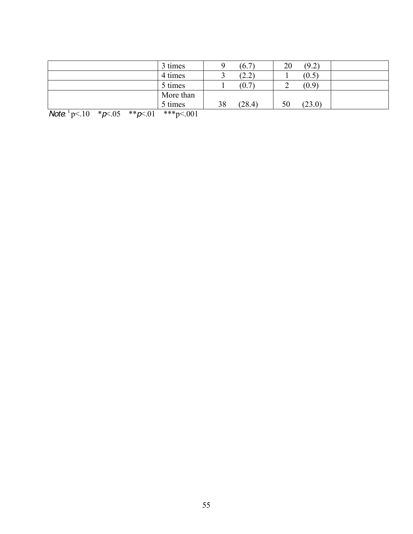| 3 times   | (6.7)        | (9.2)<br>20  |  |
|-----------|--------------|--------------|--|
| 4 times   | (2.2)<br>ٮ   | (0.5)        |  |
| 5 times   | (0.7)        | (0.9)        |  |
| More than |              |              |  |
| 5 times   | 38<br>(28.4) | 50<br>(23.0) |  |

*Note*:  $\frac{1}{2}$  p<.10  $\frac{*}{2}$  p <.05  $\frac{*}{2}$  p <.01  $\frac{1}{2}$   $\frac{1}{2}$   $\frac{1}{2}$   $\frac{1}{2}$   $\frac{1}{2}$   $\frac{1}{2}$   $\frac{1}{2}$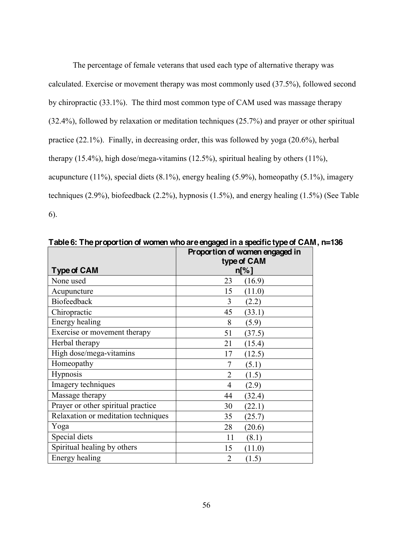The percentage of female veterans that used each type of alternative therapy was calculated. Exercise or movement therapy was most commonly used (37.5%), followed second by chiropractic (33.1%). The third most common type of CAM used was massage therapy (32.4%), followed by relaxation or meditation techniques (25.7%) and prayer or other spiritual practice (22.1%). Finally, in decreasing order, this was followed by yoga (20.6%), herbal therapy (15.4%), high dose/mega-vitamins (12.5%), spiritual healing by others (11%), acupuncture (11%), special diets (8.1%), energy healing (5.9%), homeopathy (5.1%), imagery techniques (2.9%), biofeedback (2.2%), hypnosis (1.5%), and energy healing (1.5%) (See Table 6).

| Type of CAM                         | Proportion of women engaged in<br>type of CAM<br>$n[\%]$ |
|-------------------------------------|----------------------------------------------------------|
| None used                           | 23<br>(16.9)                                             |
| Acupuncture                         | 15<br>(11.0)                                             |
| <b>Biofeedback</b>                  | 3<br>(2.2)                                               |
| Chiropractic                        | 45<br>(33.1)                                             |
| Energy healing                      | (5.9)<br>8                                               |
| Exercise or movement therapy        | 51<br>(37.5)                                             |
| Herbal therapy                      | 21<br>(15.4)                                             |
| High dose/mega-vitamins             | (12.5)<br>17                                             |
| Homeopathy                          | (5.1)<br>7                                               |
| Hypnosis                            | $\overline{2}$<br>(1.5)                                  |
| Imagery techniques                  | (2.9)<br>4                                               |
| Massage therapy                     | 44<br>(32.4)                                             |
| Prayer or other spiritual practice  | 30<br>(22.1)                                             |
| Relaxation or meditation techniques | 35<br>(25.7)                                             |
| Yoga                                | 28<br>(20.6)                                             |
| Special diets                       | 11<br>(8.1)                                              |
| Spiritual healing by others         | (11.0)<br>15                                             |
| Energy healing                      | $\overline{2}$<br>(1.5)                                  |

**Table 6: The proportion of women who are engaged in a specific type of CAM, n=136**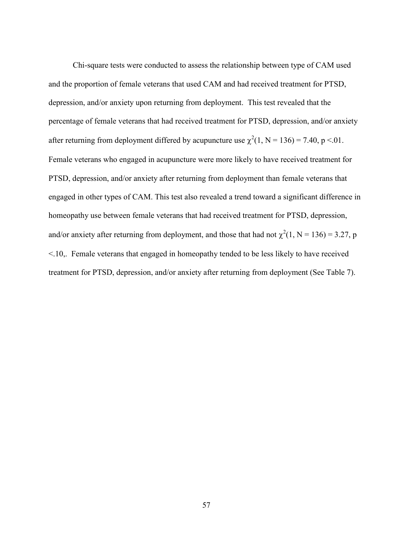Chi-square tests were conducted to assess the relationship between type of CAM used and the proportion of female veterans that used CAM and had received treatment for PTSD, depression, and/or anxiety upon returning from deployment. This test revealed that the percentage of female veterans that had received treatment for PTSD, depression, and/or anxiety after returning from deployment differed by acupuncture use  $\chi^2(1, N = 136) = 7.40$ , p <.01. Female veterans who engaged in acupuncture were more likely to have received treatment for PTSD, depression, and/or anxiety after returning from deployment than female veterans that engaged in other types of CAM. This test also revealed a trend toward a significant difference in homeopathy use between female veterans that had received treatment for PTSD, depression, and/or anxiety after returning from deployment, and those that had not  $\chi^2(1, N = 136) = 3.27$ , p  $\leq$ .10.. Female veterans that engaged in homeopathy tended to be less likely to have received treatment for PTSD, depression, and/or anxiety after returning from deployment (See Table 7).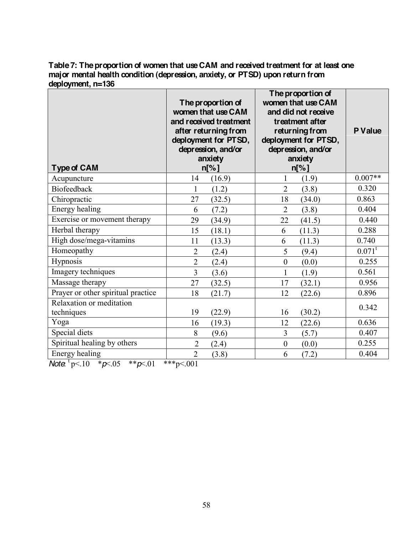**Table 7: The proportion of women that use CAM and received treatment for at least one major mental health condition (depression, anxiety, or PTSD) upon return from deployment, n=136**

| <b>Type of CAM</b>                                                                                                                                                                                                                                                                                                                                                                                                                        | The proportion of<br>women that use CAM<br>and received treatment<br>after returning from<br>deployment for PTSD,<br>depression, and/or<br>anxiety<br>$n\sqrt{2}$ | The proportion of<br>women that use CAM<br>and did not receive<br>treatment after<br>returning from<br>deployment for PTSD,<br>depression, and/or<br>anxiety<br>$n[\%]$ | <b>P</b> Value |
|-------------------------------------------------------------------------------------------------------------------------------------------------------------------------------------------------------------------------------------------------------------------------------------------------------------------------------------------------------------------------------------------------------------------------------------------|-------------------------------------------------------------------------------------------------------------------------------------------------------------------|-------------------------------------------------------------------------------------------------------------------------------------------------------------------------|----------------|
| Acupuncture                                                                                                                                                                                                                                                                                                                                                                                                                               | (16.9)<br>14                                                                                                                                                      | (1.9)<br>1                                                                                                                                                              | $0.007**$      |
| <b>Biofeedback</b>                                                                                                                                                                                                                                                                                                                                                                                                                        | (1.2)<br>$\mathbf{1}$                                                                                                                                             | $\overline{2}$<br>(3.8)                                                                                                                                                 | 0.320          |
| Chiropractic                                                                                                                                                                                                                                                                                                                                                                                                                              | 27<br>(32.5)                                                                                                                                                      | 18<br>(34.0)                                                                                                                                                            | 0.863          |
| Energy healing                                                                                                                                                                                                                                                                                                                                                                                                                            | 6<br>(7.2)                                                                                                                                                        | $\overline{2}$<br>(3.8)                                                                                                                                                 | 0.404          |
| Exercise or movement therapy                                                                                                                                                                                                                                                                                                                                                                                                              | 29<br>(34.9)                                                                                                                                                      | 22<br>(41.5)                                                                                                                                                            | 0.440          |
| Herbal therapy                                                                                                                                                                                                                                                                                                                                                                                                                            | 15<br>(18.1)                                                                                                                                                      | 6<br>(11.3)                                                                                                                                                             | 0.288          |
| High dose/mega-vitamins                                                                                                                                                                                                                                                                                                                                                                                                                   | 11<br>(13.3)                                                                                                                                                      | 6<br>(11.3)                                                                                                                                                             | 0.740          |
| Homeopathy                                                                                                                                                                                                                                                                                                                                                                                                                                | $\overline{2}$<br>(2.4)                                                                                                                                           | 5<br>(9.4)                                                                                                                                                              | $0.071^t$      |
| Hypnosis                                                                                                                                                                                                                                                                                                                                                                                                                                  | $\overline{2}$<br>(2.4)                                                                                                                                           | $\boldsymbol{0}$<br>(0.0)                                                                                                                                               | 0.255          |
| Imagery techniques                                                                                                                                                                                                                                                                                                                                                                                                                        | $\overline{3}$<br>(3.6)                                                                                                                                           | $\mathbf{1}$<br>(1.9)                                                                                                                                                   | 0.561          |
| Massage therapy                                                                                                                                                                                                                                                                                                                                                                                                                           | 27<br>(32.5)                                                                                                                                                      | 17<br>(32.1)                                                                                                                                                            | 0.956          |
| Prayer or other spiritual practice                                                                                                                                                                                                                                                                                                                                                                                                        | 18<br>(21.7)                                                                                                                                                      | 12<br>(22.6)                                                                                                                                                            | 0.896          |
| Relaxation or meditation                                                                                                                                                                                                                                                                                                                                                                                                                  |                                                                                                                                                                   |                                                                                                                                                                         | 0.342          |
| techniques                                                                                                                                                                                                                                                                                                                                                                                                                                | 19<br>(22.9)                                                                                                                                                      | (30.2)<br>16                                                                                                                                                            |                |
| Yoga                                                                                                                                                                                                                                                                                                                                                                                                                                      | 16<br>(19.3)                                                                                                                                                      | 12<br>(22.6)                                                                                                                                                            | 0.636          |
| Special diets                                                                                                                                                                                                                                                                                                                                                                                                                             | 8<br>(9.6)                                                                                                                                                        | $\overline{3}$<br>(5.7)                                                                                                                                                 | 0.407          |
| Spiritual healing by others                                                                                                                                                                                                                                                                                                                                                                                                               | $\overline{2}$<br>(2.4)                                                                                                                                           | $\boldsymbol{0}$<br>(0.0)                                                                                                                                               | 0.255          |
| Energy healing<br>$\mathbf{A} \mathbf{I} + \mathbf{I} \mathbf{A} + \mathbf{A} \mathbf{A} + \mathbf{A} \mathbf{A} + \mathbf{A} \mathbf{A} + \mathbf{A} \mathbf{A} + \mathbf{A} \mathbf{A} + \mathbf{A} \mathbf{A} + \mathbf{A} \mathbf{A} + \mathbf{A} \mathbf{A} + \mathbf{A} \mathbf{A} + \mathbf{A} \mathbf{A} + \mathbf{A} \mathbf{A} + \mathbf{A} \mathbf{A} + \mathbf{A} \mathbf{A} + \mathbf{A} \mathbf{A} + \mathbf{A} \mathbf{A}$ | $\overline{2}$<br>(3.8)<br>0.01                                                                                                                                   | (7.2)<br>6                                                                                                                                                              | 0.404          |

*Note*:  ${}^{t}p<.10$  \* $p<.05$  \*\* $p<.01$  \*\*\*p<.001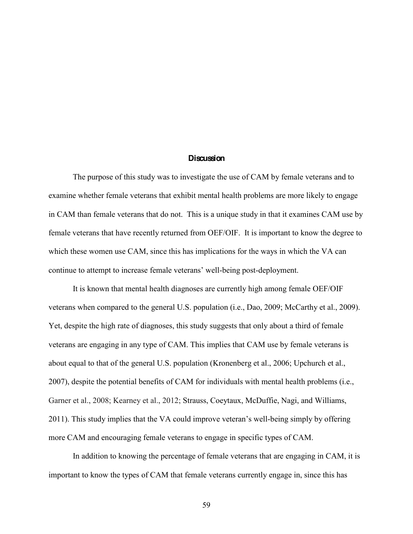### **Discussion**

The purpose of this study was to investigate the use of CAM by female veterans and to examine whether female veterans that exhibit mental health problems are more likely to engage in CAM than female veterans that do not. This is a unique study in that it examines CAM use by female veterans that have recently returned from OEF/OIF. It is important to know the degree to which these women use CAM, since this has implications for the ways in which the VA can continue to attempt to increase female veterans' well-being post-deployment.

It is known that mental health diagnoses are currently high among female OEF/OIF veterans when compared to the general U.S. population (i.e., Dao, 2009; McCarthy et al., 2009). Yet, despite the high rate of diagnoses, this study suggests that only about a third of female veterans are engaging in any type of CAM. This implies that CAM use by female veterans is about equal to that of the general U.S. population (Kronenberg et al., 2006; Upchurch et al., 2007), despite the potential benefits of CAM for individuals with mental health problems (i.e., Garner et al., 2008; Kearney et al., 2012; Strauss, Coeytaux, McDuffie, Nagi, and Williams, 2011). This study implies that the VA could improve veteran's well-being simply by offering more CAM and encouraging female veterans to engage in specific types of CAM.

In addition to knowing the percentage of female veterans that are engaging in CAM, it is important to know the types of CAM that female veterans currently engage in, since this has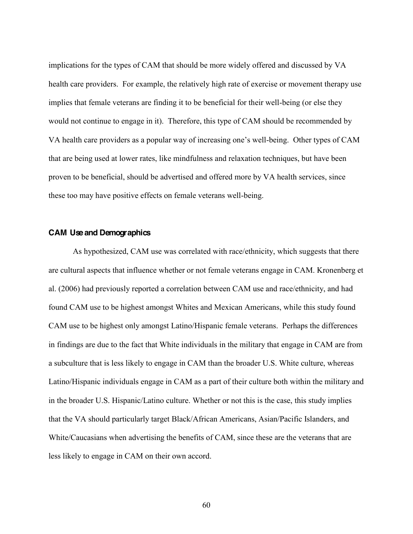implications for the types of CAM that should be more widely offered and discussed by VA health care providers. For example, the relatively high rate of exercise or movement therapy use implies that female veterans are finding it to be beneficial for their well-being (or else they would not continue to engage in it). Therefore, this type of CAM should be recommended by VA health care providers as a popular way of increasing one's well-being. Other types of CAM that are being used at lower rates, like mindfulness and relaxation techniques, but have been proven to be beneficial, should be advertised and offered more by VA health services, since these too may have positive effects on female veterans well-being.

### **CAM Use and Demographics**

As hypothesized, CAM use was correlated with race/ethnicity, which suggests that there are cultural aspects that influence whether or not female veterans engage in CAM. Kronenberg et al. (2006) had previously reported a correlation between CAM use and race/ethnicity, and had found CAM use to be highest amongst Whites and Mexican Americans, while this study found CAM use to be highest only amongst Latino/Hispanic female veterans. Perhaps the differences in findings are due to the fact that White individuals in the military that engage in CAM are from a subculture that is less likely to engage in CAM than the broader U.S. White culture, whereas Latino/Hispanic individuals engage in CAM as a part of their culture both within the military and in the broader U.S. Hispanic/Latino culture. Whether or not this is the case, this study implies that the VA should particularly target Black/African Americans, Asian/Pacific Islanders, and White/Caucasians when advertising the benefits of CAM, since these are the veterans that are less likely to engage in CAM on their own accord.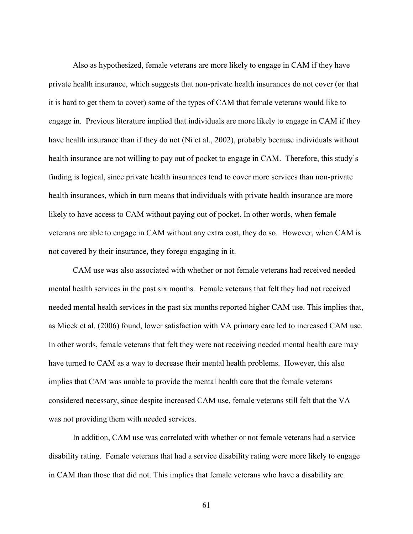Also as hypothesized, female veterans are more likely to engage in CAM if they have private health insurance, which suggests that non-private health insurances do not cover (or that it is hard to get them to cover) some of the types of CAM that female veterans would like to engage in. Previous literature implied that individuals are more likely to engage in CAM if they have health insurance than if they do not (Ni et al., 2002), probably because individuals without health insurance are not willing to pay out of pocket to engage in CAM. Therefore, this study's finding is logical, since private health insurances tend to cover more services than non-private health insurances, which in turn means that individuals with private health insurance are more likely to have access to CAM without paying out of pocket. In other words, when female veterans are able to engage in CAM without any extra cost, they do so. However, when CAM is not covered by their insurance, they forego engaging in it.

CAM use was also associated with whether or not female veterans had received needed mental health services in the past six months. Female veterans that felt they had not received needed mental health services in the past six months reported higher CAM use. This implies that, as Micek et al. (2006) found, lower satisfaction with VA primary care led to increased CAM use. In other words, female veterans that felt they were not receiving needed mental health care may have turned to CAM as a way to decrease their mental health problems. However, this also implies that CAM was unable to provide the mental health care that the female veterans considered necessary, since despite increased CAM use, female veterans still felt that the VA was not providing them with needed services.

In addition, CAM use was correlated with whether or not female veterans had a service disability rating. Female veterans that had a service disability rating were more likely to engage in CAM than those that did not. This implies that female veterans who have a disability are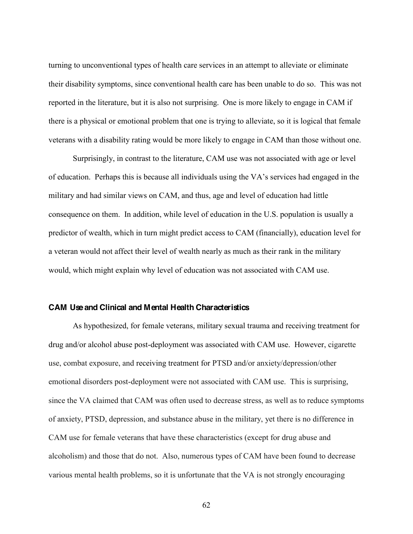turning to unconventional types of health care services in an attempt to alleviate or eliminate their disability symptoms, since conventional health care has been unable to do so. This was not reported in the literature, but it is also not surprising. One is more likely to engage in CAM if there is a physical or emotional problem that one is trying to alleviate, so it is logical that female veterans with a disability rating would be more likely to engage in CAM than those without one.

Surprisingly, in contrast to the literature, CAM use was not associated with age or level of education. Perhaps this is because all individuals using the VA's services had engaged in the military and had similar views on CAM, and thus, age and level of education had little consequence on them. In addition, while level of education in the U.S. population is usually a predictor of wealth, which in turn might predict access to CAM (financially), education level for a veteran would not affect their level of wealth nearly as much as their rank in the military would, which might explain why level of education was not associated with CAM use.

### **CAM Use and Clinical and Mental Health Characteristics**

As hypothesized, for female veterans, military sexual trauma and receiving treatment for drug and/or alcohol abuse post-deployment was associated with CAM use. However, cigarette use, combat exposure, and receiving treatment for PTSD and/or anxiety/depression/other emotional disorders post-deployment were not associated with CAM use. This is surprising, since the VA claimed that CAM was often used to decrease stress, as well as to reduce symptoms of anxiety, PTSD, depression, and substance abuse in the military, yet there is no difference in CAM use for female veterans that have these characteristics (except for drug abuse and alcoholism) and those that do not. Also, numerous types of CAM have been found to decrease various mental health problems, so it is unfortunate that the VA is not strongly encouraging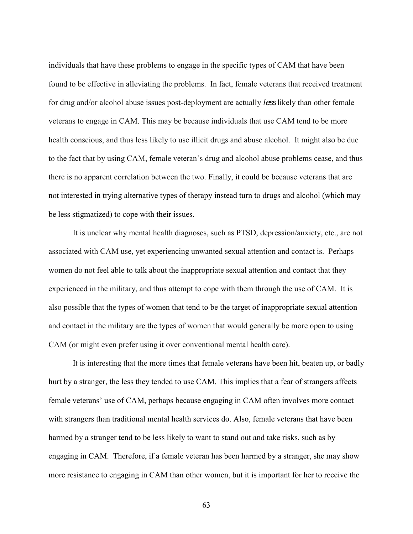individuals that have these problems to engage in the specific types of CAM that have been found to be effective in alleviating the problems. In fact, female veterans that received treatment for drug and/or alcohol abuse issues post-deployment are actually *less* likely than other female veterans to engage in CAM. This may be because individuals that use CAM tend to be more health conscious, and thus less likely to use illicit drugs and abuse alcohol. It might also be due to the fact that by using CAM, female veteran's drug and alcohol abuse problems cease, and thus there is no apparent correlation between the two. Finally, it could be because veterans that are not interested in trying alternative types of therapy instead turn to drugs and alcohol (which may be less stigmatized) to cope with their issues.

It is unclear why mental health diagnoses, such as PTSD, depression/anxiety, etc., are not associated with CAM use, yet experiencing unwanted sexual attention and contact is. Perhaps women do not feel able to talk about the inappropriate sexual attention and contact that they experienced in the military, and thus attempt to cope with them through the use of CAM. It is also possible that the types of women that tend to be the target of inappropriate sexual attention and contact in the military are the types of women that would generally be more open to using CAM (or might even prefer using it over conventional mental health care).

It is interesting that the more times that female veterans have been hit, beaten up, or badly hurt by a stranger, the less they tended to use CAM. This implies that a fear of strangers affects female veterans' use of CAM, perhaps because engaging in CAM often involves more contact with strangers than traditional mental health services do. Also, female veterans that have been harmed by a stranger tend to be less likely to want to stand out and take risks, such as by engaging in CAM. Therefore, if a female veteran has been harmed by a stranger, she may show more resistance to engaging in CAM than other women, but it is important for her to receive the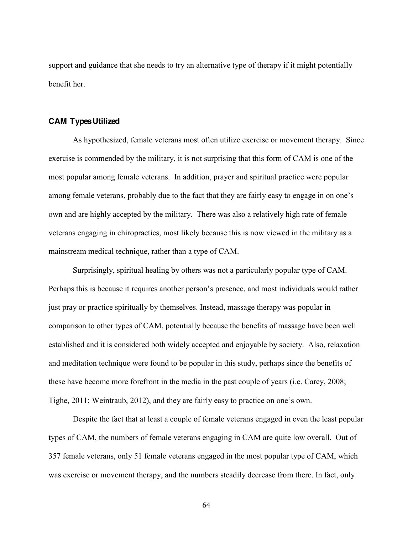support and guidance that she needs to try an alternative type of therapy if it might potentially benefit her.

### **CAM Types Utilized**

As hypothesized, female veterans most often utilize exercise or movement therapy. Since exercise is commended by the military, it is not surprising that this form of CAM is one of the most popular among female veterans. In addition, prayer and spiritual practice were popular among female veterans, probably due to the fact that they are fairly easy to engage in on one's own and are highly accepted by the military. There was also a relatively high rate of female veterans engaging in chiropractics, most likely because this is now viewed in the military as a mainstream medical technique, rather than a type of CAM.

Surprisingly, spiritual healing by others was not a particularly popular type of CAM. Perhaps this is because it requires another person's presence, and most individuals would rather just pray or practice spiritually by themselves. Instead, massage therapy was popular in comparison to other types of CAM, potentially because the benefits of massage have been well established and it is considered both widely accepted and enjoyable by society. Also, relaxation and meditation technique were found to be popular in this study, perhaps since the benefits of these have become more forefront in the media in the past couple of years (i.e. Carey, 2008; Tighe, 2011; Weintraub, 2012), and they are fairly easy to practice on one's own.

Despite the fact that at least a couple of female veterans engaged in even the least popular types of CAM, the numbers of female veterans engaging in CAM are quite low overall. Out of 357 female veterans, only 51 female veterans engaged in the most popular type of CAM, which was exercise or movement therapy, and the numbers steadily decrease from there. In fact, only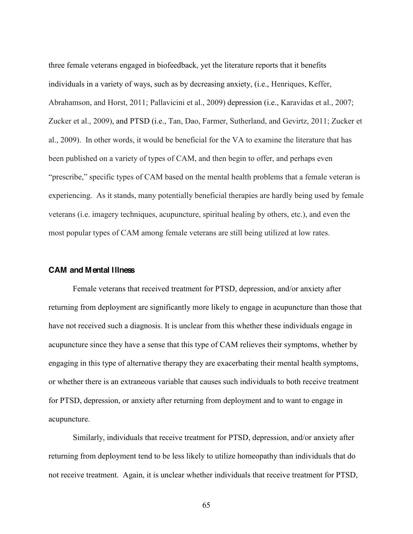three female veterans engaged in biofeedback, yet the literature reports that it benefits individuals in a variety of ways, such as by decreasing anxiety, (i.e., Henriques, Keffer, Abrahamson, and Horst, 2011; Pallavicini et al., 2009) depression (i.e., Karavidas et al., 2007; Zucker et al., 2009), and PTSD (i.e., Tan, Dao, Farmer, Sutherland, and Gevirtz, 2011; Zucker et al., 2009). In other words, it would be beneficial for the VA to examine the literature that has been published on a variety of types of CAM, and then begin to offer, and perhaps even "prescribe," specific types of CAM based on the mental health problems that a female veteran is experiencing. As it stands, many potentially beneficial therapies are hardly being used by female veterans (i.e. imagery techniques, acupuncture, spiritual healing by others, etc.), and even the most popular types of CAM among female veterans are still being utilized at low rates.

### **CAM and Mental Illness**

Female veterans that received treatment for PTSD, depression, and/or anxiety after returning from deployment are significantly more likely to engage in acupuncture than those that have not received such a diagnosis. It is unclear from this whether these individuals engage in acupuncture since they have a sense that this type of CAM relieves their symptoms, whether by engaging in this type of alternative therapy they are exacerbating their mental health symptoms, or whether there is an extraneous variable that causes such individuals to both receive treatment for PTSD, depression, or anxiety after returning from deployment and to want to engage in acupuncture.

Similarly, individuals that receive treatment for PTSD, depression, and/or anxiety after returning from deployment tend to be less likely to utilize homeopathy than individuals that do not receive treatment. Again, it is unclear whether individuals that receive treatment for PTSD,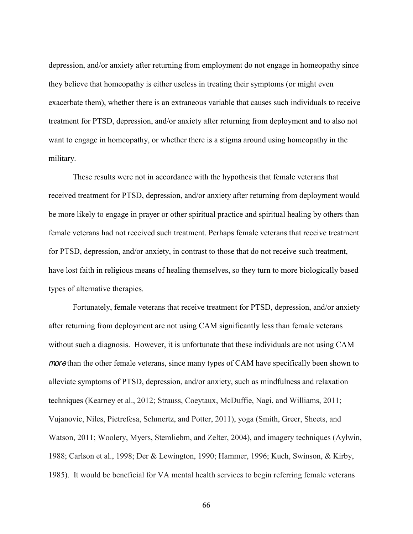depression, and/or anxiety after returning from employment do not engage in homeopathy since they believe that homeopathy is either useless in treating their symptoms (or might even exacerbate them), whether there is an extraneous variable that causes such individuals to receive treatment for PTSD, depression, and/or anxiety after returning from deployment and to also not want to engage in homeopathy, or whether there is a stigma around using homeopathy in the military.

These results were not in accordance with the hypothesis that female veterans that received treatment for PTSD, depression, and/or anxiety after returning from deployment would be more likely to engage in prayer or other spiritual practice and spiritual healing by others than female veterans had not received such treatment. Perhaps female veterans that receive treatment for PTSD, depression, and/or anxiety, in contrast to those that do not receive such treatment, have lost faith in religious means of healing themselves, so they turn to more biologically based types of alternative therapies.

Fortunately, female veterans that receive treatment for PTSD, depression, and/or anxiety after returning from deployment are not using CAM significantly less than female veterans without such a diagnosis. However, it is unfortunate that these individuals are not using CAM *more* than the other female veterans, since many types of CAM have specifically been shown to alleviate symptoms of PTSD, depression, and/or anxiety, such as mindfulness and relaxation techniques (Kearney et al., 2012; Strauss, Coeytaux, McDuffie, Nagi, and Williams, 2011; Vujanovic, Niles, Pietrefesa, Schmertz, and Potter, 2011), yoga (Smith, Greer, Sheets, and Watson, 2011; Woolery, Myers, Stemliebm, and Zelter, 2004), and imagery techniques (Aylwin, 1988; Carlson et al., 1998; Der & Lewington, 1990; Hammer, 1996; Kuch, Swinson, & Kirby, 1985). It would be beneficial for VA mental health services to begin referring female veterans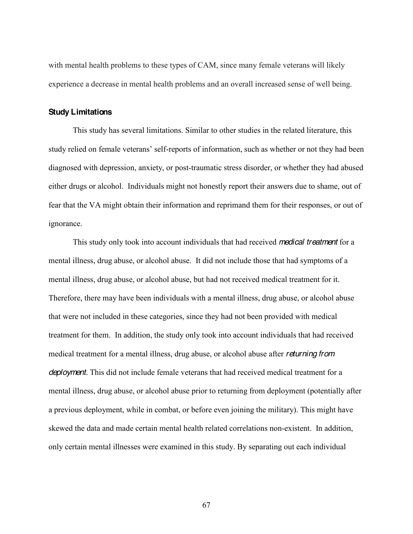with mental health problems to these types of CAM, since many female veterans will likely experience a decrease in mental health problems and an overall increased sense of well being.

# **Study Limitations**

This study has several limitations. Similar to other studies in the related literature, this study relied on female veterans' self-reports of information, such as whether or not they had been diagnosed with depression, anxiety, or post-traumatic stress disorder, or whether they had abused either drugs or alcohol. Individuals might not honestly report their answers due to shame, out of fear that the VA might obtain their information and reprimand them for their responses, or out of ignorance.

This study only took into account individuals that had received *medical treatment* for a mental illness, drug abuse, or alcohol abuse. It did not include those that had symptoms of a mental illness, drug abuse, or alcohol abuse, but had not received medical treatment for it. Therefore, there may have been individuals with a mental illness, drug abuse, or alcohol abuse that were not included in these categories, since they had not been provided with medical treatment for them. In addition, the study only took into account individuals that had received medical treatment for a mental illness, drug abuse, or alcohol abuse after *returning from deployment.* This did not include female veterans that had received medical treatment for a mental illness, drug abuse, or alcohol abuse prior to returning from deployment (potentially after a previous deployment, while in combat, or before even joining the military). This might have skewed the data and made certain mental health related correlations non-existent. In addition, only certain mental illnesses were examined in this study. By separating out each individual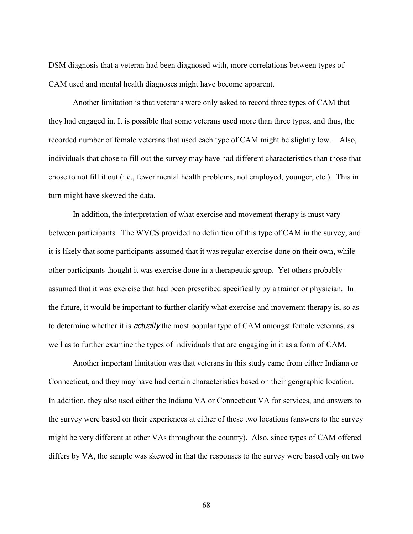DSM diagnosis that a veteran had been diagnosed with, more correlations between types of CAM used and mental health diagnoses might have become apparent.

Another limitation is that veterans were only asked to record three types of CAM that they had engaged in. It is possible that some veterans used more than three types, and thus, the recorded number of female veterans that used each type of CAM might be slightly low. Also, individuals that chose to fill out the survey may have had different characteristics than those that chose to not fill it out (i.e., fewer mental health problems, not employed, younger, etc.). This in turn might have skewed the data.

In addition, the interpretation of what exercise and movement therapy is must vary between participants. The WVCS provided no definition of this type of CAM in the survey, and it is likely that some participants assumed that it was regular exercise done on their own, while other participants thought it was exercise done in a therapeutic group. Yet others probably assumed that it was exercise that had been prescribed specifically by a trainer or physician. In the future, it would be important to further clarify what exercise and movement therapy is, so as to determine whether it is *actually* the most popular type of CAM amongst female veterans, as well as to further examine the types of individuals that are engaging in it as a form of CAM.

Another important limitation was that veterans in this study came from either Indiana or Connecticut, and they may have had certain characteristics based on their geographic location. In addition, they also used either the Indiana VA or Connecticut VA for services, and answers to the survey were based on their experiences at either of these two locations (answers to the survey might be very different at other VAs throughout the country). Also, since types of CAM offered differs by VA, the sample was skewed in that the responses to the survey were based only on two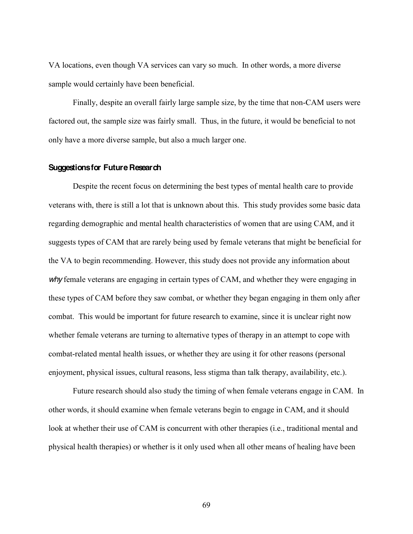VA locations, even though VA services can vary so much. In other words, a more diverse sample would certainly have been beneficial.

Finally, despite an overall fairly large sample size, by the time that non-CAM users were factored out, the sample size was fairly small. Thus, in the future, it would be beneficial to not only have a more diverse sample, but also a much larger one.

## **Suggestions for Future Research**

Despite the recent focus on determining the best types of mental health care to provide veterans with, there is still a lot that is unknown about this. This study provides some basic data regarding demographic and mental health characteristics of women that are using CAM, and it suggests types of CAM that are rarely being used by female veterans that might be beneficial for the VA to begin recommending. However, this study does not provide any information about *why* female veterans are engaging in certain types of CAM, and whether they were engaging in these types of CAM before they saw combat, or whether they began engaging in them only after combat. This would be important for future research to examine, since it is unclear right now whether female veterans are turning to alternative types of therapy in an attempt to cope with combat-related mental health issues, or whether they are using it for other reasons (personal enjoyment, physical issues, cultural reasons, less stigma than talk therapy, availability, etc.).

Future research should also study the timing of when female veterans engage in CAM. In other words, it should examine when female veterans begin to engage in CAM, and it should look at whether their use of CAM is concurrent with other therapies (i.e., traditional mental and physical health therapies) or whether is it only used when all other means of healing have been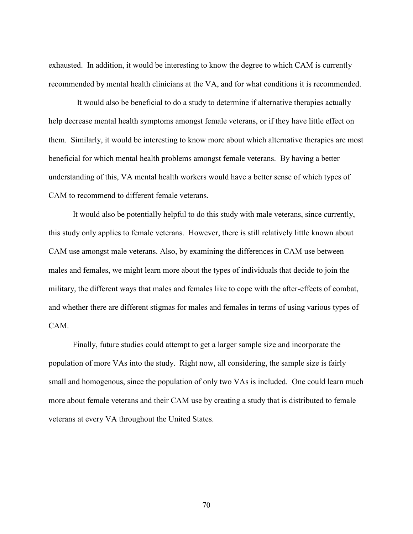exhausted. In addition, it would be interesting to know the degree to which CAM is currently recommended by mental health clinicians at the VA, and for what conditions it is recommended.

 It would also be beneficial to do a study to determine if alternative therapies actually help decrease mental health symptoms amongst female veterans, or if they have little effect on them. Similarly, it would be interesting to know more about which alternative therapies are most beneficial for which mental health problems amongst female veterans. By having a better understanding of this, VA mental health workers would have a better sense of which types of CAM to recommend to different female veterans.

It would also be potentially helpful to do this study with male veterans, since currently, this study only applies to female veterans. However, there is still relatively little known about CAM use amongst male veterans. Also, by examining the differences in CAM use between males and females, we might learn more about the types of individuals that decide to join the military, the different ways that males and females like to cope with the after-effects of combat, and whether there are different stigmas for males and females in terms of using various types of CAM.

Finally, future studies could attempt to get a larger sample size and incorporate the population of more VAs into the study. Right now, all considering, the sample size is fairly small and homogenous, since the population of only two VAs is included. One could learn much more about female veterans and their CAM use by creating a study that is distributed to female veterans at every VA throughout the United States.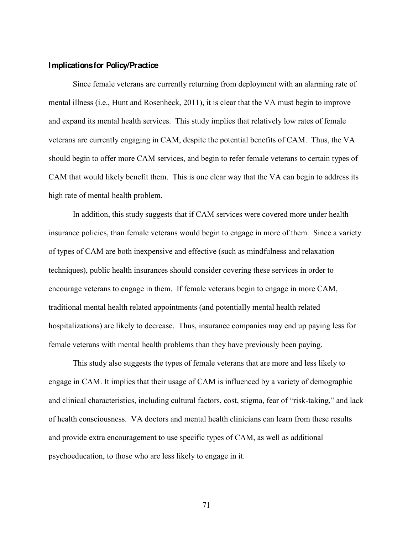### **Implications for Policy/Practice**

Since female veterans are currently returning from deployment with an alarming rate of mental illness (i.e., Hunt and Rosenheck, 2011), it is clear that the VA must begin to improve and expand its mental health services. This study implies that relatively low rates of female veterans are currently engaging in CAM, despite the potential benefits of CAM. Thus, the VA should begin to offer more CAM services, and begin to refer female veterans to certain types of CAM that would likely benefit them. This is one clear way that the VA can begin to address its high rate of mental health problem.

In addition, this study suggests that if CAM services were covered more under health insurance policies, than female veterans would begin to engage in more of them. Since a variety of types of CAM are both inexpensive and effective (such as mindfulness and relaxation techniques), public health insurances should consider covering these services in order to encourage veterans to engage in them. If female veterans begin to engage in more CAM, traditional mental health related appointments (and potentially mental health related hospitalizations) are likely to decrease. Thus, insurance companies may end up paying less for female veterans with mental health problems than they have previously been paying.

This study also suggests the types of female veterans that are more and less likely to engage in CAM. It implies that their usage of CAM is influenced by a variety of demographic and clinical characteristics, including cultural factors, cost, stigma, fear of "risk-taking," and lack of health consciousness. VA doctors and mental health clinicians can learn from these results and provide extra encouragement to use specific types of CAM, as well as additional psychoeducation, to those who are less likely to engage in it.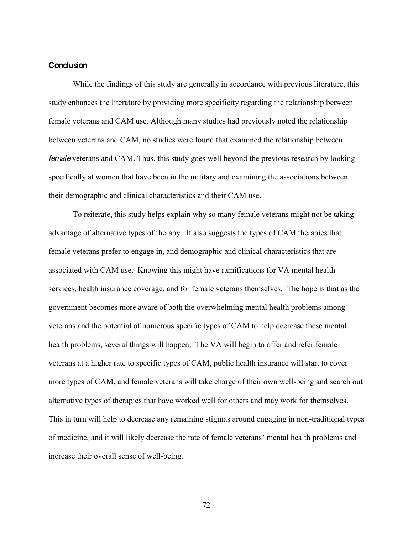# **Conclusion**

While the findings of this study are generally in accordance with previous literature, this study enhances the literature by providing more specificity regarding the relationship between female veterans and CAM use. Although many studies had previously noted the relationship between veterans and CAM, no studies were found that examined the relationship between *female* veterans and CAM. Thus, this study goes well beyond the previous research by looking specifically at women that have been in the military and examining the associations between their demographic and clinical characteristics and their CAM use.

To reiterate, this study helps explain why so many female veterans might not be taking advantage of alternative types of therapy. It also suggests the types of CAM therapies that female veterans prefer to engage in, and demographic and clinical characteristics that are associated with CAM use. Knowing this might have ramifications for VA mental health services, health insurance coverage, and for female veterans themselves. The hope is that as the government becomes more aware of both the overwhelming mental health problems among veterans and the potential of numerous specific types of CAM to help decrease these mental health problems, several things will happen: The VA will begin to offer and refer female veterans at a higher rate to specific types of CAM, public health insurance will start to cover more types of CAM, and female veterans will take charge of their own well-being and search out alternative types of therapies that have worked well for others and may work for themselves. This in turn will help to decrease any remaining stigmas around engaging in non-traditional types of medicine, and it will likely decrease the rate of female veterans' mental health problems and increase their overall sense of well-being.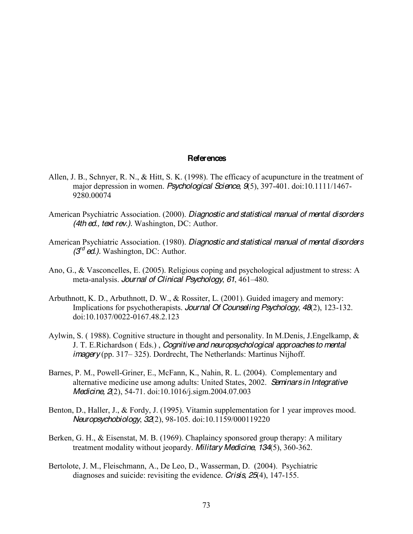### **References**

- Allen, J. B., Schnyer, R. N., & Hitt, S. K. (1998). The efficacy of acupuncture in the treatment of major depression in women. *Psychological Science*, *9*(5), 397-401. doi:10.1111/1467- 9280.00074
- American Psychiatric Association. (2000). *Diagnostic and statistical manual of mental disorders (4th ed., text rev.).* Washington, DC: Author.
- American Psychiatric Association. (1980). *Diagnostic and statistical manual of mental disorders (3rd ed.).* Washington, DC: Author.
- Ano, G., & Vasconcelles, E. (2005). Religious coping and psychological adjustment to stress: A meta-analysis. *Journal of Clinical Psychology*, 61, 461-480.
- Arbuthnott, K. D., Arbuthnott, D. W., & Rossiter, L. (2001). Guided imagery and memory: Implications for psychotherapists. *Journal Of Counseling Psychology*, *48*(2), 123-132. doi:10.1037/0022-0167.48.2.123
- Aylwin, S. ( 1988). Cognitive structure in thought and personality. In M.Denis, J.Engelkamp, & J. T. E.Richardson ( Eds.) , *Cognitive and neuropsychological approaches to mental imagery* (pp. 317–325). Dordrecht, The Netherlands: Martinus Nijhoff.
- Barnes, P. M., Powell-Griner, E., McFann, K., Nahin, R. L. (2004). Complementary and alternative medicine use among adults: United States, 2002. *Seminars in Integrative Medicine, 2*(2), 54-71. doi:10.1016/j.sigm.2004.07.003
- Benton, D., Haller, J., & Fordy, J. (1995). Vitamin supplementation for 1 year improves mood. *Neuropsychobiology*, *32*(2), 98-105. doi:10.1159/000119220
- Berken, G. H., & Eisenstat, M. B. (1969). Chaplaincy sponsored group therapy: A military treatment modality without jeopardy. *Military Medicine*, *134*(5), 360-362.
- Bertolote, J. M., Fleischmann, A., De Leo, D., Wasserman, D. (2004). Psychiatric diagnoses and suicide: revisiting the evidence. *Crisis, 25*(4), 147-155.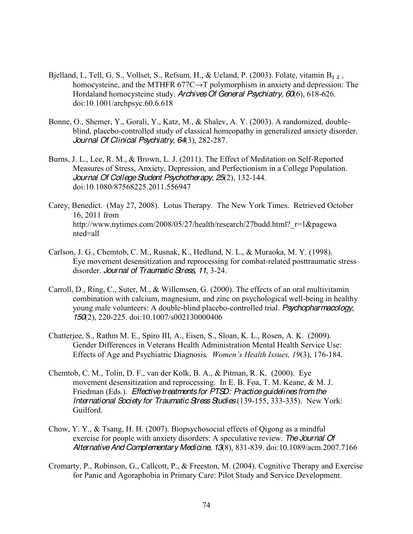- Bjelland, I., Tell, G. S., Vollset, S., Refsum, H., & Ueland, P. (2003). Folate, vitamin  $B_{1,2}$ , homocysteine, and the MTHFR  $677C \rightarrow T$  polymorphism in anxiety and depression: The Hordaland homocysteine study. *Archives Of General Psychiatry*, *60*(6), 618-626. doi:10.1001/archpsyc.60.6.618
- Bonne, O., Shemer, Y., Gorali, Y., Katz, M., & Shalev, A. Y. (2003). A randomized, doubleblind, placebo-controlled study of classical homeopathy in generalized anxiety disorder. *Journal Of Clinical Psychiatry*, *64*(3), 282-287.
- Burns, J. L., Lee, R. M., & Brown, L. J. (2011). The Effect of Meditation on Self-Reported Measures of Stress, Anxiety, Depression, and Perfectionism in a College Population. *Journal Of College Student Psychotherapy*, *25*(2), 132-144. doi:10.1080/87568225.2011.556947
- Carey, Benedict. (May 27, 2008). Lotus Therapy. The New York Times. Retrieved October 16, 2011 from http://www.nytimes.com/2008/05/27/health/research/27budd.html?\_r=1&pagewa nted=all
- Carlson, J. G., Chemtob, C. M., Rusnak, K., Hedlund, N. L., & Muraoka, M. Y. (1998). Eye movement desensitization and reprocessing for combat-related posttraumatic stress disorder. *Journal of Traumatic Stress, 11*, 3-24.
- Carroll, D., Ring, C., Suter, M., & Willemsen, G. (2000). The effects of an oral multivitamin combination with calcium, magnesium, and zinc on psychological well-being in healthy young male volunteers: A double-blind placebo-controlled trial. *Psychopharmacology*, *150*(2), 220-225. doi:10.1007/s002130000406
- Chatterjee, S., Rathm M. E., Spiro III, A., Eisen, S., Sloan, K. L., Rosen, A. K. (2009). Gender Differences in Veterans Health Administration Mental Health Service Use: Effects of Age and Psychiatric Diagnosis. Women's Health Issues, 19(3), 176-184.
- Chemtob, C. M., Tolin, D. F., van der Kolk, B. A., & Pitman, R. K. (2000). Eye movement desensitization and reprocessing. In E. B. Foa, T. M. Keane, & M. J. Friedman (Eds.). *Effective treatments for PTSD: Practice guidelines from the International Society for Traumatic Stress Studies* (139-155, 333-335). New York: Guilford.
- Chow, Y. Y., & Tsang, H. H. (2007). Biopsychosocial effects of Qigong as a mindful exercise for people with anxiety disorders: A speculative review. *The Journal Of Alternative And Complementary Medicine*, *13*(8), 831-839. doi:10.1089/acm.2007.7166
- Cromarty, P., Robinson, G., Callcott, P., & Freeston, M. (2004). Cognitive Therapy and Exercise for Panic and Agoraphobia in Primary Care: Pilot Study and Service Development.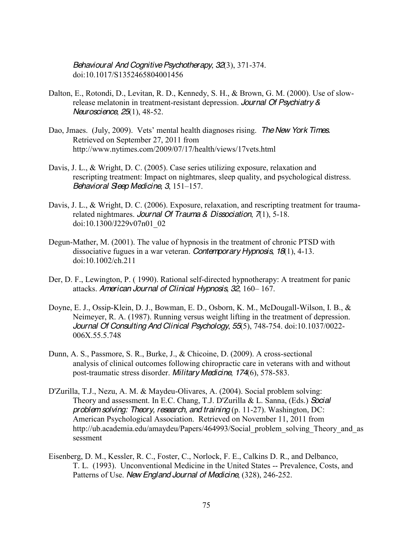*Behavioural And Cognitive Psychotherapy*, *32*(3), 371-374. doi:10.1017/S1352465804001456

- Dalton, E., Rotondi, D., Levitan, R. D., Kennedy, S. H., & Brown, G. M. (2000). Use of slowrelease melatonin in treatment-resistant depression. *Journal Of Psychiatry & Neuroscience*, *25*(1), 48-52.
- Dao, Jmaes. (July, 2009). Vets' mental health diagnoses rising. The New York Times. Retrieved on September 27, 2011 from http://www.nytimes.com/2009/07/17/health/views/17vets.html
- Davis, J. L., & Wright, D. C. (2005). Case series utilizing exposure, relaxation and rescripting treatment: Impact on nightmares, sleep quality, and psychological distress. *Behavioral Sleep Medicine, 3, 151–157.*
- Davis, J. L., & Wright, D. C. (2006). Exposure, relaxation, and rescripting treatment for traumarelated nightmares. *Journal Of Trauma & Dissociation*, *7*(1), 5-18. doi:10.1300/J229v07n01\_02
- Degun-Mather, M. (2001). The value of hypnosis in the treatment of chronic PTSD with dissociative fugues in a war veteran. *Contemporary Hypnosis*, *18*(1), 4-13. doi:10.1002/ch.211
- Der, D. F., Lewington, P. ( 1990). Rational self-directed hypnotherapy: A treatment for panic attacks. *American Journal of Clinical Hypnosis*, 32, 160-167.
- Doyne, E. J., Ossip-Klein, D. J., Bowman, E. D., Osborn, K. M., McDougall-Wilson, I. B., & Neimeyer, R. A. (1987). Running versus weight lifting in the treatment of depression. *Journal Of Consulting And Clinical Psychology*, *55*(5), 748-754. doi:10.1037/0022- 006X.55.5.748
- Dunn, A. S., Passmore, S. R., Burke, J., & Chicoine, D. (2009). A cross-sectional analysis of clinical outcomes following chiropractic care in veterans with and without post-traumatic stress disorder. *Military Medicine*, *174*(6), 578-583.
- D'Zurilla, T.J., Nezu, A. M. & Maydeu-Olivares, A. (2004). Social problem solving: Theory and assessment. In E.C. Chang, T.J. D'Zurilla & L. Sanna, (Eds.) *Social problem solving: Theory, research, and training* (p. 11-27). Washington, DC: American Psychological Association. Retrieved on November 11, 2011 from http://ub.academia.edu/amaydeu/Papers/464993/Social\_problem\_solving\_Theory\_and\_as sessment
- Eisenberg, D. M., Kessler, R. C., Foster, C., Norlock, F. E., Calkins D. R., and Delbanco, T. L. (1993). Unconventional Medicine in the United States -- Prevalence, Costs, and Patterns of Use. *New England Journal of Medicine*, (328), 246-252.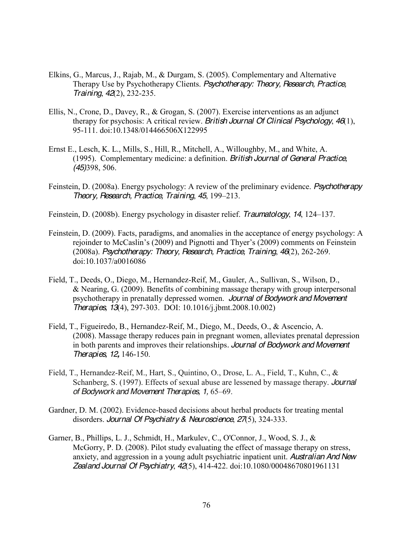- Elkins, G., Marcus, J., Rajab, M., & Durgam, S. (2005). Complementary and Alternative Therapy Use by Psychotherapy Clients. *Psychotherapy: Theory, Research, Practice, Training*, *42*(2), 232-235.
- Ellis, N., Crone, D., Davey, R., & Grogan, S. (2007). Exercise interventions as an adjunct therapy for psychosis: A critical review. *British Journal Of Clinical Psychology*, *46*(1), 95-111. doi:10.1348/014466506X122995
- Ernst E., Lesch, K. L., Mills, S., Hill, R., Mitchell, A., Willoughby, M., and White, A. (1995). Complementary medicine: a definition. *British Journal of General Practice, (45)*398, 506.
- Feinstein, D. (2008a). Energy psychology: A review of the preliminary evidence. *Psychotherapy Theory, Research, Practice, Training, 45, 199-213.*
- Feinstein, D. (2008b). Energy psychology in disaster relief. *Traumatology*, 14, 124–137.
- Feinstein, D. (2009). Facts, paradigms, and anomalies in the acceptance of energy psychology: A rejoinder to McCaslin's (2009) and Pignotti and Thyer's (2009) comments on Feinstein (2008a). *Psychotherapy: Theory, Research, Practice, Training*, *46*(2), 262-269. doi:10.1037/a0016086
- Field, T., Deeds, O., Diego, M., Hernandez-Reif, M., Gauler, A., Sullivan, S., Wilson, D., & Nearing, G. (2009). Benefits of combining massage therapy with group interpersonal psychotherapy in prenatally depressed women. *Journal of Bodywork and Movement Therapies, 13*(4), 297-303. DOI: 10.1016/j.jbmt.2008.10.002)
- Field, T., Figueiredo, B., Hernandez-Reif, M., Diego, M., Deeds, O., & Ascencio, A. (2008). Massage therapy reduces pain in pregnant women, alleviates prenatal depression in both parents and improves their relationships*. Journal of Bodywork and Movement Therapies, 12,* 146-150.
- Field, T., Hernandez-Reif, M., Hart, S., Quintino, O., Drose, L. A., Field, T., Kuhn, C., & Schanberg, S. (1997). Effects of sexual abuse are lessened by massage therapy. *Journal*  of Bodywork and Movement Therapies, 1, 65-69.
- Gardner, D. M. (2002). Evidence-based decisions about herbal products for treating mental disorders. *Journal Of Psychiatry & Neuroscience*, *27*(5), 324-333.
- Garner, B., Phillips, L. J., Schmidt, H., Markulev, C., O'Connor, J., Wood, S. J., & McGorry, P. D. (2008). Pilot study evaluating the effect of massage therapy on stress, anxiety, and aggression in a young adult psychiatric inpatient unit. *Australian And New Zealand Journal Of Psychiatry*, *42*(5), 414-422. doi:10.1080/00048670801961131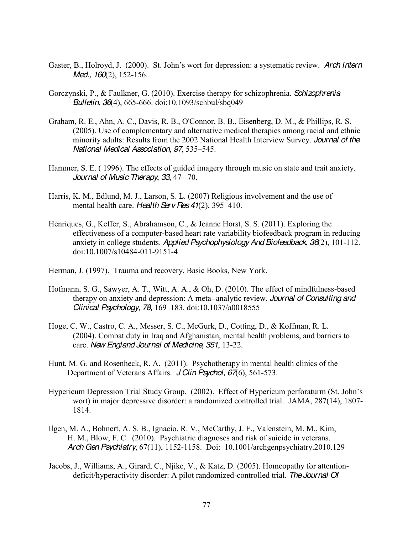- Gaster, B., Holroyd, J. (2000). St. John's wort for depression: a systematic review. *Arch Intern Med., 160*(2), 152-156.
- Gorczynski, P., & Faulkner, G. (2010). Exercise therapy for schizophrenia. *Schizophrenia Bulletin*, *36*(4), 665-666. doi:10.1093/schbul/sbq049
- Graham, R. E., Ahn, A. C., Davis, R. B., O'Connor, B. B., Eisenberg, D. M., & Phillips, R. S. (2005). Use of complementary and alternative medical therapies among racial and ethnic minority adults: Results from the 2002 National Health Interview Survey. *Journal of the National Medical Association, 97, 535-545.*
- Hammer, S. E. ( 1996). The effects of guided imagery through music on state and trait anxiety. *Journal of Music Therapy*, 33, 47 – 70.
- Harris, K. M., Edlund, M. J., Larson, S. L. (2007) Religious involvement and the use of mental health care. *Health Serv Res 41(2)*, 395–410.
- Henriques, G., Keffer, S., Abrahamson, C., & Jeanne Horst, S. S. (2011). Exploring the effectiveness of a computer-based heart rate variability biofeedback program in reducing anxiety in college students. *Applied Psychophysiology And Biofeedback*, *36*(2), 101-112. doi:10.1007/s10484-011-9151-4
- Herman, J. (1997). Trauma and recovery. Basic Books, New York.
- Hofmann, S. G., Sawyer, A. T., Witt, A. A., & Oh, D. (2010). The effect of mindfulness-based therapy on anxiety and depression: A meta- analytic review. *Journal of Consulting and Clinical Psychology, 78, 169-183. doi:10.1037/a0018555*
- Hoge, C. W., Castro, C. A., Messer, S. C., McGurk, D., Cotting, D., & Koffman, R. L. (2004). Combat duty in Iraq and Afghanistan, mental health problems, and barriers to care. *New England Journal of Medicine, 351*, 13-22.
- Hunt, M. G. and Rosenheck, R. A. (2011). Psychotherapy in mental health clinics of the Department of Veterans Affairs. *J Clin Psychol, 67*(6), 561-573.
- Hypericum Depression Trial Study Group. (2002). Effect of Hypericum perforaturm (St. John's wort) in major depressive disorder: a randomized controlled trial. JAMA, 287(14), 1807- 1814.
- Ilgen, M. A., Bohnert, A. S. B., Ignacio, R. V., McCarthy, J. F., Valenstein, M. M., Kim, H. M., Blow, F. C. (2010). Psychiatric diagnoses and risk of suicide in veterans. *Arch Gen Psychiatry*, 67(11), 1152-1158. Doi: 10.1001/archgenpsychiatry.2010.129
- Jacobs, J., Williams, A., Girard, C., Njike, V., & Katz, D. (2005). Homeopathy for attentiondeficit/hyperactivity disorder: A pilot randomized-controlled trial. *The Journal Of*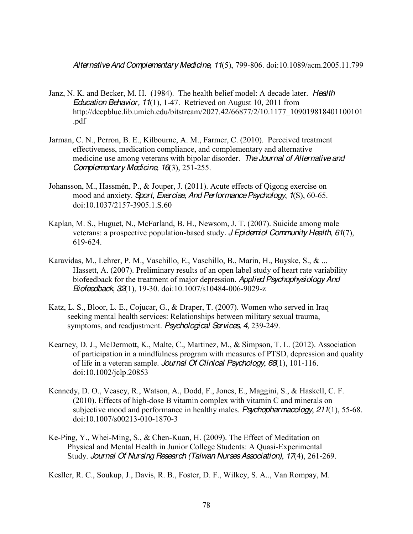*Alternative And Complementary Medicine*, *11*(5), 799-806. doi:10.1089/acm.2005.11.799

- Janz, N. K. and Becker, M. H. (1984). The health belief model: A decade later. *Health Education Behavior, 11*(1), 1-47. Retrieved on August 10, 2011 from http://deepblue.lib.umich.edu/bitstream/2027.42/66877/2/10.1177\_109019818401100101 .pdf
- Jarman, C. N., Perron, B. E., Kilbourne, A. M., Farmer, C. (2010). Perceived treatment effectiveness, medication compliance, and complementary and alternative medicine use among veterans with bipolar disorder. *The Journal of Alternative and Complementary Medicine, 16*(3), 251-255.
- Johansson, M., Hassmén, P., & Jouper, J. (2011). Acute effects of Qigong exercise on mood and anxiety. *Sport, Exercise, And Performance Psychology*, *1*(S), 60-65. doi:10.1037/2157-3905.1.S.60
- Kaplan, M. S., Huguet, N., McFarland, B. H., Newsom, J. T. (2007). Suicide among male veterans: a prospective population-based study*. J Epidemiol Community Health, 61*(7), 619-624.
- Karavidas, M., Lehrer, P. M., Vaschillo, E., Vaschillo, B., Marin, H., Buyske, S., & ... Hassett, A. (2007). Preliminary results of an open label study of heart rate variability biofeedback for the treatment of major depression. *Applied Psychophysiology And Biofeedback*, *32*(1), 19-30. doi:10.1007/s10484-006-9029-z
- Katz, L. S., Bloor, L. E., Cojucar, G., & Draper, T. (2007). Women who served in Iraq seeking mental health services: Relationships between military sexual trauma, symptoms, and readjustment. *Psychological Services, 4,* 239-249.
- Kearney, D. J., McDermott, K., Malte, C., Martinez, M., & Simpson, T. L. (2012). Association of participation in a mindfulness program with measures of PTSD, depression and quality of life in a veteran sample. *Journal Of Clinical Psychology*, *68*(1), 101-116. doi:10.1002/jclp.20853
- Kennedy, D. O., Veasey, R., Watson, A., Dodd, F., Jones, E., Maggini, S., & Haskell, C. F. (2010). Effects of high-dose B vitamin complex with vitamin C and minerals on subjective mood and performance in healthy males. *Psychopharmacology*, *211*(1), 55-68. doi:10.1007/s00213-010-1870-3
- Ke-Ping, Y., Whei-Ming, S., & Chen-Kuan, H. (2009). The Effect of Meditation on Physical and Mental Health in Junior College Students: A Quasi-Experimental Study. *Journal Of Nursing Research (Taiwan Nurses Association)*, *17*(4), 261-269.

Kesller, R. C., Soukup, J., Davis, R. B., Foster, D. F., Wilkey, S. A.., Van Rompay, M.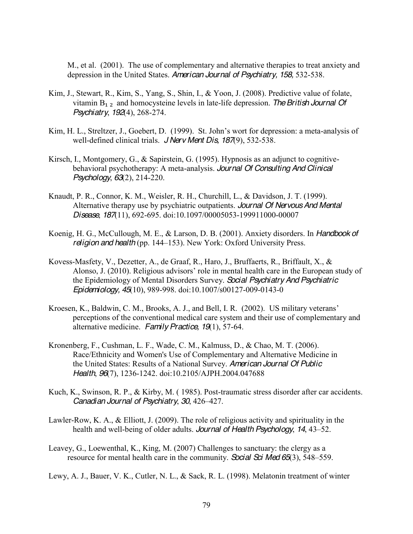M., et al. (2001). The use of complementary and alternative therapies to treat anxiety and depression in the United States. *American Journal of Psychiatry, 158,* 532-538.

- Kim, J., Stewart, R., Kim, S., Yang, S., Shin, I., & Yoon, J. (2008). Predictive value of folate, vitamin  $B_{1,2}$  and homocysteine levels in late-life depression. The British Journal Of *Psychiatry*, *192*(4), 268-274.
- Kim, H. L., Streltzer, J., Goebert, D. (1999). St. John's wort for depression: a meta-analysis of well-defined clinical trials. *J Nerv Ment Dis, 187*(9), 532-538.
- Kirsch, I., Montgomery, G., & Sapirstein, G. (1995). Hypnosis as an adjunct to cognitivebehavioral psychotherapy: A meta-analysis. *Journal Of Consulting And Clinical Psychology*, *63*(2), 214-220.
- Knaudt, P. R., Connor, K. M., Weisler, R. H., Churchill, L., & Davidson, J. T. (1999). Alternative therapy use by psychiatric outpatients. *Journal Of Nervous And Mental Disease*, *187*(11), 692-695. doi:10.1097/00005053-199911000-00007
- Koenig, H. G., McCullough, M. E., & Larson, D. B. (2001). Anxiety disorders. In *Handbook of religion and health* (pp. 144–153). New York: Oxford University Press.
- Kovess-Masfety, V., Dezetter, A., de Graaf, R., Haro, J., Bruffaerts, R., Briffault, X., & Alonso, J. (2010). Religious advisors' role in mental health care in the European study of the Epidemiology of Mental Disorders Survey. *Social Psychiatry And Psychiatric Epidemiology, 45*(10), 989-998. doi:10.1007/s00127-009-0143-0
- Kroesen, K., Baldwin, C. M., Brooks, A. J., and Bell, I. R. (2002). US military veterans' perceptions of the conventional medical care system and their use of complementary and alternative medicine. *Family Practice, 19*(1), 57-64.
- Kronenberg, F., Cushman, L. F., Wade, C. M., Kalmuss, D., & Chao, M. T. (2006). Race/Ethnicity and Women's Use of Complementary and Alternative Medicine in the United States: Results of a National Survey. *American Journal Of Public Health*, *96*(7), 1236-1242. doi:10.2105/AJPH.2004.047688
- Kuch, K., Swinson, R. P., & Kirby, M. ( 1985). Post-traumatic stress disorder after car accidents. *Canadian Journal of Psychiatry, 30, 426-427.*
- Lawler-Row, K. A., & Elliott, J. (2009). The role of religious activity and spirituality in the health and well-being of older adults. *Journal of Health Psychology*, 14, 43–52.
- Leavey, G., Loewenthal, K., King, M. (2007) Challenges to sanctuary: the clergy as a resource for mental health care in the community. *Social Sci Med 65*(3), 548–559.
- Lewy, A. J., Bauer, V. K., Cutler, N. L., & Sack, R. L. (1998). Melatonin treatment of winter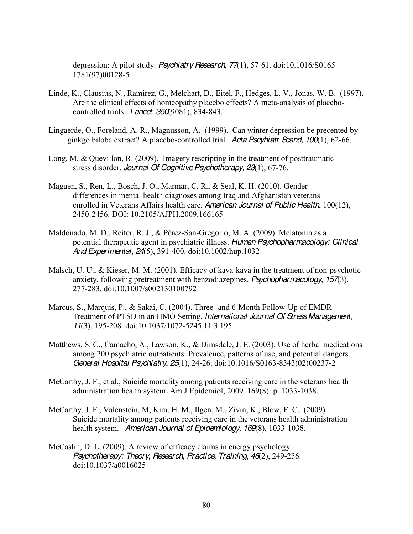depression: A pilot study. *Psychiatry Research*, *77*(1), 57-61. doi:10.1016/S0165- 1781(97)00128-5

- Linde, K., Clausius, N., Ramirez, G., Melchart, D., Eitel, F., Hedges, L. V., Jonas, W. B. (1997). Are the clinical effects of homeopathy placebo effects? A meta-analysis of placebocontrolled trials. *Lancet, 350*(9081), 834-843.
- Lingaerde, O., Foreland, A. R., Magnusson, A. (1999). Can winter depression be precented by ginkgo biloba extract? A placebo-controlled trial. *Acta Pscyhiatr Scand, 100*(1), 62-66.
- Long, M. & Quevillon, R. (2009). Imagery rescripting in the treatment of posttraumatic stress disorder. *Journal Of Cognitive Psychotherapy, 23*(1), 67-76.
- Maguen, S., Ren, L., Bosch, J. O., Marmar, C. R., & Seal, K. H. (2010). Gender differences in mental health diagnoses among Iraq and Afghanistan veterans enrolled in Veterans Affairs health care. *American Journal of Public Health*, 100(12), 2450-2456. DOI: 10.2105/AJPH.2009.166165
- Maldonado, M. D., Reiter, R. J., & Pérez-San-Gregorio, M. A. (2009). Melatonin as a potential therapeutic agent in psychiatric illness. *Human Psychopharmacology: Clinical And Experimental*, *24*(5), 391-400. doi:10.1002/hup.1032
- Malsch, U. U., & Kieser, M. M. (2001). Efficacy of kava-kava in the treatment of non-psychotic anxiety, following pretreatment with benzodiazepines. *Psychopharmacology*, *157*(3), 277-283. doi:10.1007/s002130100792
- Marcus, S., Marquis, P., & Sakai, C. (2004). Three- and 6-Month Follow-Up of EMDR Treatment of PTSD in an HMO Setting. *International Journal Of Stress Management*, *11*(3), 195-208. doi:10.1037/1072-5245.11.3.195
- Matthews, S. C., Camacho, A., Lawson, K., & Dimsdale, J. E. (2003). Use of herbal medications among 200 psychiatric outpatients: Prevalence, patterns of use, and potential dangers. *General Hospital Psychiatry*, *25*(1), 24-26. doi:10.1016/S0163-8343(02)00237-2
- McCarthy, J. F., et al., Suicide mortality among patients receiving care in the veterans health administration health system*.* Am J Epidemiol, 2009. 169(8): p. 1033-1038.
- McCarthy, J. F., Valenstein, M, Kim, H. M., Ilgen, M., Zivin, K., Blow, F. C. (2009). Suicide mortality among patients receiving care in the veterans health administration health system. *American Journal of Epidemiology, 169*(8), 1033-1038.
- McCaslin, D. L. (2009). A review of efficacy claims in energy psychology. *Psychotherapy: Theory, Research, Practice, Training*, *46*(2), 249-256. doi:10.1037/a0016025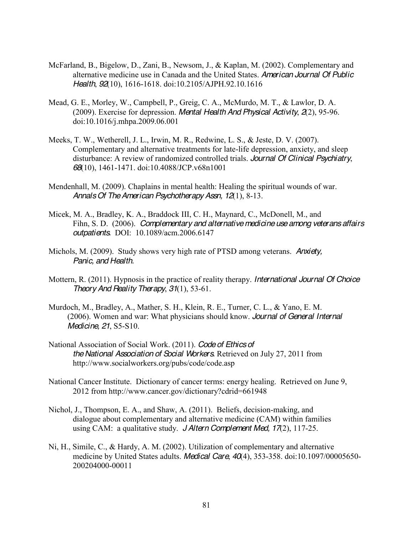- McFarland, B., Bigelow, D., Zani, B., Newsom, J., & Kaplan, M. (2002). Complementary and alternative medicine use in Canada and the United States. *American Journal Of Public Health*, *92*(10), 1616-1618. doi:10.2105/AJPH.92.10.1616
- Mead, G. E., Morley, W., Campbell, P., Greig, C. A., McMurdo, M. T., & Lawlor, D. A. (2009). Exercise for depression. *Mental Health And Physical Activity*, *2*(2), 95-96. doi:10.1016/j.mhpa.2009.06.001
- Meeks, T. W., Wetherell, J. L., Irwin, M. R., Redwine, L. S., & Jeste, D. V. (2007). Complementary and alternative treatments for late-life depression, anxiety, and sleep disturbance: A review of randomized controlled trials. *Journal Of Clinical Psychiatry*, *68*(10), 1461-1471. doi:10.4088/JCP.v68n1001
- Mendenhall, M. (2009). Chaplains in mental health: Healing the spiritual wounds of war. *Annals Of The American Psychotherapy Assn, 12*(1), 8-13.
- Micek, M. A., Bradley, K. A., Braddock III, C. H., Maynard, C., McDonell, M., and Fihn, S. D. (2006). *Complementary and alternative medicine use among veterans affairs outpatients.* DOI: 10.1089/acm.2006.6147
- Michols, M. (2009). Study shows very high rate of PTSD among veterans. *Anxiety, Panic, and Health.*
- Mottern, R. (2011). Hypnosis in the practice of reality therapy. *International Journal Of Choice Theory And Reality Therapy*, *31*(1), 53-61.
- Murdoch, M., Bradley, A., Mather, S. H., Klein, R. E., Turner, C. L., & Yano, E. M. (2006). Women and war: What physicians should know. *Journal of General Internal Medicine, 21*, S5-S10.
- National Association of Social Work. (2011). *Code of Ethics of the National Association of Social Workers.* Retrieved on July 27, 2011 from http://www.socialworkers.org/pubs/code/code.asp
- National Cancer Institute. Dictionary of cancer terms: energy healing. Retrieved on June 9, 2012 from http://www.cancer.gov/dictionary?cdrid=661948
- Nichol, J., Thompson, E. A., and Shaw, A. (2011). Beliefs, decision-making, and dialogue about complementary and alternative medicine (CAM) within families using CAM: a qualitative study. *J Altern Complement Med, 17*(2), 117-25.
- Ni, H., Simile, C., & Hardy, A. M. (2002). Utilization of complementary and alternative medicine by United States adults. *Medical Care*, *40*(4), 353-358. doi:10.1097/00005650- 200204000-00011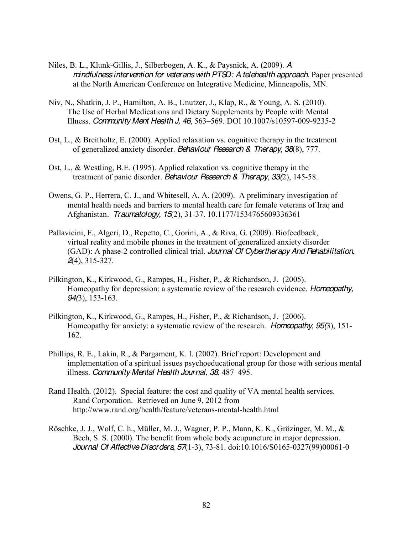- Niles, B. L., Klunk-Gillis, J., Silberbogen, A. K., & Paysnick, A. (2009). *A mindfulness intervention for veterans with PTSD: A telehealth approach.* Paper presented at the North American Conference on Integrative Medicine, Minneapolis, MN.
- Niv, N., Shatkin, J. P., Hamilton, A. B., Unutzer, J., Klap, R., & Young, A. S. (2010). The Use of Herbal Medications and Dietary Supplements by People with Mental Illness. *Community Ment Health J, 46*, 563±569. DOI 10.1007/s10597-009-9235-2
- Ost, L., & Breitholtz, E. (2000). Applied relaxation vs. cognitive therapy in the treatment of generalized anxiety disorder. *Behaviour Research & Therapy*, *38*(8), 777.
- Ost, L., & Westling, B.E. (1995). Applied relaxation vs. cognitive therapy in the treatment of panic disorder. *Behaviour Research & Therapy*, *33(*2), 145-58.
- Owens, G. P., Herrera, C. J., and Whitesell, A. A. (2009). A preliminary investigation of mental health needs and barriers to mental health care for female veterans of Iraq and Afghanistan*. Traumatology, 15*(2), 31-37. 10.1177/1534765609336361
- Pallavicini, F., Algeri, D., Repetto, C., Gorini, A., & Riva, G. (2009). Biofeedback, virtual reality and mobile phones in the treatment of generalized anxiety disorder (GAD): A phase-2 controlled clinical trial. *Journal Of Cybertherapy And Rehabilitation*, *2*(4), 315-327.
- Pilkington, K., Kirkwood, G., Rampes, H., Fisher, P., & Richardson, J. (2005). Homeopathy for depression: a systematic review of the research evidence. *Homeopathy, 94(*3), 153-163.
- Pilkington, K., Kirkwood, G., Rampes, H., Fisher, P., & Richardson, J. (2006). Homeopathy for anxiety: a systematic review of the research. *Homeopathy, 95(*3), 151- 162.
- Phillips, R. E., Lakin, R., & Pargament, K. I. (2002). Brief report: Development and implementation of a spiritual issues psychoeducational group for those with serious mental illness. *Community Mental Health Journal*, 38, 487–495.
- Rand Health. (2012). Special feature: the cost and quality of VA mental health services. Rand Corporation. Retrieved on June 9, 2012 from http://www.rand.org/health/feature/veterans-mental-health.html
- Röschke, J. J., Wolf, C. h., Müller, M. J., Wagner, P. P., Mann, K. K., Grözinger, M. M., & Bech, S. S. (2000). The benefit from whole body acupuncture in major depression. *Journal Of Affective Disorders*, *57*(1-3), 73-81. doi:10.1016/S0165-0327(99)00061-0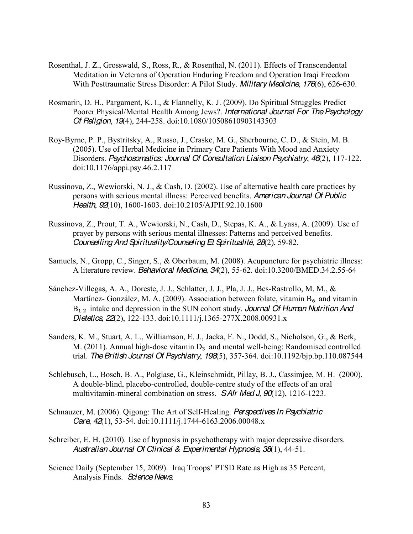- Rosenthal, J. Z., Grosswald, S., Ross, R., & Rosenthal, N. (2011). Effects of Transcendental Meditation in Veterans of Operation Enduring Freedom and Operation Iraqi Freedom With Posttraumatic Stress Disorder: A Pilot Study. *Military Medicine*, *176*(6), 626-630.
- Rosmarin, D. H., Pargament, K. I., & Flannelly, K. J. (2009). Do Spiritual Struggles Predict Poorer Physical/Mental Health Among Jews?. *International Journal For The Psychology Of Religion*, *19*(4), 244-258. doi:10.1080/10508610903143503
- Roy-Byrne, P. P., Bystritsky, A., Russo, J., Craske, M. G., Sherbourne, C. D., & Stein, M. B. (2005). Use of Herbal Medicine in Primary Care Patients With Mood and Anxiety Disorders. *Psychosomatics: Journal Of Consultation Liaison Psychiatry*, *46*(2), 117-122. doi:10.1176/appi.psy.46.2.117
- Russinova, Z., Wewiorski, N. J., & Cash, D. (2002). Use of alternative health care practices by persons with serious mental illness: Perceived benefits. *American Journal Of Public Health*, *92*(10), 1600-1603. doi:10.2105/AJPH.92.10.1600
- Russinova, Z., Prout, T. A., Wewiorski, N., Cash, D., Stepas, K. A., & Lyass, A. (2009). Use of prayer by persons with serious mental illnesses: Patterns and perceived benefits. *Counselling And Spirituality/Counseling Et Spiritualité*, *28*(2), 59-82.
- Samuels, N., Gropp, C., Singer, S., & Oberbaum, M. (2008). Acupuncture for psychiatric illness: A literature review. *Behavioral Medicine*, *34*(2), 55-62. doi:10.3200/BMED.34.2.55-64
- Sánchez-Villegas, A. A., Doreste, J. J., Schlatter, J. J., Pla, J. J., Bes-Rastrollo, M. M., & Martínez- González, M. A. (2009). Association between folate, vitamin  $B_6$  and vitamin B<sub>1,2</sub> intake and depression in the SUN cohort study. *Journal Of Human Nutrition And Dietetics*, *22*(2), 122-133. doi:10.1111/j.1365-277X.2008.00931.x
- Sanders, K. M., Stuart, A. L., Williamson, E. J., Jacka, F. N., Dodd, S., Nicholson, G., & Berk, M. (2011). Annual high-dose vitamin  $D_3$  and mental well-being: Randomised controlled trial. *The British Journal Of Psychiatry*, *198*(5), 357-364. doi:10.1192/bjp.bp.110.087544
- Schlebusch, L., Bosch, B. A., Polglase, G., Kleinschmidt, Pillay, B. J., Cassimjee, M. H. (2000). A double-blind, placebo-controlled, double-centre study of the effects of an oral multivitamin-mineral combination on stress. *S Afr Med J, 90*(12), 1216-1223.
- Schnauzer, M. (2006). Qigong: The Art of Self-Healing. *Perspectives In Psychiatric Care*, *42*(1), 53-54. doi:10.1111/j.1744-6163.2006.00048.x
- Schreiber, E. H. (2010). Use of hypnosis in psychotherapy with major depressive disorders. *Australian Journal Of Clinical & Experimental Hypnosis*, *38*(1), 44-51.
- Science Daily (September 15, 2009). Iraq Troops' PTSD Rate as High as 35 Percent, Analysis Finds. *Science News*.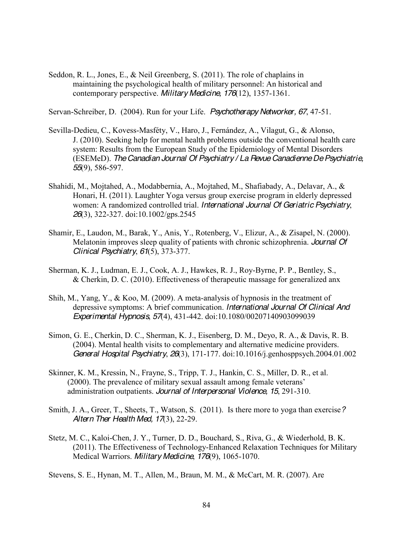Seddon, R. L., Jones, E., & Neil Greenberg, S. (2011). The role of chaplains in maintaining the psychological health of military personnel: An historical and contemporary perspective. *Military Medicine, 176*(12), 1357-1361.

Servan-Schreiber, D. (2004). Run for your Life. *Psychotherapy Networker, 67*, 47-51.

- Sevilla-Dedieu, C., Kovess-Masféty, V., Haro, J., Fernández, A., Vilagut, G., & Alonso, J. (2010). Seeking help for mental health problems outside the conventional health care system: Results from the European Study of the Epidemiology of Mental Disorders (ESEMeD). *The Canadian Journal Of Psychiatry / La RevueCanadienne De Psychiatrie, 55*(9), 586-597.
- Shahidi, M., Mojtahed, A., Modabbernia, A., Mojtahed, M., Shafiabady, A., Delavar, A., & Honari, H. (2011). Laughter Yoga versus group exercise program in elderly depressed women: A randomized controlled trial. *International Journal Of Geriatric Psychiatry*, *26*(3), 322-327. doi:10.1002/gps.2545
- Shamir, E., Laudon, M., Barak, Y., Anis, Y., Rotenberg, V., Elizur, A., & Zisapel, N. (2000). Melatonin improves sleep quality of patients with chronic schizophrenia. *Journal Of Clinical Psychiatry*, *61*(5), 373-377.
- Sherman, K. J., Ludman, E. J., Cook, A. J., Hawkes, R. J., Roy-Byrne, P. P., Bentley, S., & Cherkin, D. C. (2010). Effectiveness of therapeutic massage for generalized anx
- Shih, M., Yang, Y., & Koo, M. (2009). A meta-analysis of hypnosis in the treatment of depressive symptoms: A brief communication. *International Journal Of Clinical And Experimental Hypnosis*, *57*(4), 431-442. doi:10.1080/00207140903099039
- Simon, G. E., Cherkin, D. C., Sherman, K. J., Eisenberg, D. M., Deyo, R. A., & Davis, R. B. (2004). Mental health visits to complementary and alternative medicine providers. *General Hospital Psychiatry*, *26*(3), 171-177. doi:10.1016/j.genhosppsych.2004.01.002
- Skinner, K. M., Kressin, N., Frayne, S., Tripp, T. J., Hankin, C. S., Miller, D. R., et al. (2000). The prevalence of military sexual assault among female veterans' administration outpatients. *Journal of Interpersonal Violence, 15*, 291-310.
- Smith, J. A., Greer, T., Sheets, T., Watson, S. (2011). Is there more to yoga than exercise*? Altern Ther Health Med, 17*(3), 22-29.
- Stetz, M. C., Kaloi-Chen, J. Y., Turner, D. D., Bouchard, S., Riva, G., & Wiederhold, B. K. (2011). The Effectiveness of Technology-Enhanced Relaxation Techniques for Military Medical Warriors. *Military Medicine*, *176*(9), 1065-1070.

Stevens, S. E., Hynan, M. T., Allen, M., Braun, M. M., & McCart, M. R. (2007). Are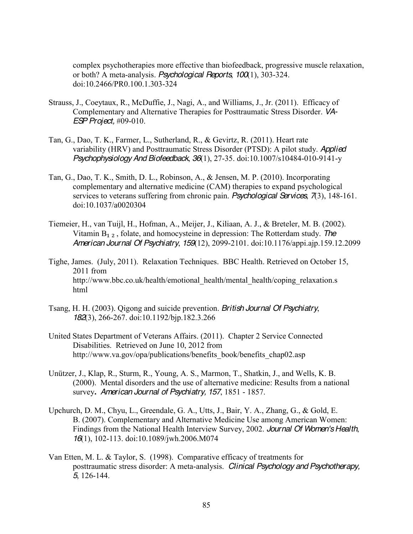complex psychotherapies more effective than biofeedback, progressive muscle relaxation, or both? A meta-analysis. *Psychological Reports*, *100*(1), 303-324. doi:10.2466/PR0.100.1.303-324

- Strauss, J., Coeytaux, R., McDuffie, J., Nagi, A., and Williams, J., Jr. (2011). Efficacy of Complementary and Alternative Therapies for Posttraumatic Stress Disorder. *VA-ESP Project,* #09-010.
- Tan, G., Dao, T. K., Farmer, L., Sutherland, R., & Gevirtz, R. (2011). Heart rate variability (HRV) and Posttraumatic Stress Disorder (PTSD): A pilot study. *Applied Psychophysiology And Biofeedback*, *36*(1), 27-35. doi:10.1007/s10484-010-9141-y
- Tan, G., Dao, T. K., Smith, D. L., Robinson, A., & Jensen, M. P. (2010). Incorporating complementary and alternative medicine (CAM) therapies to expand psychological services to veterans suffering from chronic pain. *Psychological Services*, *7*(3), 148-161. doi:10.1037/a0020304
- Tiemeier, H., van Tuijl, H., Hofman, A., Meijer, J., Kiliaan, A. J., & Breteler, M. B. (2002). Vitamin  $B_{1,2}$ , folate, and homocysteine in depression: The Rotterdam study. *The American Journal Of Psychiatry*, *159*(12), 2099-2101. doi:10.1176/appi.ajp.159.12.2099
- Tighe, James. (July, 2011). Relaxation Techniques. BBC Health. Retrieved on October 15, 2011 from http://www.bbc.co.uk/health/emotional\_health/mental\_health/coping\_relaxation.s html
- Tsang, H. H. (2003). Qigong and suicide prevention. *British Journal Of Psychiatry*, *182*(3), 266-267. doi:10.1192/bjp.182.3.266
- United States Department of Veterans Affairs. (2011). Chapter 2 Service Connected Disabilities. Retrieved on June 10, 2012 from http://www.va.gov/opa/publications/benefits book/benefits chap02.asp
- Unützer, J., Klap, R., Sturm, R., Young, A. S., Marmon, T., Shatkin, J., and Wells, K. B. (2000). Mental disorders and the use of alternative medicine: Results from a national survey**.** *American Journal of Psychiatry, 157*, 1851 - 1857.
- Upchurch, D. M., Chyu, L., Greendale, G. A., Utts, J., Bair, Y. A., Zhang, G., & Gold, E. B. (2007). Complementary and Alternative Medicine Use among American Women: Findings from the National Health Interview Survey, 2002. *Journal Of Women's Health*, *16*(1), 102-113. doi:10.1089/jwh.2006.M074
- Van Etten, M. L. & Taylor, S. (1998). Comparative efficacy of treatments for posttraumatic stress disorder: A meta-analysis. *Clinical Psychology and Psychotherapy, 5*, 126-144.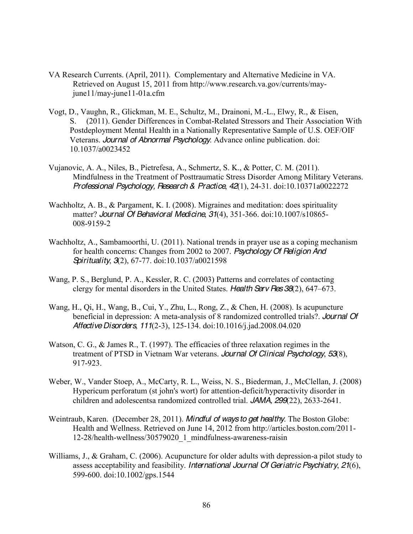- VA Research Currents. (April, 2011). Complementary and Alternative Medicine in VA. Retrieved on August 15, 2011 from http://www.research.va.gov/currents/mayjune11/may-june11-01a.cfm
- Vogt, D., Vaughn, R., Glickman, M. E., Schultz, M., Drainoni, M.-L., Elwy, R., & Eisen, S. (2011). Gender Differences in Combat-Related Stressors and Their Association With Postdeployment Mental Health in a Nationally Representative Sample of U.S. OEF/OIF Veterans. *Journal of Abnormal Psychology*. Advance online publication. doi: 10.1037/a0023452
- Vujanovic, A. A., Niles, B., Pietrefesa, A., Schmertz, S. K., & Potter, C. M. (2011). Mindfulness in the Treatment of Posttraumatic Stress Disorder Among Military Veterans. *Professional Psychology, Research & Practice*, *42*(1), 24-31. doi:10.10371a0022272
- Wachholtz, A. B., & Pargament, K. I. (2008). Migraines and meditation: does spirituality matter? *Journal Of Behavioral Medicine*, *31*(4), 351-366. doi:10.1007/s10865- 008-9159-2
- Wachholtz, A., Sambamoorthi, U. (2011). National trends in prayer use as a coping mechanism for health concerns: Changes from 2002 to 2007. *Psychology Of Religion And Spirituality*, *3*(2), 67-77. doi:10.1037/a0021598
- Wang, P. S., Berglund, P. A., Kessler, R. C. (2003) Patterns and correlates of contacting clergy for mental disorders in the United States. *Health Serv Res 38*(2), 647–673.
- Wang, H., Qi, H., Wang, B., Cui, Y., Zhu, L., Rong, Z., & Chen, H. (2008). Is acupuncture beneficial in depression: A meta-analysis of 8 randomized controlled trials?. *Journal Of Affective Disorders*, *111*(2-3), 125-134. doi:10.1016/j.jad.2008.04.020
- Watson, C. G., & James R., T. (1997). The efficacies of three relaxation regimes in the treatment of PTSD in Vietnam War veterans. *Journal Of Clinical Psychology*, *53*(8), 917-923.
- Weber, W., Vander Stoep, A., McCarty, R. L., Weiss, N. S., Biederman, J., McClellan, J. (2008) Hypericum perforatum (st john's wort) for attention-deficit/hyperactivity disorder in children and adolescentsa randomized controlled trial. *JAMA, 299*(22), 2633-2641.
- Weintraub, Karen. (December 28, 2011). *Mindful of ways to get healthy*. The Boston Globe: Health and Wellness. Retrieved on June 14, 2012 from http://articles.boston.com/2011- 12-28/health-wellness/30579020\_1\_mindfulness-awareness-raisin
- Williams, J., & Graham, C. (2006). Acupuncture for older adults with depression-a pilot study to assess acceptability and feasibility. *International Journal Of Geriatric Psychiatry*, *21*(6), 599-600. doi:10.1002/gps.1544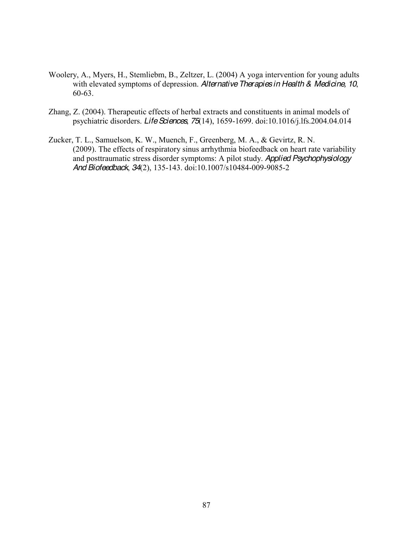- Woolery, A., Myers, H., Stemliebm, B., Zeltzer, L. (2004) A yoga intervention for young adults with elevated symptoms of depression. *Alternative Therapies in Health & Medicine, 10*, 60-63.
- Zhang, Z. (2004). Therapeutic effects of herbal extracts and constituents in animal models of psychiatric disorders. *Life Sciences*, *75*(14), 1659-1699. doi:10.1016/j.lfs.2004.04.014
- Zucker, T. L., Samuelson, K. W., Muench, F., Greenberg, M. A., & Gevirtz, R. N. (2009). The effects of respiratory sinus arrhythmia biofeedback on heart rate variability and posttraumatic stress disorder symptoms: A pilot study. *Applied Psychophysiology And Biofeedback*, *34*(2), 135-143. doi:10.1007/s10484-009-9085-2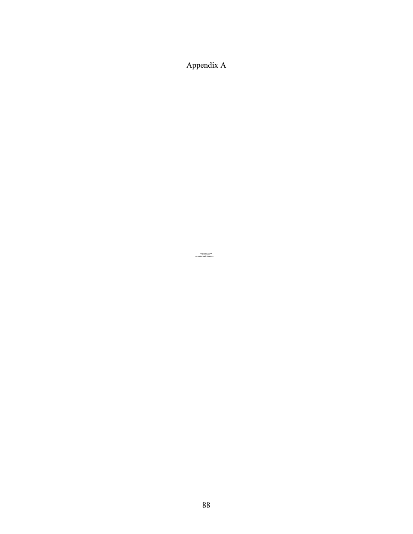Appendix A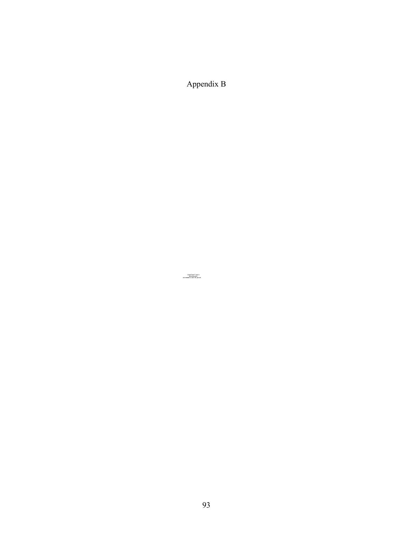Appendix B

4XLFN7LPHDQGD decompressor are needed to see this picture.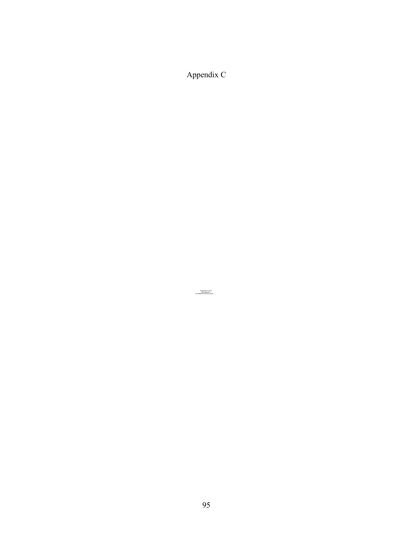Appendix C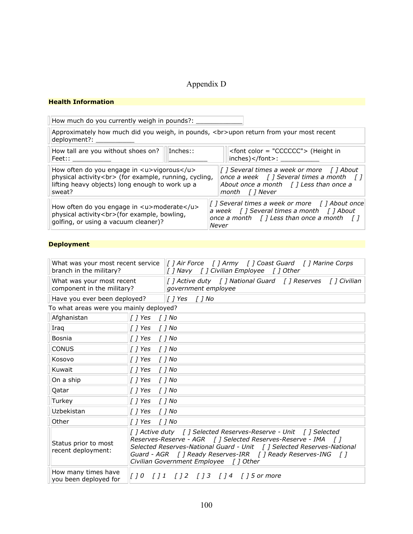# Appendix D

#### **Health'Information**

How much do you currently weigh in pounds?: Approximately how much did you weigh, in pounds, <br/>br>veloper return from your most recent deployment?: How tall are you without shoes on? Feet:: Inches:: \_\_\_\_\_\_\_\_\_\_! <font color = "CCCCCC"> (Height in  $|inches$ )</font>: \_ How often do you engage in <u>vigorous</u> physical activity<br> (for example, running, cycling, lifting heavy objects) long enough to work up a sweat? *["]"Several"times"a"week"or"more""" ["]"About" once a week* [] Several times a month [] About once a month [] Less than once a month [] Never How often do you engage in <u>moderate</u> physical activity<br>>>>>> (for example, bowling, golfing, or using a vacuum cleaner)? *["]"Several"times"a"week"or"more""" ["]"About"once"* a week [] Several times a month [] About *once a month* [] Less than once a month []  $Never$ 

#### **Deployment**

| What was your most recent service<br>branch in the military? |                                                                                                                                                                                                                                                         | [] Air Force [] Army [] Coast Guard [] Marine Corps<br>[] Navy [] Civilian Employee [] Other |  |
|--------------------------------------------------------------|---------------------------------------------------------------------------------------------------------------------------------------------------------------------------------------------------------------------------------------------------------|----------------------------------------------------------------------------------------------|--|
| What was your most recent<br>component in the military?      |                                                                                                                                                                                                                                                         | [] Active duty [] National Guard [] Reserves [] Civilian<br>government employee              |  |
| Have you ever been deployed?                                 |                                                                                                                                                                                                                                                         |                                                                                              |  |
| To what areas were you mainly deployed?                      |                                                                                                                                                                                                                                                         |                                                                                              |  |
| Afghanistan                                                  | $\lfloor$ ] Yes<br>$\int$ $\int$ No                                                                                                                                                                                                                     |                                                                                              |  |
| Iraq                                                         | $[$ $]$ Yes<br>$[]$ No                                                                                                                                                                                                                                  |                                                                                              |  |
| <b>Bosnia</b>                                                | [ ] Yes<br>$[]$ No                                                                                                                                                                                                                                      |                                                                                              |  |
| <b>CONUS</b>                                                 | [ ] Yes<br>$[$ $]$ No                                                                                                                                                                                                                                   |                                                                                              |  |
| Kosovo                                                       | $[$ $]$ Yes<br>$[]$ No                                                                                                                                                                                                                                  |                                                                                              |  |
| Kuwait                                                       | $[]$ Yes<br>$[$ $]$ No                                                                                                                                                                                                                                  |                                                                                              |  |
| On a ship                                                    | $[$ $]$ Yes<br>$[]$ No                                                                                                                                                                                                                                  |                                                                                              |  |
| Qatar                                                        | [ ] Yes<br>$[]$ No                                                                                                                                                                                                                                      |                                                                                              |  |
| Turkey                                                       | [ ] Yes<br>$[$ $]$ No                                                                                                                                                                                                                                   |                                                                                              |  |
| Uzbekistan                                                   | $[]$ Yes<br>$[]$ No                                                                                                                                                                                                                                     |                                                                                              |  |
| Other                                                        | $[$ $]$ Yes<br>$[]$ No                                                                                                                                                                                                                                  |                                                                                              |  |
| Status prior to most<br>recent deployment:                   | Reserves-Reserve - AGR [] Selected Reserves-Reserve - IMA []<br>Selected Reserves-National Guard - Unit [] Selected Reserves-National<br>Guard - AGR [] Ready Reserves-IRR [] Ready Reserves-ING<br>$\sqrt{1}$<br>Civilian Government Employee [] Other |                                                                                              |  |
| How many times have<br>you been deployed for                 |                                                                                                                                                                                                                                                         |                                                                                              |  |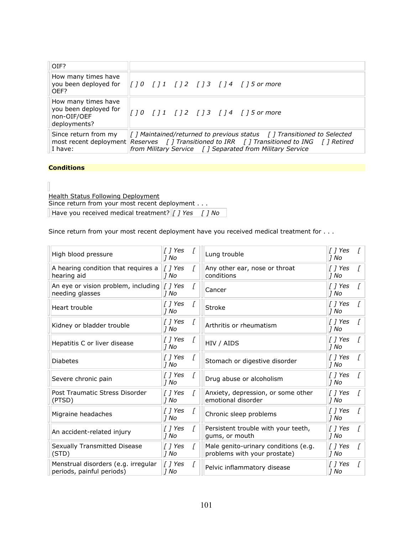| OIF?                                                                        |                                                                                                                                                                                                                                                              |
|-----------------------------------------------------------------------------|--------------------------------------------------------------------------------------------------------------------------------------------------------------------------------------------------------------------------------------------------------------|
| How many times have<br>OFF?                                                 | you been deployed for $\ f\ $ 0 $\ f\ $ 1 $\ f\ $ 2 $\ f\ $ 3 $\ f\ $ 1 $\ f\ $ 5 or more                                                                                                                                                                    |
| How many times have<br>you been deployed for<br>non-OIF/OEF<br>deployments? | [10 [11 [12 [13 [13 113 125]                                                                                                                                                                                                                                 |
| Since return from my<br>I have:                                             | $\int$ <i>[</i> ] Maintained/returned to previous status $\int$ <i>[</i> ] Transitioned to Selected<br>most recent deployment Reserves [] Transitioned to IRR [] Transitioned to ING [] Retired<br>from Military Service [ ] Separated from Military Service |

## **Conditions**

**Health Status Following Deployment** Since return from your most recent deployment . . . Have you received medical treatment? *['] Yes ['] No* 

Since return from your most recent deployment have you received medical treatment for . . .

| High blood pressure                                              | $\int$ $\int$ Yes<br> 1 No     |              | Lung trouble                                                         | $[$ $]$ Yes<br> 1 No |              |
|------------------------------------------------------------------|--------------------------------|--------------|----------------------------------------------------------------------|----------------------|--------------|
| A hearing condition that requires a<br>hearing aid               | $\int$ <i>I</i> Yes<br> 1 No   | F.           | Any other ear, nose or throat<br>conditions                          | T 1 Yes<br> 1 No     |              |
| An eye or vision problem, including<br>needing glasses           | $\vert$ [ $\vert$ Yes<br>17 No | ſ            | Cancer                                                               | [ ] Yes<br> 1 No     |              |
| Heart trouble                                                    | [ ] Yes<br>1 No                | ſ            | Stroke                                                               | T 1 Yes<br> 1 No     |              |
| Kidney or bladder trouble                                        | $[$ $]$ Yes<br> 1 No           | ſ            | Arthritis or rheumatism                                              | [ ] Yes<br> 1 No     |              |
| Hepatitis C or liver disease                                     | $\int$ <i>[ Yes</i><br>] No    | I            | HIV / AIDS                                                           | T 1 Yes<br> 1 No     |              |
| <b>Diabetes</b>                                                  | [ ] Yes<br>1 No                | ſ            | Stomach or digestive disorder                                        | T 1 Yes<br>1 No      | <sup>r</sup> |
| Severe chronic pain                                              | [ ] Yes<br>1 No                | ſ            | Drug abuse or alcoholism                                             | [ ] Yes<br> 1 No     |              |
| Post Traumatic Stress Disorder<br>(PTSD)                         | $\int$ <i>l</i> Yes<br>7 No    | <sup>-</sup> | Anxiety, depression, or some other<br>emotional disorder             | [ ] Yes<br>7 No      | <sup>[</sup> |
| Migraine headaches                                               | $\int$ <i>[ Yes</i><br>7 No    | ſ            | Chronic sleep problems                                               | [ ] Yes<br> 1 No     |              |
| An accident-related injury                                       | $[$ $]$ Yes<br>1 No            | f.           | Persistent trouble with your teeth,<br>gums, or mouth                | [ ] Yes<br> 1 No     | ſ            |
| <b>Sexually Transmitted Disease</b><br>(STD)                     | $[$ $]$ Yes<br>7 No            | L            | Male genito-urinary conditions (e.g.<br>problems with your prostate) | [ ] Yes<br>7 No      |              |
| Menstrual disorders (e.g. irregular<br>periods, painful periods) | $[$ $]$ Yes<br>7 No            | ſ            | Pelvic inflammatory disease                                          | I 1 Yes<br> 1 No     |              |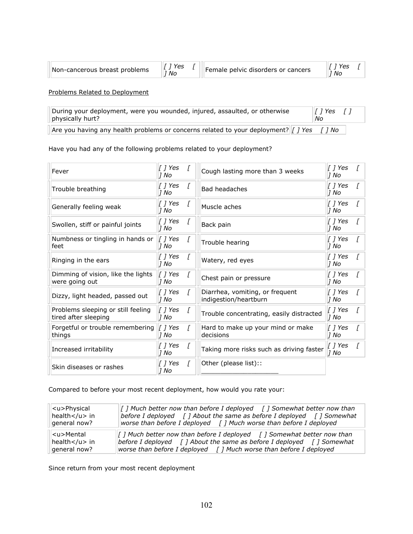| Non-cancerous breast problems | 'es<br>Νc | Female pelvic disorders or cancers | Νo |
|-------------------------------|-----------|------------------------------------|----|
|-------------------------------|-----------|------------------------------------|----|

Problems Related to Deployment

| During your deployment, were you wounded, injured, assaulted, or otherwise<br>physically hurt? | $\ I\ $ Yes $\ I\ $<br>No |  |
|------------------------------------------------------------------------------------------------|---------------------------|--|
| Are you having any health problems or concerns related to your deployment?   7 Yes             | ™ No                      |  |

Have you had any of the following problems related to your deployment?

| Fever                                                      | [ ] Yes<br>17 No             |   | Cough lasting more than 3 weeks                          | [ ] Yes<br>1 No     |  |
|------------------------------------------------------------|------------------------------|---|----------------------------------------------------------|---------------------|--|
| Trouble breathing                                          | [ ] Yes<br>17 No             |   | <b>Bad headaches</b>                                     | [ ] Yes<br>7 No     |  |
| Generally feeling weak                                     | [ ] Yes<br>17 No             |   | Muscle aches                                             | T 1 Yes<br>7 No     |  |
| Swollen, stiff or painful joints                           | [ ] Yes<br> 1 No             |   | Back pain                                                | [ ] Yes<br>1 No     |  |
| Numbness or tingling in hands or<br>feet                   | $\int$ <i>i</i> Yes<br> 1 No |   | Trouble hearing                                          | [ ] Yes<br>1 No     |  |
| Ringing in the ears                                        | [ ] Yes<br>17 No             |   | Watery, red eyes                                         | [ ] Yes<br>7 No     |  |
| Dimming of vision, like the lights<br>were going out       | [ ] Yes<br>17 No             |   | Chest pain or pressure                                   | [ ] Yes<br>1 No     |  |
| Dizzy, light headed, passed out                            | [ ] Yes<br> 1 No             |   | Diarrhea, vomiting, or frequent<br>indigestion/heartburn | [ ] Yes<br>7 No     |  |
| Problems sleeping or still feeling<br>tired after sleeping | [ ] Yes<br> 1 No             | L | Trouble concentrating, easily distracted                 | $[$ $]$ Yes<br>7 No |  |
| Forgetful or trouble remembering<br>things                 | [ ] Yes<br> 1 No             |   | Hard to make up your mind or make<br>decisions           | [ ] Yes<br> 1 No    |  |
| Increased irritability                                     | [ ] Yes<br>17 No             |   | Taking more risks such as driving faster                 | $[$ $]$ Yes<br>1 No |  |
| Skin diseases or rashes                                    | [ ] Yes<br>1 No              |   | Other (please list)::                                    |                     |  |

Compared to before your most recent deployment, how would you rate your:

| <u>Physical</u>        | $\int$ ] Much better now than before I deployed $\int$ ] Somewhat better now than |
|------------------------|-----------------------------------------------------------------------------------|
| health $\lt/$ u $>$ in | before I deployed $\int$ ] About the same as before I deployed $\int$ ] Somewhat  |
| general now?           | worse than before I deployed $\int$ ] Much worse than before I deployed           |
| <u>Mental</u>          | [ ] Much better now than before I deployed [ ] Somewhat better now than           |
| health $<$ /u $>$ in   | before I deployed $\int$ ] About the same as before I deployed $\int$ ] Somewhat  |
| general now?           | worse than before I deployed $\int$ J Much worse than before I deployed           |

Since return from your most recent deployment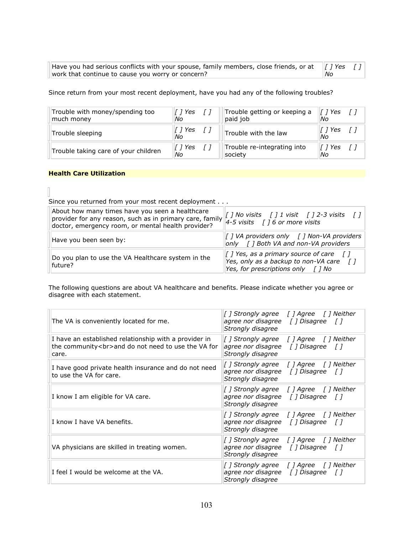| Have you had serious conflicts with your spouse, family members, close friends, or at $\ f\ $ Yes $\ f\ $ |    |  |
|-----------------------------------------------------------------------------------------------------------|----|--|
| work that continue to cause you worry or concern?                                                         | No |  |

Since return from your most recent deployment, have you had any of the following troubles?

| Trouble with money/spending too      | √ 1 Yes       | Trouble getting or keeping a | T 1 Yes       |
|--------------------------------------|---------------|------------------------------|---------------|
| much money                           | Νo            | paid job                     | Νo            |
| Trouble sleeping                     | T 1 Yes<br>Νo | Trouble with the law         | T 1 Yes<br>Νo |
| Trouble taking care of your children | T 1 Yes       | Trouble re-integrating into  | Yes           |
|                                      | Νo            | society                      | Νo            |

#### **Health Care Utilization**

 $\overline{\phantom{a}}$ 

Since you returned from your most recent deployment . . .

| About how many times have you seen a healthcare<br>provider for any reason, such as in primary care, family<br>doctor, emergency room, or mental health provider? | [] No visits [] $1$ visit [] 2-3 visits []<br>4-5 visits $\int$ 16 or more visits                                                                                       |
|-------------------------------------------------------------------------------------------------------------------------------------------------------------------|-------------------------------------------------------------------------------------------------------------------------------------------------------------------------|
| Have you been seen by:                                                                                                                                            | [ ] VA providers only [ ] Non-VA providers<br>only [] Both VA and non-VA providers                                                                                      |
| Do you plan to use the VA Healthcare system in the<br>future?                                                                                                     | $\vert$ [ ] Yes, as a primary source of care $\vert$ [ ]<br>Yes, only as a backup to non-VA care $\begin{bmatrix} 1 \end{bmatrix}$<br>Yes, for prescriptions only [] No |

The following questions are about VA healthcare and benefits. Please indicate whether you agree or disagree with each statement.

| The VA is conveniently located for me.                                                                               | [] Strongly agree [] Agree [] Neither<br>agree nor disagree [] Disagree []<br>Strongly disagree                 |
|----------------------------------------------------------------------------------------------------------------------|-----------------------------------------------------------------------------------------------------------------|
| I have an established relationship with a provider in<br>the community<br>and do not need to use the VA for<br>care. | [] Agree [] Neither<br>[] Strongly agree<br>agree nor disagree [] Disagree []<br>Strongly disagree              |
| I have good private health insurance and do not need<br>to use the VA for care.                                      | [] Agree [] Neither<br>[ ] Strongly agree<br>agree nor disagree $\int$ [ Disagree $\int$ ]<br>Strongly disagree |
| I know I am eligible for VA care.                                                                                    | [] Strongly agree<br>[] Agree [] Neither<br>agree nor disagree $\int$ [ Disagree $\int$ ]<br>Strongly disagree  |
| I know I have VA benefits.                                                                                           | [] Strongly agree [] Agree [] Neither<br>agree nor disagree $\int$ [ Disagree $\int$ ]<br>Strongly disagree     |
| VA physicians are skilled in treating women.                                                                         | [] Strongly agree<br>[] Agree [] Neither<br>agree nor disagree $\int$ [ Disagree $\int$ ]<br>Strongly disagree  |
| I feel I would be welcome at the VA.                                                                                 | [] Strongly agree [] Agree [] Neither<br>agree nor disagree [] Disagree []<br>Strongly disagree                 |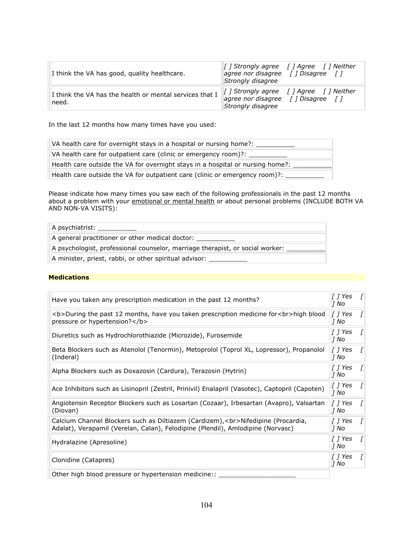| I think the VA has good, quality healthcare.                     | [] Strongly agree [] Agree [] Neither<br>agree nor disagree $\int$ [ Disagree $\int$ ]<br>Strongly disagree                                  |  |
|------------------------------------------------------------------|----------------------------------------------------------------------------------------------------------------------------------------------|--|
| I think the VA has the health or mental services that I<br>need. | $\  \cdot \ $ Strongly agree $\  \cdot \ $ Agree $\  \cdot \ $ Neither<br>agree nor disagree $\int$ [ Disagree $\int$ ]<br>Strongly disagree |  |

In the last 12 months how many times have you used:

| VA health care for overnight stays in a hospital or nursing home?:             |
|--------------------------------------------------------------------------------|
| VA health care for outpatient care (clinic or emergency room)?:                |
| Health care outside the VA for overnight stays in a hospital or nursing home?: |
| Health care outside the VA for outpatient care (clinic or emergency room)?:    |

Please indicate how many times you saw each of the following professionals in the past 12 months about a problem with your *emotional or mental health* or about personal problems (INCLUDE BOTH VA AND NON-VA VISITS):

| A psychiatrist:                                                               |
|-------------------------------------------------------------------------------|
| $\vert$ A general practitioner or other medical doctor: $\vert$               |
| A psychologist, professional counselor, marriage therapist, or social worker: |
| A minister, priest, rabbi, or other spiritual advisor:                        |

#### **Medications**

| Have you taken any prescription medication in the past 12 months?                                                                                                   | [ ] Yes<br>1 No   | $\prime$ |
|---------------------------------------------------------------------------------------------------------------------------------------------------------------------|-------------------|----------|
| <b>During the past 12 months, have you taken prescription medicine for<br/>high blood<br/>pressure or hypertension?</b>                                             | [ ] Yes<br> 1 No  |          |
| Diuretics such as Hydrochlorothiazide (Microzide), Furosemide                                                                                                       | T 1 Yes<br> 1 No  | $\prime$ |
| Beta Blockers such as Atenolol (Tenormin), Metoprolol (Toprol XL, Lopressor), Propanolol<br>(Inderal)                                                               | [ ] Yes<br> 1 No  | $\prime$ |
| Alpha Blockers such as Doxazosin (Cardura), Terazosin (Hytrin)                                                                                                      | [  ] Yes<br> 1 No |          |
| Ace Inhibitors such as Lisinopril (Zestril, Prinivil) Enalapril (Vasotec), Captopril (Capoten)                                                                      | [  ] Yes<br>1 No  |          |
| Angiotensin Receptor Blockers such as Losartan (Cozaar), Irbesartan (Avapro), Valsartan<br>(Diovan)                                                                 | 1 Yes<br> 1 No    |          |
| Calcium Channel Blockers such as Diltiazem (Cardizem),<br>Nifedipine (Procardia,<br>Adalat), Verapamil (Verelan, Calan), Felodipine (Plendil), Amlodipine (Norvasc) | [  ] Yes<br>17 No | T        |
| Hydralazine (Apresoline)                                                                                                                                            | [ ] Yes<br> 1 No  | $\prime$ |
| Clonidine (Catapres)                                                                                                                                                | [  ] Yes<br>17 No |          |
| Other high blood pressure or hypertension medicine::                                                                                                                |                   |          |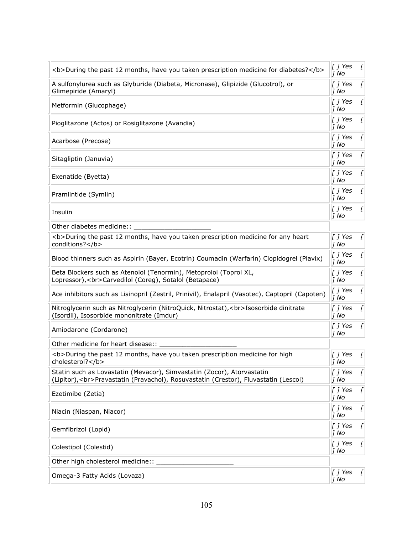| <b>During the past 12 months, have you taken prescription medicine for diabetes?</b>                                                                          | $\lfloor$ ] Yes<br>1 No        |   |
|---------------------------------------------------------------------------------------------------------------------------------------------------------------|--------------------------------|---|
| A sulfonylurea such as Glyburide (Diabeta, Micronase), Glipizide (Glucotrol), or<br>Glimepiride (Amaryl)                                                      | [ ] Yes<br>7 No                | L |
| Metformin (Glucophage)                                                                                                                                        | [ ] Yes<br>7 No                | L |
| Pioglitazone (Actos) or Rosiglitazone (Avandia)                                                                                                               | $\lfloor$ ] Yes<br>1 No        | L |
| Acarbose (Precose)                                                                                                                                            | [ ] Yes<br>7 No                | ſ |
| Sitagliptin (Januvia)                                                                                                                                         | [ ] Yes<br>1 No                |   |
| Exenatide (Byetta)                                                                                                                                            | [ ] Yes<br> 1 No               | L |
| Pramlintide (Symlin)                                                                                                                                          | [ ] Yes<br>$J$ No              | L |
| Insulin                                                                                                                                                       | $\lfloor$ ] Yes<br>7 No        | L |
| Other diabetes medicine::                                                                                                                                     |                                |   |
| <b>During the past 12 months, have you taken prescription medicine for any heart<br/>conditions?</b>                                                          | $\lfloor$ ] Yes<br>7 No        |   |
| Blood thinners such as Aspirin (Bayer, Ecotrin) Coumadin (Warfarin) Clopidogrel (Plavix)                                                                      | $[$ $]$ Yes<br>7 No            | L |
| Beta Blockers such as Atenolol (Tenormin), Metoprolol (Toprol XL,<br>Lopressor), < br>Carvedilol (Coreg), Sotalol (Betapace)                                  | $[$ $]$ Yes<br>1 No            | L |
| Ace inhibitors such as Lisinopril (Zestril, Prinivil), Enalapril (Vasotec), Captopril (Capoten)                                                               | $\lfloor$ ] Yes<br>7 No        | L |
| Nitroglycerin such as Nitroglycerin (NitroQuick, Nitrostat),<br>Isosorbide dinitrate<br>(Isordil), Isosorbide mononitrate (Imdur)                             | [ ] Yes<br>1 No                | L |
| Amiodarone (Cordarone)                                                                                                                                        | T 1 Yes<br>7 No                | L |
| Other medicine for heart disease::                                                                                                                            |                                |   |
| <b>During the past 12 months, have you taken prescription medicine for high<br/>cholesterol?</b>                                                              | $\lfloor$ ] Yes<br>1 No        | ſ |
| Statin such as Lovastatin (Mevacor), Simvastatin (Zocor), Atorvastatin<br>(Lipitor),<br>Pravastatin (Pravachol), Rosuvastatin (Crestor), Fluvastatin (Lescol) | $[$ $]$ Yes<br>7 No            | ſ |
| Ezetimibe (Zetia)                                                                                                                                             | $[$ $]$ Yes<br>1 No            | ſ |
| Niacin (Niaspan, Niacor)                                                                                                                                      | $\int$ <i>[ ] Yes</i><br> 1 No | ſ |
| Gemfibrizol (Lopid)                                                                                                                                           | $\lfloor$ ] Yes<br>1 No        | ſ |
| Colestipol (Colestid)                                                                                                                                         | $\lfloor$ ] Yes<br>7 No        | L |
| Other high cholesterol medicine::                                                                                                                             |                                |   |
| Omega-3 Fatty Acids (Lovaza)                                                                                                                                  | $\int$ <i>[ ] Yes</i><br>1 No  | ſ |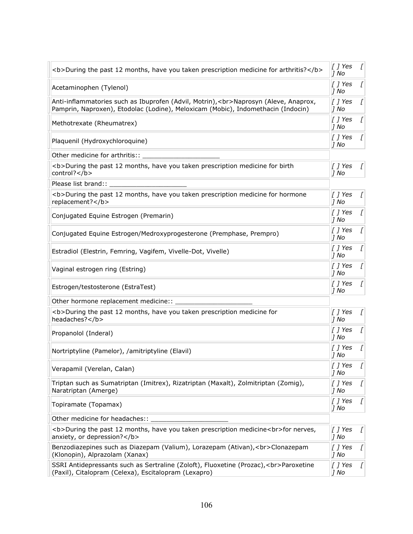| <b>During the past 12 months, have you taken prescription medicine for arthritis?</b>                                                                                   | $\lfloor$ ] Yes<br>7 No       |                  |
|-------------------------------------------------------------------------------------------------------------------------------------------------------------------------|-------------------------------|------------------|
| Acetaminophen (Tylenol)                                                                                                                                                 | [ ] Yes<br>7 No               | L                |
| Anti-inflammatories such as Ibuprofen (Advil, Motrin),<br>Naprosyn (Aleve, Anaprox,<br>Pamprin, Naproxen), Etodolac (Lodine), Meloxicam (Mobic), Indomethacin (Indocin) | $[$ $]$ Yes<br>7 No           | L                |
| Methotrexate (Rheumatrex)                                                                                                                                               | $\lfloor$ ] Yes<br>7 No       | L                |
| Plaquenil (Hydroxychloroquine)                                                                                                                                          | [ ] Yes<br>7 No               |                  |
| Other medicine for arthritis::                                                                                                                                          |                               |                  |
| <b>During the past 12 months, have you taken prescription medicine for birth<br/>control?</b>                                                                           | $[$ $]$ Yes<br>7 No           | L                |
| Please list brand::                                                                                                                                                     |                               |                  |
| <b>During the past 12 months, have you taken prescription medicine for hormone<br/>replacement?</b>                                                                     | [ ] Yes<br>7 No               | Γ                |
| Conjugated Equine Estrogen (Premarin)                                                                                                                                   | T 1 Yes<br>1 No               |                  |
| Conjugated Equine Estrogen/Medroxyprogesterone (Premphase, Prempro)                                                                                                     | [ ] Yes<br>7 No               | L                |
| Estradiol (Elestrin, Femring, Vagifem, Vivelle-Dot, Vivelle)                                                                                                            | $\int$ <i>[ ] Yes</i><br>1 No | L                |
| Vaginal estrogen ring (Estring)                                                                                                                                         | [ ] Yes<br> 1 No              |                  |
| Estrogen/testosterone (EstraTest)                                                                                                                                       | [ ] Yes<br>1 No               |                  |
| Other hormone replacement medicine::                                                                                                                                    |                               |                  |
| <b>During the past 12 months, have you taken prescription medicine for<br/>headaches?</b>                                                                               | $[$ $]$ Yes<br>7 No           | ſ                |
| Propanolol (Inderal)                                                                                                                                                    | $\lfloor$ ] Yes<br>7 No       |                  |
| Nortriptyline (Pamelor), /amitriptyline (Elavil)                                                                                                                        | [ ] Yes<br> 1 No              |                  |
| Verapamil (Verelan, Calan)                                                                                                                                              | [ ] Yes<br>1 No               | $\boldsymbol{I}$ |
| Triptan such as Sumatriptan (Imitrex), Rizatriptan (Maxalt), Zolmitriptan (Zomig),<br>Naratriptan (Amerge)                                                              | [ ] Yes<br> 1 No              | ſ                |
| Topiramate (Topamax)                                                                                                                                                    | $[$ $]$ Yes<br>1 No           |                  |
| Other medicine for headaches::                                                                                                                                          |                               |                  |
| <b>During the past 12 months, have you taken prescription medicine<br/>for nerves,<br/>anxiety, or depression?</b>                                                      | $[$ $]$ Yes<br>1 No           | L                |
| Benzodiazepines such as Diazepam (Valium), Lorazepam (Ativan),<br>> Clonazepam<br>(Klonopin), Alprazolam (Xanax)                                                        | [ ] Yes<br>7 No               | L                |
| SSRI Antidepressants such as Sertraline (Zoloft), Fluoxetine (Prozac),<br>Paroxetine<br>(Paxil), Citalopram (Celexa), Escitalopram (Lexapro)                            | $[$ $]$ Yes<br>$J$ No         | L                |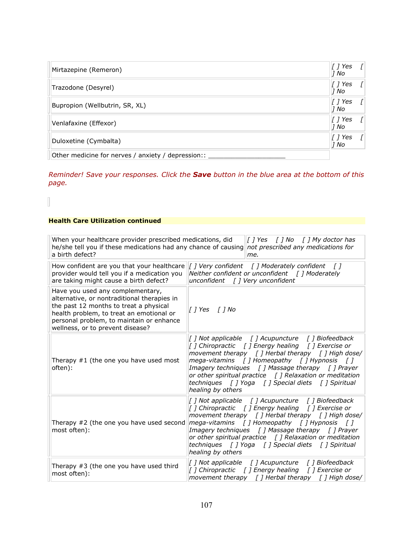| Mirtazepine (Remeron)                              | [ ] Yes<br>1 No             | T        |
|----------------------------------------------------|-----------------------------|----------|
| Trazodone (Desyrel)                                | [ ] Yes<br>1 No             | $\prime$ |
| Bupropion (Wellbutrin, SR, XL)                     | $\int$ <i>i</i> Yes<br>1 No |          |
| Venlafaxine (Effexor)                              | $\int$ / Yes<br>1 No        |          |
| Duloxetine (Cymbalta)                              | [ ] Yes<br>1 No             |          |
| Other medicine for nerves / anxiety / depression:: |                             |          |

*Reminder! Save your responses. Click the Save button in the blue area at the bottom of this page.*

# **Health Care Utilization continued**

 $\overline{\mathbb{I}}$ 

| When your healthcare provider prescribed medications, did<br>he/she tell you if these medications had any chance of causing<br>a birth defect?                                                                                                        | $\int$ <i>I</i> Yes $\int$ <i>I</i> No $\int$ <i>I</i> My doctor has<br>not prescribed any medications for<br>me.                                                                                                                                                                                                                                                                                                                 |
|-------------------------------------------------------------------------------------------------------------------------------------------------------------------------------------------------------------------------------------------------------|-----------------------------------------------------------------------------------------------------------------------------------------------------------------------------------------------------------------------------------------------------------------------------------------------------------------------------------------------------------------------------------------------------------------------------------|
| How confident are you that your healthcare<br>provider would tell you if a medication you<br>are taking might cause a birth defect?                                                                                                                   | [] Very confident [] Moderately confident []<br>Neither confident or unconfident $\int$ ] Moderately<br>unconfident $\int$ ] Very unconfident                                                                                                                                                                                                                                                                                     |
| Have you used any complementary,<br>alternative, or nontraditional therapies in<br>the past 12 months to treat a physical<br>health problem, to treat an emotional or<br>personal problem, to maintain or enhance<br>wellness, or to prevent disease? | [] Yes [] No                                                                                                                                                                                                                                                                                                                                                                                                                      |
| Therapy $#1$ (the one you have used most<br>often):                                                                                                                                                                                                   | [] Not applicable [] Acupuncture [] Biofeedback<br>[] Chiropractic [] Energy healing [] Exercise or<br>movement therapy $\int$ ] Herbal therapy $\int$ ] High dose/<br>mega-vitamins $\int$ Homeopathy $\int$ Hypnosis $\int$ T<br>Imagery techniques [ ] Massage therapy [ ] Prayer<br>or other spiritual practice $\int$ ] Relaxation or meditation<br>techniques [ ] Yoga [ ] Special diets [ ] Spiritual<br>healing by others |
| Therapy #2 (the one you have used second<br>most often):                                                                                                                                                                                              | [] Not applicable [] Acupuncture [] Biofeedback<br>[] Chiropractic [] Energy healing [] Exercise or<br>movement therapy $\int$ ] Herbal therapy $\int$ ] High dose/<br>mega-vitamins [] Homeopathy [] Hypnosis []<br>Imagery techniques [ ] Massage therapy [ ] Prayer<br>or other spiritual practice $\int$ ] Relaxation or meditation<br>techniques [] Yoga [] Special diets [] Spiritual<br>healing by others                  |
| Therapy $#3$ (the one you have used third<br>most often):                                                                                                                                                                                             | [] Not applicable [] Acupuncture [] Biofeedback<br>[] Chiropractic [] Energy healing [] Exercise or<br>movement therapy $\int$ ] Herbal therapy $\int$ ] High dose/                                                                                                                                                                                                                                                               |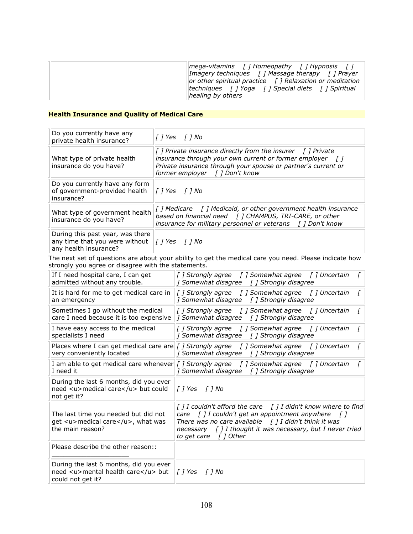## **Health Insurance and Quality of Medical Care**

| Do you currently have any<br>private health insurance?                                                             | []Yes []No                                                                                                                                                                                                                                             |
|--------------------------------------------------------------------------------------------------------------------|--------------------------------------------------------------------------------------------------------------------------------------------------------------------------------------------------------------------------------------------------------|
| What type of private health<br>insurance do you have?                                                              | [] Private insurance directly from the insurer [] Private<br>insurance through your own current or former employer $\begin{bmatrix} 1 \end{bmatrix}$<br>Private insurance through your spouse or partner's current or<br>former employer [] Don't know |
| Do you currently have any form<br>of government-provided health<br>insurance?                                      | $\parallel$ [ ] Yes [ ] No                                                                                                                                                                                                                             |
| What type of government health<br>insurance do you have?                                                           | based on financial need [] CHAMPUS, TRI-CARE, or other<br>insurance for military personnel or veterans [] Don't know                                                                                                                                   |
| During this past year, was there<br>any time that you were without $\ f\ $ Yes $\ f\ $ No<br>any health insurance? |                                                                                                                                                                                                                                                        |

The next set of questions are about your ability to get the medical care you need. Please indicate how strongly you agree or disagree with the statements.

| If I need hospital care, I can get<br>admitted without any trouble.                               | [ ] Strongly agree [ ] Somewhat agree [ ] Uncertain<br>] Somewhat disagree [ ] Strongly disagree                                                                                                                                                                                              |
|---------------------------------------------------------------------------------------------------|-----------------------------------------------------------------------------------------------------------------------------------------------------------------------------------------------------------------------------------------------------------------------------------------------|
| It is hard for me to get medical care in<br>an emergency                                          | [] Strongly agree [] Somewhat agree [] Uncertain<br>] Somewhat disagree [ ] Strongly disagree                                                                                                                                                                                                 |
| Sometimes I go without the medical<br>care I need because it is too expensive                     | $\int$ ] Strongly agree $\int$ ] Somewhat agree $\int$ ] Uncertain<br>[] Somewhat disagree [] Strongly disagree                                                                                                                                                                               |
| I have easy access to the medical<br>specialists I need                                           | [] Strongly agree [] Somewhat agree [] Uncertain<br>] Somewhat disagree [ ] Strongly disagree                                                                                                                                                                                                 |
| very conveniently located                                                                         | Places where I can get medical care are $\int$ <i>J Strongly agree <math>\int</math> J Somewhat agree <math>\int</math> J Uncertain</i><br> ] Somewhat disagree [] Strongly disagree                                                                                                          |
| I need it                                                                                         | I am able to get medical care whenever [ <i>] Strongly agree [] Somewhat agree [] Uncertain</i><br>] Somewhat disagree [ ] Strongly disagree                                                                                                                                                  |
| During the last 6 months, did you ever<br>need <u>medical care</u> but could<br>not get it?       | $\  \int \int Y$ es $\int \int N$ o                                                                                                                                                                                                                                                           |
| The last time you needed but did not<br>get <u>medical care</u> , what was<br>the main reason?    | $\int$ ] I couldn't afford the care $\int$ ] I didn't know where to find<br>care $[]$ I couldn't get an appointment anywhere $[]$<br>There was no care available $[]$ I didn't think it was<br>necessary $\int$ ] I thought it was necessary, but I never tried<br>to get care $\int$ ] Other |
| Please describe the other reason::                                                                |                                                                                                                                                                                                                                                                                               |
| During the last 6 months, did you ever<br>need <u>mental health care</u> but<br>could not get it? | $\parallel$ [ ] Yes [ ] No                                                                                                                                                                                                                                                                    |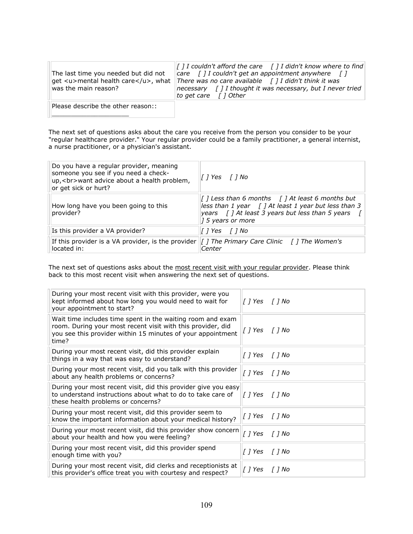| The last time you needed but did not<br>was the main reason? | $\  \int I$ couldn't afford the care $\  \int I$ didn't know where to find<br>care $\int$ ] I couldn't get an appointment anywhere $\int$ ]<br>get <u>mental health care</u> , what There was no care available [] I didn't think it was<br>$ necessary \mid  $ I thought it was necessary, but I never tried<br>to get care $\int$ 1 Other |
|--------------------------------------------------------------|---------------------------------------------------------------------------------------------------------------------------------------------------------------------------------------------------------------------------------------------------------------------------------------------------------------------------------------------|
| Please describe the other reason::                           |                                                                                                                                                                                                                                                                                                                                             |

The next set of questions asks about the care you receive from the person you consider to be your "regular healthcare provider." Your regular provider could be a family practitioner, a general internist, a nurse practitioner, or a physician's assistant.

\_\_\_\_\_\_\_\_\_\_\_\_\_\_\_\_\_\_\_\_!

| Do you have a regular provider, meaning<br>someone you see if you need a check-<br>up,<br>want advice about a health problem,<br>or get sick or hurt? | <i>[</i> ] Yes   <i>[</i> ] No                                                                                                                                                                                 |
|-------------------------------------------------------------------------------------------------------------------------------------------------------|----------------------------------------------------------------------------------------------------------------------------------------------------------------------------------------------------------------|
| How long have you been going to this<br>provider?                                                                                                     | $\left[\right]$ Less than 6 months $\left[\right]$ At least 6 months but<br>less than 1 year $\int$ ] At least 1 year but less than 3<br>years [] At least 3 years but less than 5 years<br>$15$ years or more |
| Is this provider a VA provider?                                                                                                                       | [ ] Yes  [ ] No                                                                                                                                                                                                |
| If this provider is a VA provider, is the provider<br>located in:                                                                                     | [] The Primary Care Clinic [] The Women's<br>Center                                                                                                                                                            |

The next set of questions asks about the most recent visit with your regular provider. Please think back to this most recent visit when answering the next set of questions.

| During your most recent visit with this provider, were you<br>kept informed about how long you would need to wait for<br>your appointment to start?                                               | [] Yes [] No                     |  |
|---------------------------------------------------------------------------------------------------------------------------------------------------------------------------------------------------|----------------------------------|--|
| Wait time includes time spent in the waiting room and exam<br>room. During your most recent visit with this provider, did<br>you see this provider within 15 minutes of your appointment<br>time? | [] Yes [] No                     |  |
| During your most recent visit, did this provider explain<br>things in a way that was easy to understand?                                                                                          | [] Yes [] No                     |  |
| During your most recent visit, did you talk with this provider<br>about any health problems or concerns?                                                                                          | [] Yes [] No                     |  |
| During your most recent visit, did this provider give you easy<br>to understand instructions about what to do to take care of<br>these health problems or concerns?                               | $\int$ <i>[</i> $\int$ <i>No</i> |  |
| During your most recent visit, did this provider seem to<br>know the important information about your medical history?                                                                            | [] Yes [] No                     |  |
| During your most recent visit, did this provider show concern<br>about your health and how you were feeling?                                                                                      | [] Yes [] No                     |  |
| During your most recent visit, did this provider spend<br>enough time with you?                                                                                                                   | [] Yes [] No                     |  |
| During your most recent visit, did clerks and receptionists at<br>this provider's office treat you with courtesy and respect?                                                                     | []Yes []No                       |  |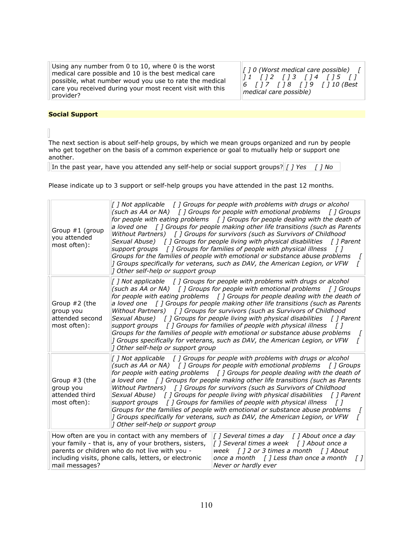Using any number from 0 to 10, where 0 is the worst medical care possible and 10 is the best medical care possible, what number woud you use to rate the medical care you received during your most recent visit with this provider?

*["]"0"(Worst"medical"care"possible)""" [" ]"1""" ["]"2""" ["]"3""" [ ]"4""" ["]"5""" ["]" 6""" ["]"7""" ["]"8""" ["]"9""" ["]"10"(Best"* medical care possible)

#### **Social Support**

The next section is about self-help groups, by which we mean groups organized and run by people who get together on the basis of a common experience or goal to mutually help or support one another.

In the past year, have you attended any self-help or social support groups? *["] Yes" ["] No* 

Please indicate up to 3 support or self-help groups you have attended in the past 12 months.

|                                                                                                                                                                                                                                        | Group #1 (group<br>you attended<br>most often):               | 1 Other self-help or support group | [] Not applicable [] Groups for people with problems with drugs or alcohol<br>(such as AA or NA) $\int$ ] Groups for people with emotional problems<br>[ ] Groups<br>for people with eating problems [] Groups for people dealing with the death of<br>a loved one $\int$ ] Groups for people making other life transitions (such as Parents<br>Without Partners) [] Groups for survivors (such as Survivors of Childhood<br>Sexual Abuse) [] Groups for people living with physical disabilities [] Parent<br>support groups $\int$ ] Groups for families of people with physical illness $\int$ ]<br>Groups for the families of people with emotional or substance abuse problems<br>] Groups specifically for veterans, such as DAV, the American Legion, or VFW<br>L    |
|----------------------------------------------------------------------------------------------------------------------------------------------------------------------------------------------------------------------------------------|---------------------------------------------------------------|------------------------------------|-----------------------------------------------------------------------------------------------------------------------------------------------------------------------------------------------------------------------------------------------------------------------------------------------------------------------------------------------------------------------------------------------------------------------------------------------------------------------------------------------------------------------------------------------------------------------------------------------------------------------------------------------------------------------------------------------------------------------------------------------------------------------------|
|                                                                                                                                                                                                                                        | Group #2 (the<br>group you<br>attended second<br>most often): | 1 Other self-help or support group | [] Not applicable [] Groups for people with problems with drugs or alcohol<br>(such as AA or NA) $\int$ ] Groups for people with emotional problems $\int$ ] Groups<br>for people with eating problems $\int$ ] Groups for people dealing with the death of<br>a loved one $\int$ ] Groups for people making other life transitions (such as Parents<br>Without Partners) [] Groups for survivors (such as Survivors of Childhood<br>Sexual Abuse) [] Groups for people living with physical disabilities [] Parent<br>support groups $\int$ ] Groups for families of people with physical illness $\int$ ]<br>Groups for the families of people with emotional or substance abuse problems<br>] Groups specifically for veterans, such as DAV, the American Legion, or VFW |
|                                                                                                                                                                                                                                        | Group #3 (the<br>group you<br>attended third<br>most often):  | 1 Other self-help or support group | [] Not applicable [] Groups for people with problems with drugs or alcohol<br>(such as AA or NA) $\int$ ] Groups for people with emotional problems $\int$ ] Groups<br>for people with eating problems [] Groups for people dealing with the death of<br>a loved one $\int$ ] Groups for people making other life transitions (such as Parents<br>Without Partners) [] Groups for survivors (such as Survivors of Childhood<br>Sexual Abuse) [] Groups for people living with physical disabilities [] Parent<br>support groups $\int$ ] Groups for families of people with physical illness $\int$ ]<br>Groups for the families of people with emotional or substance abuse problems<br>] Groups specifically for veterans, such as DAV, the American Legion, or VFW       |
| How often are you in contact with any members of<br>your family - that is, any of your brothers, sisters,<br>parents or children who do not live with you -<br>including visits, phone calls, letters, or electronic<br>mail messages? |                                                               |                                    | [] Several times a day [] About once a day<br>[] Several times a week [] About once a<br>week $\int$ ] 2 or 3 times a month $\int$ ] About<br>once a month $\int$ ] Less than once a month<br>$\sqrt{1}$<br>Never or hardly ever                                                                                                                                                                                                                                                                                                                                                                                                                                                                                                                                            |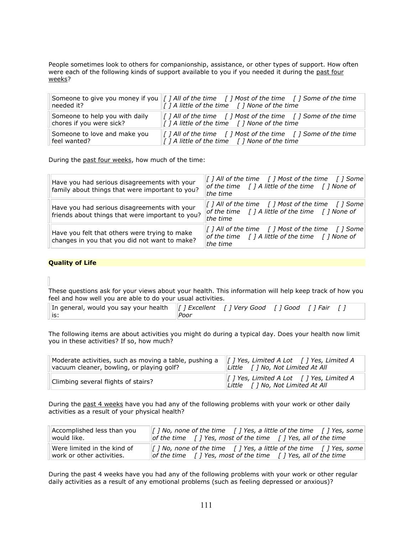People sometimes look to others for companionship, assistance, or other types of support. How often were each of the following kinds of support available to you if you needed it during the past four weeks?

| needed it?                     | Someone to give you money if you   [ ] All of the time [ ] Most of the time [ ] Some of the time<br>$\  \overline{f} \}$ A little of the time $\  \overline{f} \}$ None of the time |
|--------------------------------|-------------------------------------------------------------------------------------------------------------------------------------------------------------------------------------|
| Someone to help you with daily | $\  \cdot \ $ <i>all of the time</i> $\  \cdot \ $ <i>Most of the time</i> $\  \cdot \ $ <i>Some of the time</i>                                                                    |
| chores if you were sick?       | $\  \int$ <i>I</i> A little of the time $\  \int$ <i>I</i> None of the time                                                                                                         |
| Someone to love and make you   | $\ $ [] All of the time [] Most of the time [] Some of the time                                                                                                                     |
| feel wanted?                   | $\ $ [] A little of the time [] None of the time                                                                                                                                    |

During the past four weeks, how much of the time:

| Have you had serious disagreements with your<br>family about things that were important to you?  | $\left[\int \int A \text{II} \text{ of the time } \left[\int \int \text{Most of the time } \left[\int \int \text{Some}\right]\right]$<br>of the time $\int$ ] A little of the time $\int$ ] None of<br>the time |
|--------------------------------------------------------------------------------------------------|-----------------------------------------------------------------------------------------------------------------------------------------------------------------------------------------------------------------|
| Have you had serious disagreements with your<br>friends about things that were important to you? | [] All of the time [] Most of the time [] Some<br>of the time $\int$ ] A little of the time $\int$ ] None of<br>the time                                                                                        |
| Have you felt that others were trying to make<br>changes in you that you did not want to make?   | [ ] All of the time $\quad$ [ ] Most of the time $\quad$ [ ] Some<br>of the time $\int$ ] A little of the time $\int$ ] None of<br>the time                                                                     |

#### **Quality of Life**

These questions ask for your views about your health. This information will help keep track of how you feel and how well you are able to do your usual activities.

| In general, would you say your health $\ f\ $ Excellent [] Very Good [] Good [] Fair |      |  |  |  |
|--------------------------------------------------------------------------------------|------|--|--|--|
| .⊞is:                                                                                | Poor |  |  |  |

The following items are about activities you might do during a typical day. Does your health now limit you in these activities? If so, how much?

| Moderate activities, such as moving a table, pushing a $\ f\ $ Yes, Limited A Lot $\ f\ $ Yes, Limited A<br>vacuum cleaner, bowling, or playing golf? | Little [ ] No, Not Limited At All                                                          |
|-------------------------------------------------------------------------------------------------------------------------------------------------------|--------------------------------------------------------------------------------------------|
| Climbing several flights of stairs?                                                                                                                   | $\parallel$ [ ] Yes, Limited A Lot [ ] Yes, Limited A<br>Little [ ] No, Not Limited At All |

During the past 4 weeks have you had any of the following problems with your work or other daily activities as a result of your physical health?

| Accomplished less than you  | $\lceil$   No, none of the time $\lceil$   Yes, a little of the time $\lceil$   Yes, some                         |
|-----------------------------|-------------------------------------------------------------------------------------------------------------------|
| lwould like.                | of the time $\int$   Yes, most of the time $\int$   Yes, all of the time                                          |
| Were limited in the kind of | $\  \int$ <i>I</i> No, none of the time $\  \int$ <i>I</i> Yes, a little of the time $\  \int$ <i>I</i> Yes, some |
| work or other activities.   | of the time $\int$ ] Yes, most of the time $\int$ ] Yes, all of the time                                          |

During the past 4 weeks have you had any of the following problems with your work or other regular daily activities as a result of any emotional problems (such as feeling depressed or anxious)?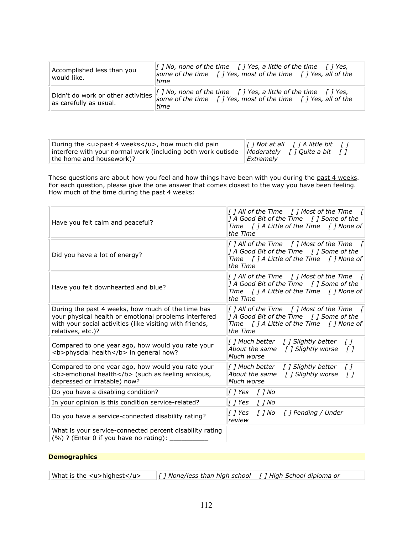| Accomplished less than you<br>would like. | [] No, none of the time $\int$ ] Yes, a little of the time $\int$ ] Yes,<br>some of the time $\int$ ] Yes, most of the time $\int$ ] Yes, all of the<br>time                              |
|-------------------------------------------|-------------------------------------------------------------------------------------------------------------------------------------------------------------------------------------------|
| as carefully as usual.                    | "Didn't do work or other activities $\ I\ $ No, none of the time [] Yes, a little of the time [] Yes,<br>some of the time $\int$ ] Yes, most of the time $\int$ ] Yes, all of the<br>time |

| During the $\langle u \rangle$ past 4 weeks $\langle u \rangle$ , how much did pain | $\  \cdot \ $ <i>I</i> Not at all $\  \cdot \ $ <i>I</i> A little bit $\  \cdot \ $ |
|-------------------------------------------------------------------------------------|-------------------------------------------------------------------------------------|
| interfere with your normal work (including both work outisde                        | $\parallel$ Moderately [] Quite a bit []                                            |
| the home and housework)?                                                            | Extremely                                                                           |

These questions are about how you feel and how things have been with you during the past 4 weeks. For each question, please give the one answer that comes closest to the way you have been feeling. How much of the time during the past 4 weeks:

| $\left[\right]$ ] All of the Time $\left[\right]$ Most of the Time $\left[\right]$<br>  A Good Bit of the Time [ ] Some of the<br>Time [ ] A Little of the Time [ ] None of<br>the Time |
|-----------------------------------------------------------------------------------------------------------------------------------------------------------------------------------------|
| [] All of the Time $\quad$ [ ] Most of the Time $\quad$ [<br>] A Good Bit of the Time [] Some of the<br>Time [ ] A Little of the Time [ ] None of<br>the Time                           |
| [ ] All of the Time $\quad$ [ ] Most of the Time $\quad$ [<br>[] A Good Bit of the Time [] Some of the<br>Time $\int$ ] A Little of the Time $\int$ ] None of<br>the Time               |
| $\int$ ] All of the Time $\int$ ] Most of the Time $\int$<br>[1 A Good Bit of the Time [1] Some of the<br>Time $\int$ ] A Little of the Time $\int$ ] None of<br>the Time               |
| [] Much better [] Slightly better<br>$\sqrt{1}$<br>About the same $\int$ ] Slightly worse<br>$\sqrt{ }$<br>Much worse                                                                   |
| [] Much better [] Slightly better<br>$\sqrt{1}$<br>About the same $\int$ ] Slightly worse<br>$\sqrt{ }$<br>Much worse                                                                   |
| [] Yes [] No                                                                                                                                                                            |
|                                                                                                                                                                                         |
| [ ] Yes<br>[] No [] Pending / Under<br>review                                                                                                                                           |
|                                                                                                                                                                                         |
|                                                                                                                                                                                         |

## **Demographics**

What is the <u>highest</u>  $\|$  *[ ] None/less than high school [ ] High School diploma or*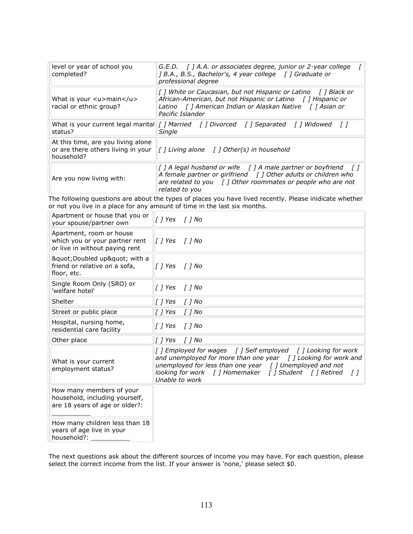| level or year of school you<br>completed?                                              | $G.E.D.$ [ ] A.A. or associates degree, junior or 2-year college<br>[ B.A., B.S., Bachelor's, 4 year college [ ] Graduate or<br>professional degree                                                                                     |  |
|----------------------------------------------------------------------------------------|-----------------------------------------------------------------------------------------------------------------------------------------------------------------------------------------------------------------------------------------|--|
| What is your $\langle u \rangle$ main $\langle u \rangle$<br>racial or ethnic group?   | [] White or Caucasian, but not Hispanic or Latino [] Black or<br>African-American, but not Hispanic or Latino [] Hispanic or<br>Latino [] American Indian or Alaskan Native [] Asian or<br>Pacific Islander                             |  |
| What is your current legal marital<br>status?                                          | [] Married   [] Divorced   [] Separated   [] Widowed   []<br>Single                                                                                                                                                                     |  |
| At this time, are you living alone<br>or are there others living in your<br>household? | $\int$ <i>l</i> Living alone $\int$ <i>l</i> Other(s) in household                                                                                                                                                                      |  |
| Are you now living with:                                                               | [] A legal husband or wife $\int$ ] A male partner or boyfriend $\int$ ]<br>A female partner or girlfriend $\int$ ] Other adults or children who<br>are related to you $\int$ ] Other roommates or people who are not<br>related to you |  |

The following questions are about the types of places you have lived recently. Please inidicate whether or not you live in a place for any amount of time in the last six months.

| Apartment or house that you or<br>your spouse/partner own                                    | [] Yes [] No                                                                                                                                                                                                                                                                                 |
|----------------------------------------------------------------------------------------------|----------------------------------------------------------------------------------------------------------------------------------------------------------------------------------------------------------------------------------------------------------------------------------------------|
| Apartment, room or house<br>which you or your partner rent<br>or live in without paying rent | $\left[\begin{array}{cc} 0 \end{array}\right]$ Yes $\left[\begin{array}{cc} 0 \end{array}\right]$ No                                                                                                                                                                                         |
| " Doubled up" with a<br>friend or relative on a sofa,<br>floor, etc.                         | 1 Yes<br>[ ] No                                                                                                                                                                                                                                                                              |
| Single Room Only (SRO) or<br>'welfare hotel'                                                 | $\int$ $\int$ $N\sigma$<br>   1 Yes                                                                                                                                                                                                                                                          |
| Shelter                                                                                      | $[$ $]$ Yes<br>$[]$ No                                                                                                                                                                                                                                                                       |
| Street or public place                                                                       | $[$ $]$ Yes<br>$[]$ No                                                                                                                                                                                                                                                                       |
| Hospital, nursing home,<br>residential care facility                                         | $[]$ No<br>   Yes                                                                                                                                                                                                                                                                            |
| Other place                                                                                  | 1 Yes<br>[ ] No                                                                                                                                                                                                                                                                              |
| What is your current<br>employment status?                                                   | [] Employed for wages [] Self employed [] Looking for work<br>and unemployed for more than one year $\int$ ] Looking for work and<br>unemployed for less than one year $\int$ ] Unemployed and not<br>looking for work [ ] Homemaker [ ] Student [ ] Retired<br>$\sqrt{ }$<br>Unable to work |
| How many members of your<br>household, including yourself,<br>are 18 years of age or older?: |                                                                                                                                                                                                                                                                                              |
| How many children less than 18<br>years of age live in your<br>household?:                   |                                                                                                                                                                                                                                                                                              |

The next questions ask about the different sources of income you may have. For each question, please select the correct income from the list. If your answer is 'none,' please select \$0.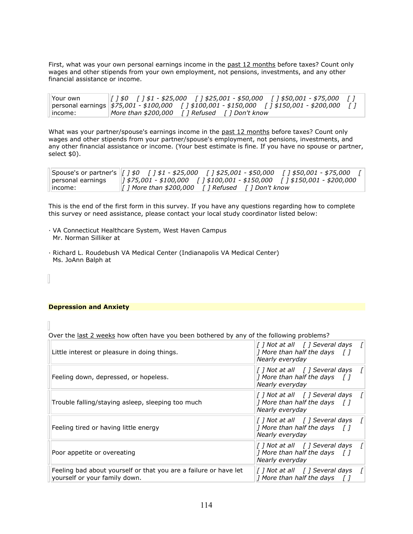First, what was your own personal earnings income in the past 12 months before taxes? Count only wages and other stipends from your own employment, not pensions, investments, and any other financial assistance or income.

| Your own |                                                                                                  |  |
|----------|--------------------------------------------------------------------------------------------------|--|
|          | personal earnings   \$75,001 - \$100,000   1 \$100,001 - \$150,000   1 \$150,001 - \$200,000   1 |  |
| lincome: | $\parallel$ More than \$200,000 $\parallel$ T Refused $\parallel$ T Don't know                   |  |

What was your partner/spouse's earnings income in the past 12 months before taxes? Count only wages and other stipends from your partner/spouse's employment, not pensions, investments, and any other financial assistance or income. (Your best estimate is fine. If you have no spouse or partner, select \$0).

| personal earnings | \$75,001 - \$100,000      \$100,001 - \$150,000      \$150,001 - \$200,000 |
|-------------------|----------------------------------------------------------------------------|
| income:           |                                                                            |

This is the end of the first form in this survey. If you have any questions regarding how to complete this survey or need assistance, please contact your local study coordinator listed below:

- ·!VA!Connecticut!Healthcare!System,!West!Haven!Campus Mr. Norman Silliker at
- · Richard L. Roudebush VA Medical Center (Indianapolis VA Medical Center) Ms. JoAnn Balph at

#### **Depression and Anxiety**

 $\overline{\phantom{a}}$ 

Over the last 2 weeks how often have you been bothered by any of the following problems?

| Little interest or pleasure in doing things.                                                      | [ ] Not at all [ ] Several days<br> ] More than half the days $\begin{bmatrix} 1 \end{bmatrix}$<br>Nearly everyday |
|---------------------------------------------------------------------------------------------------|--------------------------------------------------------------------------------------------------------------------|
| Feeling down, depressed, or hopeless.                                                             | [ ] Not at all [ ] Several days<br> ] More than half the days $\begin{bmatrix} 1 \end{bmatrix}$<br>Nearly everyday |
| Trouble falling/staying asleep, sleeping too much                                                 | [ ] Not at all [ ] Several days<br> ] More than half the days $\begin{bmatrix} 1 \end{bmatrix}$<br>Nearly everyday |
| Feeling tired or having little energy                                                             | [] Not at all [] Several days<br> ] More than half the days $\begin{bmatrix} 1 \end{bmatrix}$<br>Nearly everyday   |
| Poor appetite or overeating                                                                       | [ ] Not at all [ ] Several days<br> ] More than half the days $\begin{bmatrix} 1 \end{bmatrix}$<br>Nearly everyday |
| Feeling bad about yourself or that you are a failure or have let<br>yourself or your family down. | [ ] Not at all [ ] Several days<br> ] More than half the days $\begin{bmatrix} 1 \end{bmatrix}$                    |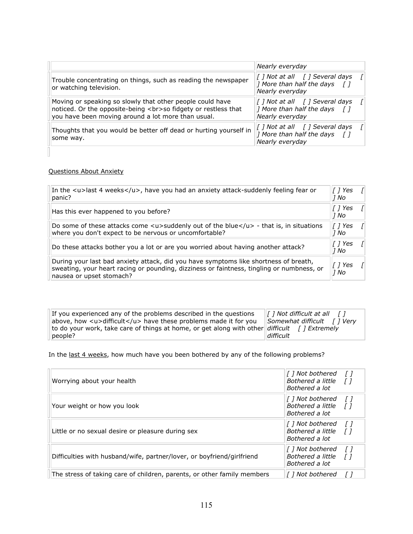|                                                                                                                                                                                  | Nearly everyday                                                                                                                                                          |
|----------------------------------------------------------------------------------------------------------------------------------------------------------------------------------|--------------------------------------------------------------------------------------------------------------------------------------------------------------------------|
| Trouble concentrating on things, such as reading the newspaper<br>or watching television.                                                                                        | $\left[\int \int N \circ t \, dt \, dl \right]$ [ ] Several days<br>] More than half the days []<br>Nearly everyday                                                      |
| Moving or speaking so slowly that other people could have<br>noticed. Or the opposite-being<br>so fidgety or restless that<br>you have been moving around a lot more than usual. | [] Not at all   [] Several days<br>] More than half the days []<br>Nearly everyday                                                                                       |
| Thoughts that you would be better off dead or hurting yourself in<br>some way.                                                                                                   | $\left[\begin{array}{cc} I \end{array}\right]$ Not at all $\left[\begin{array}{cc} I \end{array}\right]$ Several days<br>] More than half the days []<br>Nearly everyday |

## Questions About Anxiety

| In the $\langle u \rangle$ last 4 weeks $\langle u \rangle$ , have you had an anxiety attack-suddenly feeling fear or<br>panic?                                                                               | T 1 Yes<br>1 No     | $\sqrt{ }$ |
|---------------------------------------------------------------------------------------------------------------------------------------------------------------------------------------------------------------|---------------------|------------|
| Has this ever happened to you before?                                                                                                                                                                         | [ ] Yes<br>1 No     | $\sqrt{ }$ |
| Do some of these attacks come $\lt$ u>suddenly out of the blue $\lt$ /u> - that is, in situations<br>where you don't expect to be nervous or uncomfortable?                                                   | T 1 Yes<br>1 No     |            |
| Do these attacks bother you a lot or are you worried about having another attack?                                                                                                                             | [ ] Yes<br>1 No     |            |
| During your last bad anxiety attack, did you have symptoms like shortness of breath,<br>sweating, your heart racing or pounding, dizziness or faintness, tingling or numbness, or<br>nausea or upset stomach? | $[$ $]$ Yes<br>1 No |            |

| If you experienced any of the problems described in the questions                                  | $\parallel$ [ ] Not difficult at all<br><i>II</i> |
|----------------------------------------------------------------------------------------------------|---------------------------------------------------|
| above, how $\langle u \rangle$ difficult $\langle u \rangle$ have these problems made it for you   | $\Box$ Somewhat difficult [ ] Verv                |
| to do your work, take care of things at home, or get along with other difficult $\int$ [ Extremely |                                                   |
| people?                                                                                            | difficult                                         |

In the last 4 weeks, how much have you been bothered by any of the following problems?

| Worrying about your health                                              | [] Not bothered<br>Bothered a little<br>Bothered a lot   | $\left\lceil \right\rceil$<br>$\sqrt{ }$ |
|-------------------------------------------------------------------------|----------------------------------------------------------|------------------------------------------|
| Your weight or how you look                                             | [ ] Not bothered<br>Bothered a little<br>Bothered a lot  | T I<br>T 1                               |
| Little or no sexual desire or pleasure during sex                       | [  ] Not bothered<br>Bothered a little<br>Bothered a lot | - <i>11</i><br>$\sqrt{ }$                |
| Difficulties with husband/wife, partner/lover, or boyfriend/girlfriend  | [  ] Not bothered<br>Bothered a little<br>Bothered a lot | T 1<br>ГI                                |
| The stress of taking care of children, parents, or other family members | [] Not bothered                                          |                                          |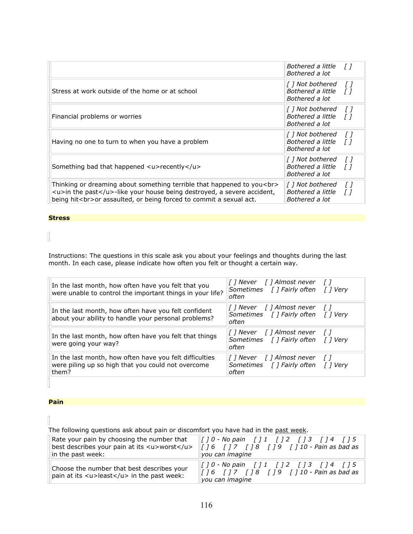|                                                                                                                                                                                                                         | Bothered a little<br>Bothered a lot                             | T 1          |
|-------------------------------------------------------------------------------------------------------------------------------------------------------------------------------------------------------------------------|-----------------------------------------------------------------|--------------|
| Stress at work outside of the home or at school                                                                                                                                                                         | [] Not bothered<br>Bothered a little<br>Bothered a lot          | T 1<br>ΓI    |
| Financial problems or worries                                                                                                                                                                                           | [] Not bothered<br>Bothered a little<br>Bothered a lot          | $\top$<br>ΓI |
| Having no one to turn to when you have a problem                                                                                                                                                                        | Bothered a little<br>Bothered a lot                             | T I<br>ΓI    |
| Something bad that happened <u>recently</u>                                                                                                                                                                             | [] Not bothered<br>Bothered a little<br>Bothered a lot          | T I<br>Г I   |
| Thinking or dreaming about something terrible that happened to you<br><br><u>in the past</u> -like your house being destroyed, a severe accident,<br>being hit<br>or assaulted, or being forced to commit a sexual act. | $\vert$ [ ] Not bothered<br>Bothered a little<br>Bothered a lot | ΓI           |

#### **Stress'**

 $\begin{bmatrix} 1 \\ 1 \end{bmatrix}$ 

Instructions: The questions in this scale ask you about your feelings and thoughts during the last month. In each case, please indicate how often you felt or thought a certain way.

| In the last month, how often have you felt that you<br>were unable to control the important things in your life?       | [] Never [] Almost never []<br>Sometimes [] Fairly often [] Very<br>often     |  |
|------------------------------------------------------------------------------------------------------------------------|-------------------------------------------------------------------------------|--|
| In the last month, how often have you felt confident<br>about your ability to handle your personal problems?           | [] Never   [] Almost never   []<br>Sometimes [] Fairly often [] Very<br>often |  |
| In the last month, how often have you felt that things<br>were going your way?                                         | [] Never [] Almost never []<br>Sometimes [] Fairly often [] Very<br>often     |  |
| In the last month, how often have you felt difficulties<br>were piling up so high that you could not overcome<br>them? | [] Never [] Almost never []<br>Sometimes [] Fairly often [] Very<br>often     |  |
|                                                                                                                        |                                                                               |  |

## **Pain**

The following questions ask about pain or discomfort you have had in the past week.

| Rate your pain by choosing the number that                                                                                | $\  f \, 10 - No$ pain [] 1 [] 2 [] 3 [] 4 [] 5                        |
|---------------------------------------------------------------------------------------------------------------------------|------------------------------------------------------------------------|
| best describes your pain at its <u>worst</u>                                                                              | [ ] 6 [ ] 7 [ ] 8 [ ] 9 [ ] 10 - Pain as bad as                        |
| in the past week:                                                                                                         | you can imagine                                                        |
| Choose the number that best describes your<br>pain at its $\langle u \rangle$ least $\langle u \rangle$ in the past week: | $\parallel$ [] 0 - No pain [] 1 [] 2 [] 3 [] 4 [] 5<br>you can imagine |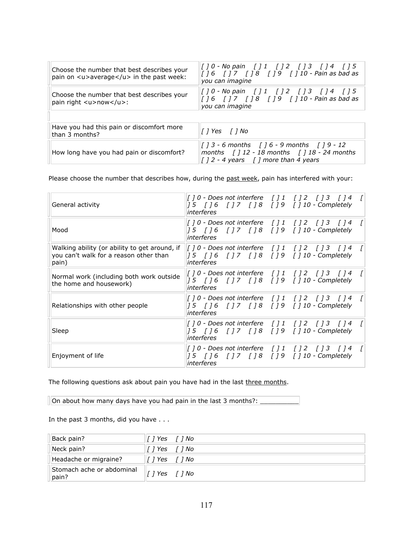| Choose the number that best describes your<br>pain on $\langle u \rangle$ average $\langle u \rangle$ in the past week: | [] 0 - No pain [] 1 [] 2 [] 3 [] 4 [] 5<br>[16 []7 []8 []9 []10 - Pain as bad as<br>you can imagine                                                                                                        |
|-------------------------------------------------------------------------------------------------------------------------|------------------------------------------------------------------------------------------------------------------------------------------------------------------------------------------------------------|
| Choose the number that best describes your<br>pain right <u>now</u> :                                                   | [] 0 - No pain [] 1 [] 2 [] 3 [] 4 [] 5<br>$[16 \t 17 \t 18 \t 19 \t 110 -$ Pain as bad as<br>vou can imagine                                                                                              |
|                                                                                                                         |                                                                                                                                                                                                            |
| Have you had this pain or discomfort more<br>than 3 months?                                                             |                                                                                                                                                                                                            |
| How long have you had pain or discomfort?                                                                               | $\begin{bmatrix} 1 & 3 & -6 & \text{months} \\ 1 & 6 & -9 & \text{months} \\ 1 & 1 & 9 & -12 \end{bmatrix}$<br>months $\int$ 12 - 18 months $\int$ 18 - 24 months<br>[ $12 - 4$ years [] more than 4 years |

Please choose the number that describes how, during the past week, pain has interfered with your:

| General activity                                                                                 | [] 0 - Does not interfere [] 1 [] 2 [] 3 [] 4 [<br>  15   16   17   18   19   110 - Completely<br>interferes                                                                                                                                                       |  |
|--------------------------------------------------------------------------------------------------|--------------------------------------------------------------------------------------------------------------------------------------------------------------------------------------------------------------------------------------------------------------------|--|
| Mood                                                                                             | [] 0 - Does not interfere [] 1 [] 2 [] 3 [] 4<br>[15 []6 []7 []8 []9 []10 - Completely<br>interferes                                                                                                                                                               |  |
| Walking ability (or ability to get around, if<br>you can't walk for a reason other than<br>pain) | $\left[ \begin{array}{cccc} 1 & 0 & -$ Does not interfere $\left[ \begin{array}{cccc} 1 & 1 \\ 1 & 2 \\ 1 & 3 \end{array} \right]$ $\left[ \begin{array}{cccc} 1 & 4 \\ 1 & 4 \\ 1 & 0 \end{array} \right]$<br>[15 []6 []7 []8 []9 []10 - Completely<br>interferes |  |
| Normal work (including both work outside<br>the home and housework)                              | 15   16   17   18   19   110 - Completely<br>interferes                                                                                                                                                                                                            |  |
| Relationships with other people                                                                  | [] 0 - Does not interfere [] 1 [] 2 [] 3 [] 4<br>  15   16   17   18   19   110 - Completely<br>interferes                                                                                                                                                         |  |
| Sleep                                                                                            | [] 0 - Does not interfere [] 1 [] 2 [] 3 [] 4 [<br>  15   16   17   18   19   110 - Completely<br>interferes                                                                                                                                                       |  |
| Enjoyment of life                                                                                | [] 0 - Does not interfere [] 1 [] 2 [] 3 [] 4<br>  15   16   17   18   19   110 - Completely<br>interferes                                                                                                                                                         |  |

The following questions ask about pain you have had in the last three months.

On about how many days have you had pain in the last 3 months?: \_\_\_\_\_\_\_\_\_\_\_\_\_\_\_\_

In the past 3 months, did you have ...

| Back pain?                         | [] Yes $[$ ] No                |
|------------------------------------|--------------------------------|
| Neck pain?                         | <i>[</i> ] Yes   <i>[</i> ] No |
| Headache or migraine?              | [ ] Yes    ] No                |
| Stomach ache or abdominal<br>pain? | $\ I\ $ Yes $\ I\ $ No         |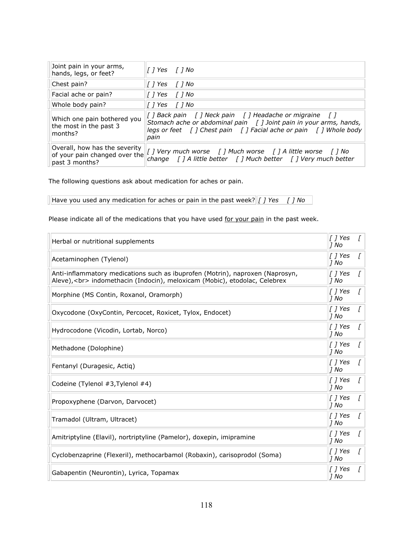| Joint pain in your arms,<br>hands, legs, or feet?                                |                                                                                                                                                                                                          |
|----------------------------------------------------------------------------------|----------------------------------------------------------------------------------------------------------------------------------------------------------------------------------------------------------|
| Chest pain?                                                                      |                                                                                                                                                                                                          |
| Facial ache or pain?                                                             |                                                                                                                                                                                                          |
| Whole body pain?                                                                 |                                                                                                                                                                                                          |
| Which one pain bothered you<br>the most in the past 3<br>months?                 | [ ] Back pain [ ] Neck pain [ ] Headache or migraine [ ]<br>Stomach ache or abdominal pain [] Joint pain in your arms, hands,<br>legs or feet [] Chest pain [] Facial ache or pain [] Whole body<br>pain |
| Overall, how has the severity<br>of your pain changed over the<br>past 3 months? | [ ] Very much worse [ ] Much worse [ ] A little worse [ ] No<br>change $\int$ ] A little better $\int$ ] Much better $\int$ ] Very much better                                                           |

The following questions ask about medication for aches or pain.

Have you used any medication for aches or pain in the past week?  $\boxed{I}$  Yes  $\boxed{I}$  No

Please indicate all of the medications that you have used for your pain in the past week.

| Herbal or nutritional supplements                                                                                                                         | $\int$ <i>[ ] Yes</i><br> 1 No  |              |
|-----------------------------------------------------------------------------------------------------------------------------------------------------------|---------------------------------|--------------|
| Acetaminophen (Tylenol)                                                                                                                                   | [ ] Yes<br> 1 No                | L            |
| Anti-inflammatory medications such as ibuprofen (Motrin), naproxen (Naprosyn,<br>Aleve),<br>indomethacin (Indocin), meloxicam (Mobic), etodolac, Celebrex | [ ] Yes<br> 1 No                | Г            |
| Morphine (MS Contin, Roxanol, Oramorph)                                                                                                                   | $\int$ <i>[ ] Yes</i><br> 1 No  | T            |
| Oxycodone (OxyContin, Percocet, Roxicet, Tylox, Endocet)                                                                                                  | [ ] Yes<br> 1 No                | <sup>[</sup> |
| Hydrocodone (Vicodin, Lortab, Norco)                                                                                                                      | $\int$ <i>[ ] Yes</i><br>$J$ No | Г            |
| Methadone (Dolophine)                                                                                                                                     | [ ] Yes<br> 1 No                | Г            |
| Fentanyl (Duragesic, Actiq)                                                                                                                               | [ ] Yes<br> 1 No                |              |
| Codeine (Tylenol #3, Tylenol #4)                                                                                                                          | T 1 Yes<br> 1 No                | Г            |
| Propoxyphene (Darvon, Darvocet)                                                                                                                           | [ ] Yes<br> 1 No                | ſ            |
| Tramadol (Ultram, Ultracet)                                                                                                                               | $\int$ <i>[ ] Yes</i><br> 1 No  | f.           |
| Amitriptyline (Elavil), nortriptyline (Pamelor), doxepin, imipramine                                                                                      | [ ] Yes<br> 1 No                | ſ            |
| Cyclobenzaprine (Flexeril), methocarbamol (Robaxin), carisoprodol (Soma)                                                                                  | [ ] Yes<br> 1 No                | Г            |
| Gabapentin (Neurontin), Lyrica, Topamax                                                                                                                   | $\int$ <i>[ ] Yes</i><br>17 No  | ſ            |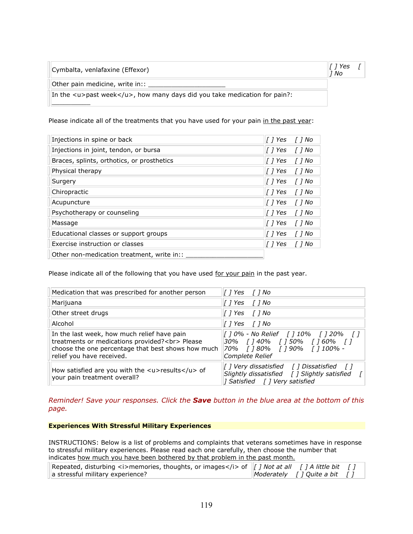| Cymbalta, venlafaxine (Effexor) | [ ] Yes |  |
|---------------------------------|---------|--|
|                                 | - יי    |  |

*]"No"""*

Other pain medicine, write in::  $\_$ 

 $\frac{1}{2}$  ,  $\frac{1}{2}$  ,  $\frac{1}{2}$  ,  $\frac{1}{2}$  ,  $\frac{1}{2}$ 

In the <u>past week</u>, how many days did you take medication for pain?:

Please indicate all of the treatments that you have used for your pain in the past year:

| Injections in spine or back                | $\int$ <i>[ ] Yes</i><br>[ ] No  |
|--------------------------------------------|----------------------------------|
| Injections in joint, tendon, or bursa      | [ ] Yes<br>[ ] No                |
| Braces, splints, orthotics, or prosthetics | [ ] Yes<br>$\int$ $\int$ No      |
| Physical therapy                           | $\int$ <i>[ Yes</i><br>[ ] No    |
| Surgery                                    | $\int$ / Yes<br>$\int$ $\int$ No |
| Chiropractic                               | [ ] Yes<br>$\int$ $\int$ No      |
| Acupuncture                                | l   Yes<br>T 1 No                |
| Psychotherapy or counseling                | T 1 Yes<br>[ ] No                |
| Massage                                    | T 1 Yes<br>$\int$ $\int$ No      |
| Educational classes or support groups      | $\int$ / Yes<br>T 1 No           |
| Exercise instruction or classes            | [ ] Yes<br>[ ] No                |
| Other non-medication treatment, write in:: |                                  |

Please indicate all of the following that you have used for your pain in the past year.

| Medication that was prescribed for another person                                                                                                                               | <i>  1 Yes</i>   <i>1 No</i>                                                                                               |
|---------------------------------------------------------------------------------------------------------------------------------------------------------------------------------|----------------------------------------------------------------------------------------------------------------------------|
| Marijuana                                                                                                                                                                       | [ˈ] Yes  [ˈ] No                                                                                                            |
| Other street drugs                                                                                                                                                              | [] Yes [] No                                                                                                               |
| Alcohol                                                                                                                                                                         | [] Yes [] No                                                                                                               |
| In the last week, how much relief have pain<br>treatments or medications provided?<br>Please<br>choose the one percentage that best shows how much<br>relief you have received. | [] 0% - No Relief [] 10% [] 20% []<br>30% [140% [150% [160% [1<br>70% [ ] 80% [ ] 90% [ ] 100% -<br>Complete Relief        |
| How satisfied are you with the $\langle u \rangle$ results $\langle u \rangle$ of<br>your pain treatment overall?                                                               | [] Very dissatisfied [] Dissatisfied []<br>Slightly dissatisfied [] Slightly satisfied [<br>  Satisfied     Very satisfied |

*Reminder! Save your responses. Click the Save button in the blue area at the bottom of this page.*

#### **Experiences With Stressful Military Experiences**

INSTRUCTIONS: Below is a list of problems and complaints that veterans sometimes have in response to stressful military experiences. Please read each one carefully, then choose the number that indicates how much you have been bothered by that problem in the past month.

| $\mathbb E\left\{X\right\}$ (listurbing $\lt$ i>memories, thoughts, or images $\lt$ /i> of $\mathbb E\left\{I\right\}$ / Not at all $\top$ / A little bit $\top$ / |                                             |  |
|--------------------------------------------------------------------------------------------------------------------------------------------------------------------|---------------------------------------------|--|
| a stressful military experience?                                                                                                                                   | $\blacksquare$ Moderately [] Quite a bit [] |  |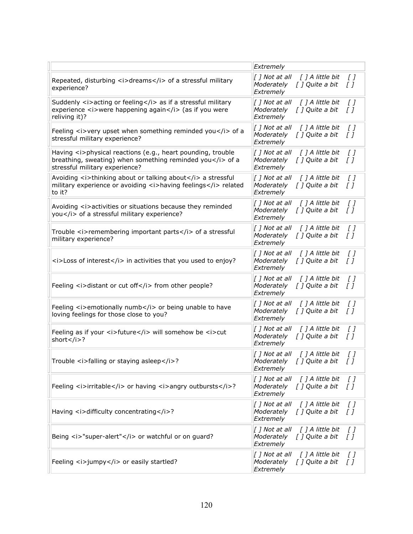|                                                                                                                                                                                    | Extremely                                                                                              |
|------------------------------------------------------------------------------------------------------------------------------------------------------------------------------------|--------------------------------------------------------------------------------------------------------|
| Repeated, disturbing <i>dreams</i> of a stressful military<br>experience?                                                                                                          | [ ] Not at all<br>[ ] A little bit<br>$\iota$<br>Moderately<br>[ ] Quite a bit<br>$\iota$<br>Extremely |
| Suddenly <i>acting or feeling</i> as if a stressful military<br>experience <i>were happening again</i> (as if you were<br>reliving it)?                                            | [ ] A little bit<br>[ ] Not at all<br>$\iota$<br>Moderately<br>[] Quite a bit<br>[]<br>Extremely       |
| Feeling <i>very upset when something reminded you</i> of a<br>stressful military experience?                                                                                       | [ ] Not at all<br>[ ] A little bit<br>$\iota$<br>Moderately<br>[ ] Quite a bit<br>[]<br>Extremely      |
| Having <i>physical reactions (e.g., heart pounding, trouble<br/>breathing, sweating) when something reminded you<math>\lt/</math>i&gt; of a<br/>stressful military experience?</i> | [ ] Not at all<br>[ ] A little bit<br>$\iota$<br>[ ] Quite a bit<br>$\iota$<br>Moderately<br>Extremely |
| Avoiding <i>thinking about or talking about</i> a stressful<br>military experience or avoiding <i>having feelings</i> related<br>to it?                                            | [ ] Not at all<br>[ ] A little bit<br>$\iota$<br>[ ] Quite a bit<br>$\iota$<br>Moderately<br>Extremely |
| Avoiding <i>activities or situations because they reminded<br/>you</i> of a stressful military experience?                                                                         | [ ] A little bit<br>[ ] Not at all<br>[ ]<br>Moderately<br>[ ] Quite a bit<br>$\iota$<br>Extremely     |
| Trouble <i>remembering important parts</i> of a stressful<br>military experience?                                                                                                  | [ ] A little bit<br>[ ] Not at all<br>$\iota$<br>[ ] Quite a bit<br>Moderately<br>$\iota$<br>Extremely |
| $\langle$ i>Loss of interest $\langle$ i> in activities that you used to enjoy?                                                                                                    | [ ] Not at all<br>[ ] A little bit<br>$\iota$<br>Moderately<br>[] Quite a bit<br>$\iota$<br>Extremely  |
| Feeling <i>distant or cut off</i> from other people?                                                                                                                               | [ ] Not at all<br>[ ] A little bit<br>$\iota$<br>[ ] Quite a bit<br>Moderately<br>[]<br>Extremely      |
| Feeling <i>emotionally numb</i> or being unable to have<br>loving feelings for those close to you?                                                                                 | [ ] Not at all<br>[ ] A little bit<br>$\iota$<br>Moderately<br>[ ] Quite a bit<br>[]<br>Extremely      |
| Feeling as if your <i>future</i> will somehow be <i>cut<br/>short</i> ?                                                                                                            | [ ] Not at all<br>[ ] A little bit<br>$\iota$<br>[ ] Quite a bit<br>Moderately<br>$\iota$<br>Extremely |
| Trouble <i>falling or staying asleep</i> ?                                                                                                                                         | [ ] Not at all<br>[ ] A little bit<br>[ ]<br>Moderately<br>[ ] Quite a bit<br>[ ]<br>Extremely         |
| Feeling <i>irritable</i> or having <i>angry outbursts</i> ?                                                                                                                        | [ ] Not at all<br>[ ] A little bit<br>$\iota$<br>[ ] Quite a bit<br>Moderately<br>$\iota$<br>Extremely |
| Having <i>difficulty concentrating</i> ?                                                                                                                                           | [ ] Not at all<br>[ ] A little bit<br>$\iota$<br>[ ] Quite a bit<br>Moderately<br>$\iota$<br>Extremely |
| Being <i>"super-alert"</i> or watchful or on guard?                                                                                                                                | [ ] A little bit<br>[ ] Not at all<br>[ ]<br>Moderately<br>[ ] Quite a bit<br>$\iota$<br>Extremely     |
| Feeling <i>jumpy</i> or easily startled?                                                                                                                                           | [ ] A little bit<br>[ ] Not at all<br>$\iota$<br>Moderately<br>[ ] Quite a bit<br>[]<br>Extremely      |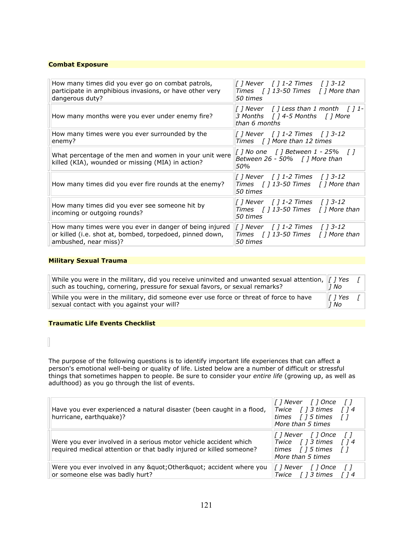#### **Combat Exposure**

| How many times did you ever go on combat patrols,<br>participate in amphibious invasions, or have other very<br>dangerous duty?              | [] Never   [] 1-2 Times   [] 3-12<br>Times $\int$ 13-50 Times $\int$ 1 More than<br>50 times         |
|----------------------------------------------------------------------------------------------------------------------------------------------|------------------------------------------------------------------------------------------------------|
| How many months were you ever under enemy fire?                                                                                              | [] Never $\int$ ] Less than 1 month $\int$ ] 1-<br>3 Months [ ] 4-5 Months [ ] More<br>than 6 months |
| How many times were you ever surrounded by the<br>enemy?                                                                                     | [ ] Never   [ ] 1-2 Times   [ ] 3-12<br>Times $\int$ ] More than 12 times                            |
| What percentage of the men and women in your unit were<br>killed (KIA), wounded or missing (MIA) in action?                                  | $[ ]$ No one $[ ]$ Between 1 - 25% $[ ]$<br>Between 26 - 50% $\int$ ] More than<br>50%               |
| How many times did you ever fire rounds at the enemy?                                                                                        | Times [] 13-50 Times [] More than<br>50 times                                                        |
| How many times did you ever see someone hit by<br>incoming or outgoing rounds?                                                               | [] Never [] 1-2 Times [] 3-12<br>Times $\int$ 13-50 Times $\int$ 1 More than<br>50 times             |
| How many times were you ever in danger of being injured<br>or killed (i.e. shot at, bombed, torpedoed, pinned down,<br>ambushed, near miss)? | [] Never [] 1-2 Times [] 3-12<br>Times [ ] 13-50 Times [ ] More than<br>50 times                     |

#### **Military Sexual Trauma**

| While you were in the military, did you receive uninvited and unwanted sexual attention, $\ f\ $ Yes<br>such as touching, cornering, pressure for sexual favors, or sexual remarks? | 1 No                |  |
|-------------------------------------------------------------------------------------------------------------------------------------------------------------------------------------|---------------------|--|
| While you were in the military, did someone ever use force or threat of force to have<br>sexual contact with you against your will?                                                 | $\ I\ $ Yes<br>1 No |  |

## **Traumatic Life Events Checklist**

The purpose of the following questions is to identify important life experiences that can affect a person's emotional well-being or quality of life. Listed below are a number of difficult or stressful! things that sometimes happen to people. Be sure to consider your *entire life* (growing up, as well as things that sometimes happen to people. Be sure to consider your *entire life* (growing up, as well as adulthood) as you go through the list of events.

| Have you ever experienced a natural disaster (been caught in a flood,<br>hurricane, earthquake)?                                        | 1 Never    1 Once    1<br>Twice $\int$ ] 3 times $\int$ ] 4<br>times $\int$ 15 times $\int$ 1<br>More than 5 times |
|-----------------------------------------------------------------------------------------------------------------------------------------|--------------------------------------------------------------------------------------------------------------------|
| Were you ever involved in a serious motor vehicle accident which<br>required medical attention or that badly injured or killed someone? | [1 Never   1 Once   1<br>Twice $\int$ 1 3 times $\int$ 1 4<br>times $\int$ 15 times $\int$ 1<br>More than 5 times  |
| Were you ever involved in any " Other" accident where you<br>or someone else was badly hurt?                                            | [] Never [] Once<br>$\sqrt{1}$<br>Twice $\int$ 13 times $\int$ 14                                                  |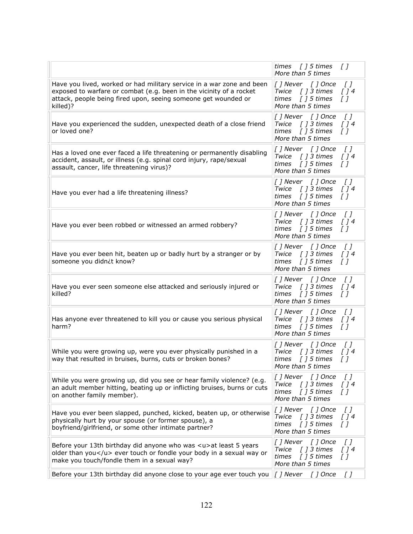|                                                                                                                                                                                                                            | times [] 5 times<br>$\iota$<br>More than 5 times                                                                                             |
|----------------------------------------------------------------------------------------------------------------------------------------------------------------------------------------------------------------------------|----------------------------------------------------------------------------------------------------------------------------------------------|
| Have you lived, worked or had military service in a war zone and been<br>exposed to warfare or combat (e.g. been in the vicinity of a rocket<br>attack, people being fired upon, seeing someone get wounded or<br>killed)? | [] Never [] Once<br>$\iota$<br>Twice [] 3 times<br>$\int$ ] 4<br>times $[ ] 5  times$<br>$\overline{I}$<br>More than 5 times                 |
| Have you experienced the sudden, unexpected death of a close friend<br>or loved one?                                                                                                                                       | [] Never [] Once<br>$\iota$<br>Twice [] 3 times<br>$\int$ ] 4<br>$[$ $]$ 5 times<br>$\iota$<br>times<br>More than 5 times                    |
| Has a loved one ever faced a life threatening or permanently disabling<br>accident, assault, or illness (e.g. spinal cord injury, rape/sexual<br>assault, cancer, life threatening virus)?                                 | [] Never [] Once<br>$\iota$<br>[ ] 3 times<br>Twice<br>$\int$ ] 4<br>[ ] 5 times<br>$\iota$<br>times<br>More than 5 times                    |
| Have you ever had a life threatening illness?                                                                                                                                                                              | [] Never [] Once<br>$\iota$<br>[ ] 3 times<br>Twice<br>[]4<br>[ ] 5 times<br>$\iota$<br>times<br>More than 5 times                           |
| Have you ever been robbed or witnessed an armed robbery?                                                                                                                                                                   | $\iota$<br>[] Never [] Once<br>Twice<br>[ ] 3 times<br>[]4<br>$[$ $]$ 5 times<br>times<br>$\iota$<br>More than 5 times                       |
| Have you ever been hit, beaten up or badly hurt by a stranger or by<br>someone you didn¿t know?                                                                                                                            | [] Never [] Once<br>$\iota$<br>Twice<br>[ ] 3 times<br>[]4<br>$[$ $]$ 5 times<br>times<br>$\iota$<br>More than 5 times                       |
| Have you ever seen someone else attacked and seriously injured or<br>killed?                                                                                                                                               | $\iota$<br>[] Never [] Once<br>Twice<br>[ ] 3 times<br>$\int$ ] 4<br>times<br>[ ] 5 times<br>$\iota$<br>More than 5 times                    |
| Has anyone ever threatened to kill you or cause you serious physical<br>harm?                                                                                                                                              | [] Never [] Once<br>$\iota$<br>[ ] 3 times<br>Twice<br>$\int$ ] 4<br>times<br>$[$ $]$ 5 times<br>$\iota$<br>More than 5 times                |
| While you were growing up, were you ever physically punished in a<br>way that resulted in bruises, burns, cuts or broken bones?                                                                                            | [] Never [] Once<br>$\iota$<br>[ ] 3 times<br>Twice<br>$\int$ ] 4<br>times<br>[ ] 5 times<br>Г1<br>More than 5 times                         |
| While you were growing up, did you see or hear family violence? (e.g.<br>an adult member hitting, beating up or inflicting bruises, burns or cuts<br>on another family member).                                            | [ ] Never<br>[ ] Once<br>$\sqrt{1}$<br>Twice<br>$[$ $]$ 3 times<br>$\int$ ] 4<br>times<br>$\int$ 15 times<br>$\sqrt{1}$<br>More than 5 times |
| Have you ever been slapped, punched, kicked, beaten up, or otherwise<br>physically hurt by your spouse (or former spouse), a<br>boyfriend/girlfriend, or some other intimate partner?                                      | [] Never [] Once<br>$\iota$<br>$[]$ 3 times<br>Twice<br>$\int$ ] 4<br>$[$ ] 5 times<br>times<br>$\sqrt{1}$<br>More than 5 times              |
| Before your 13th birthday did anyone who was <u>at least 5 years<br/>older than you</u> ever touch or fondle your body in a sexual way or<br>make you touch/fondle them in a sexual way?                                   | [] Never [] Once<br>$\iota$<br>$[]$ 3 times<br>$\int$ $\int$ 4<br>Twice<br>$[$ ] 5 times<br>times<br>T I<br>More than 5 times                |
| Before your 13th birthday did anyone close to your age ever touch you                                                                                                                                                      | $\left[\begin{array}{cc} 1 \end{array}\right]$ Never $\left[\begin{array}{cc} 1 \end{array}\right]$ Once<br>[ ]                              |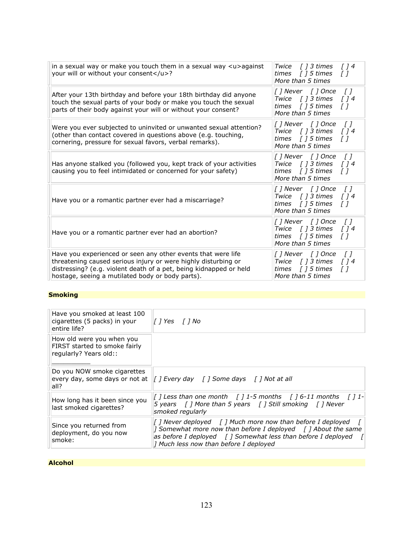| in a sexual way or make you touch them in a sexual way <u>against<br/><math>\int</math> <math>\int</math> 4<br/>Twice <math>\int</math> 1 3 times<br/>your will or without your consent</u> ?<br>∫ 1 5 times<br>times<br>$\sqrt{1}$<br>More than 5 times<br>[] Never [] Once<br>$\sqrt{1}$<br>After your 13th birthday and before your 18th birthday did anyone<br>Twice [] 3 times<br>$\int$ $\int$ 4<br>touch the sexual parts of your body or make you touch the sexual<br>times $\int$ 15 times<br>$\sqrt{1}$<br>parts of their body against your will or without your consent?<br>More than 5 times<br>[] Never [] Once<br>$\sqrt{1}$<br>Were you ever subjected to uninvited or unwanted sexual attention?<br>Twice $\int$ ] 3 times<br>$\int$ 14<br>(other than contact covered in questions above (e.g. touching,<br>times $[ ] 5  times$<br>T 1<br>cornering, pressure for sexual favors, verbal remarks).<br>More than 5 times<br>[] Never [] Once<br>$\sqrt{1}$<br>Twice $\int$ ] 3 times<br>Has anyone stalked you (followed you, kept track of your activities<br>$\int$ $\int$ 4<br>causing you to feel intimidated or concerned for your safety)<br>times $[ ] 5  times$<br>T I<br>More than 5 times<br>[] Never [] Once<br>$\iota$<br>Twice $\int$ ] 3 times<br>$\int$ $\int$ 4<br>Have you or a romantic partner ever had a miscarriage?<br>times $\int$ 15 times<br>ГI<br>More than 5 times<br>[] Never [] Once<br>$\sqrt{1}$<br>Twice [] 3 times<br>$\int$ $\int$ 4<br>Have you or a romantic partner ever had an abortion?<br>times $\int$ 15 times<br>$\sqrt{1}$<br>More than 5 times<br>Have you experienced or seen any other events that were life<br>[] Never [] Once<br>$\sqrt{1}$<br>threatening caused serious injury or were highly disturbing or<br>Twice [] 3 times<br>$\int$ 14<br>distressing? (e.g. violent death of a pet, being kidnapped or held<br>  15 times<br>times<br>ГI<br>hostage, seeing a mutilated body or body parts).<br>More than 5 times |  |  |
|---------------------------------------------------------------------------------------------------------------------------------------------------------------------------------------------------------------------------------------------------------------------------------------------------------------------------------------------------------------------------------------------------------------------------------------------------------------------------------------------------------------------------------------------------------------------------------------------------------------------------------------------------------------------------------------------------------------------------------------------------------------------------------------------------------------------------------------------------------------------------------------------------------------------------------------------------------------------------------------------------------------------------------------------------------------------------------------------------------------------------------------------------------------------------------------------------------------------------------------------------------------------------------------------------------------------------------------------------------------------------------------------------------------------------------------------------------------------------------------------------------------------------------------------------------------------------------------------------------------------------------------------------------------------------------------------------------------------------------------------------------------------------------------------------------------------------------------------------------------------------------------------------------------------------------------------------------------------------------------------|--|--|
|                                                                                                                                                                                                                                                                                                                                                                                                                                                                                                                                                                                                                                                                                                                                                                                                                                                                                                                                                                                                                                                                                                                                                                                                                                                                                                                                                                                                                                                                                                                                                                                                                                                                                                                                                                                                                                                                                                                                                                                             |  |  |
|                                                                                                                                                                                                                                                                                                                                                                                                                                                                                                                                                                                                                                                                                                                                                                                                                                                                                                                                                                                                                                                                                                                                                                                                                                                                                                                                                                                                                                                                                                                                                                                                                                                                                                                                                                                                                                                                                                                                                                                             |  |  |
|                                                                                                                                                                                                                                                                                                                                                                                                                                                                                                                                                                                                                                                                                                                                                                                                                                                                                                                                                                                                                                                                                                                                                                                                                                                                                                                                                                                                                                                                                                                                                                                                                                                                                                                                                                                                                                                                                                                                                                                             |  |  |
|                                                                                                                                                                                                                                                                                                                                                                                                                                                                                                                                                                                                                                                                                                                                                                                                                                                                                                                                                                                                                                                                                                                                                                                                                                                                                                                                                                                                                                                                                                                                                                                                                                                                                                                                                                                                                                                                                                                                                                                             |  |  |
|                                                                                                                                                                                                                                                                                                                                                                                                                                                                                                                                                                                                                                                                                                                                                                                                                                                                                                                                                                                                                                                                                                                                                                                                                                                                                                                                                                                                                                                                                                                                                                                                                                                                                                                                                                                                                                                                                                                                                                                             |  |  |
|                                                                                                                                                                                                                                                                                                                                                                                                                                                                                                                                                                                                                                                                                                                                                                                                                                                                                                                                                                                                                                                                                                                                                                                                                                                                                                                                                                                                                                                                                                                                                                                                                                                                                                                                                                                                                                                                                                                                                                                             |  |  |
|                                                                                                                                                                                                                                                                                                                                                                                                                                                                                                                                                                                                                                                                                                                                                                                                                                                                                                                                                                                                                                                                                                                                                                                                                                                                                                                                                                                                                                                                                                                                                                                                                                                                                                                                                                                                                                                                                                                                                                                             |  |  |

# **Smoking**

| Have you smoked at least 100<br>cigarettes (5 packs) in your<br>entire life?         | $\int$ <i>[</i> $\int$ <i>No</i>                                                                                                                                                                                                                                                            |
|--------------------------------------------------------------------------------------|---------------------------------------------------------------------------------------------------------------------------------------------------------------------------------------------------------------------------------------------------------------------------------------------|
| How old were you when you<br>FIRST started to smoke fairly<br>regularly? Years old:: |                                                                                                                                                                                                                                                                                             |
| Do you NOW smoke cigarettes<br>all?                                                  | every day, some days or not at    <i>  Every day</i>   <i>  Some days</i>   <i>  Not at all</i>                                                                                                                                                                                             |
| How long has it been since you<br>last smoked cigarettes?                            | [] Less than one month [] 1-5 months [] 6-11 months [] 1-<br>$\vert$ 5 years [] More than 5 years [] Still smoking [] Never<br>smoked regularly                                                                                                                                             |
| Since you returned from<br>deployment, do you now<br>smoke:                          | $\int$ ] Never deployed $\int$ ] Much more now than before I deployed<br><i>I</i> Somewhat more now than before I deployed $\int$ <i>I</i> About the same<br>as before I deployed $\int$ ] Somewhat less than before I deployed<br>$\overline{1}$<br>] Much less now than before I deployed |

### **Alcohol**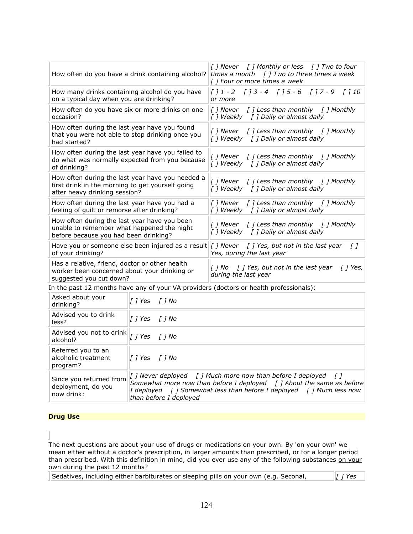| How often do you have a drink containing alcohol?                                                                                                | [] Never [] Monthly or less [] Two to four<br>times a month $\int$ J Two to three times a week<br>[ ] Four or more times a week                                                                              |
|--------------------------------------------------------------------------------------------------------------------------------------------------|--------------------------------------------------------------------------------------------------------------------------------------------------------------------------------------------------------------|
| How many drinks containing alcohol do you have<br>on a typical day when you are drinking?                                                        | $[ ] 1 - 2 [ ] 3 - 4 [ ] 5 - 6 [ ] 7 - 9 [ ] 10$<br>or more                                                                                                                                                  |
| How often do you have six or more drinks on one<br>occasion?                                                                                     | $\left[\begin{array}{cc}I\end{array}\right]$ Never $\left[\begin{array}{cc}I\end{array}\right]$ Less than monthly $\left[\begin{array}{cc}I\end{array}\right]$ Monthly<br>[] Weekly [] Daily or almost daily |
| How often during the last year have you found<br>that you were not able to stop drinking once you<br>had started?                                | [ ] Never [ ] Less than monthly [ ] Monthly<br>[] Weekly [] Daily or almost daily                                                                                                                            |
| How often during the last year have you failed to<br>do what was normally expected from you because<br>of drinking?                              | [] Never [] Less than monthly [] Monthly<br>[] Weekly [] Daily or almost daily                                                                                                                               |
| How often during the last year have you needed a<br>first drink in the morning to get yourself going<br>after heavy drinking session?            | [ ] Never [ ] Less than monthly [ ] Monthly<br>[] Weekly [] Daily or almost daily                                                                                                                            |
| How often during the last year have you had a<br>feeling of quilt or remorse after drinking?                                                     | [ ] Never $\begin{bmatrix}$ ] Less than monthly $\begin{bmatrix}$ ] Monthly<br>[ ] Weekly [ ] Daily or almost daily                                                                                          |
| How often during the last year have you been<br>unable to remember what happened the night<br>before because you had been drinking?              | [ ] Never $\begin{bmatrix}$ ] Less than monthly $\begin{bmatrix}$ ] Monthly<br>[ ] Weekly [ ] Daily or almost daily                                                                                          |
| Have you or someone else been injured as a result $ I $ <i>J Never <math> I </math> Yes, but not in the last year</i> $ I $<br>of your drinking? | Yes, during the last year                                                                                                                                                                                    |
| Has a relative, friend, doctor or other health<br>worker been concerned about your drinking or<br>suggested you cut down?                        | $\left[\begin{array}{cc} 1 & \text{No} \\ \end{array}\right]$ Yes, but not in the last year $\left[\begin{array}{cc} 1 & \text{Yes.} \\ \end{array}\right]$<br>during the last year                          |

In the past 12 months have any of your VA providers (doctors or health professionals):

| Asked about your<br>drinking?                               |                                                                                                                                                                                         |
|-------------------------------------------------------------|-----------------------------------------------------------------------------------------------------------------------------------------------------------------------------------------|
| Advised you to drink<br>less?                               |                                                                                                                                                                                         |
| Advised you not to drink $\ f\ $ / Yes [ ] No<br>alcohol?   |                                                                                                                                                                                         |
| Referred you to an<br>alcoholic treatment<br>program?       |                                                                                                                                                                                         |
| Since you returned from<br>deployment, do you<br>now drink: | Somewhat more now than before I deployed $\int$ ] About the same as before<br>I deployed $\int$ ] Somewhat less than before I deployed $\int$ ] Much less now<br>than before I deployed |

#### **Drug'Use**

 $\overline{a}$ 

The next questions are about your use of drugs or medications on your own. By 'on your own' we mean either without a doctor's prescription, in larger amounts than prescribed, or for a longer period than prescribed. With this definition in mind, did you ever use any of the following substances on your own during the past 12 months?

| $\lfloor \int$ <i>Yes</i><br>Sedatives, including either barbiturates or sleeping pills on your own (e.g. Seconal, |  |
|--------------------------------------------------------------------------------------------------------------------|--|
|--------------------------------------------------------------------------------------------------------------------|--|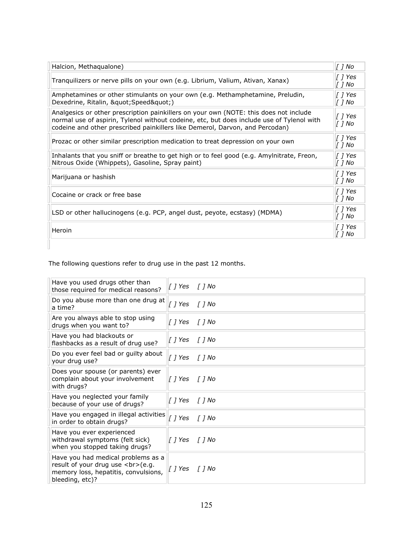| Halcion, Methaqualone)                                                                                                                                                                                                                                             | $[]$ No                       |
|--------------------------------------------------------------------------------------------------------------------------------------------------------------------------------------------------------------------------------------------------------------------|-------------------------------|
| Tranquilizers or nerve pills on your own (e.g. Librium, Valium, Ativan, Xanax)                                                                                                                                                                                     | [ ] Yes<br>[ ] No             |
| Amphetamines or other stimulants on your own (e.g. Methamphetamine, Preludin,<br>Dexedrine, Ritalin, " Speed")                                                                                                                                                     | $\int$ <i>[ Yes</i><br>[ ] No |
| Analgesics or other prescription painkillers on your own (NOTE: this does not include<br>normal use of aspirin, Tylenol without codeine, etc, but does include use of Tylenol with<br>codeine and other prescribed painkillers like Demerol, Darvon, and Percodan) | [ ] Yes<br>[ ] No             |
| Prozac or other similar prescription medication to treat depression on your own                                                                                                                                                                                    | $\int$ <i>[ Yes</i><br>[ ] No |
| Inhalants that you sniff or breathe to get high or to feel good (e.g. Amylnitrate, Freon,<br>Nitrous Oxide (Whippets), Gasoline, Spray paint)                                                                                                                      | [ ] Yes<br>[ ] No             |
| Marijuana or hashish                                                                                                                                                                                                                                               | $\int$ <i>[ Yes</i><br>[ ] No |
| Cocaine or crack or free base                                                                                                                                                                                                                                      | $\int$ <i>[ Yes</i><br>[ ] No |
| LSD or other hallucinogens (e.g. PCP, angel dust, peyote, ecstasy) (MDMA)                                                                                                                                                                                          | [ ] Yes<br>$[$ $]$ No         |
| Heroin                                                                                                                                                                                                                                                             | $[]$ Yes<br>[ ] No            |
|                                                                                                                                                                                                                                                                    |                               |

The following questions refer to drug use in the past 12 months.

| Have you used drugs other than<br>those required for medical reasons?                                                             |              |        |
|-----------------------------------------------------------------------------------------------------------------------------------|--------------|--------|
| Do you abuse more than one drug at<br>a time?                                                                                     | []Yes []No   |        |
| Are you always able to stop using<br>drugs when you want to?                                                                      | [] Yes [] No |        |
| Have you had blackouts or<br>flashbacks as a result of drug use?                                                                  | [ ] Yes      | [ ] No |
| Do you ever feel bad or guilty about<br>your drug use?                                                                            | [] Yes [] No |        |
| Does your spouse (or parents) ever<br>complain about your involvement<br>with drugs?                                              |              |        |
| Have you neglected your family<br>because of your use of drugs?                                                                   | [] Yes [] No |        |
| Have you engaged in illegal activities<br>in order to obtain drugs?                                                               | [] Yes [] No |        |
| Have you ever experienced<br>withdrawal symptoms (felt sick)<br>when you stopped taking drugs?                                    |              |        |
| Have you had medical problems as a<br>result of your drug use<br>(e.g.<br>memory loss, hepatitis, convulsions,<br>bleeding, etc)? |              |        |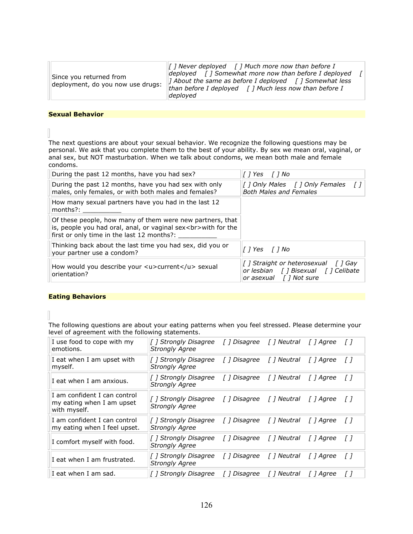| Since you returned from<br>deployment, do you now use drugs: | $\ f\ $ Never deployed $\ f\ $ Much more now than before I<br>deployed $\int$ ] Somewhat more now than before I deployed<br><i>I</i> About the same as before I deployed $\int$ <i>I</i> Somewhat less<br>than before I deployed $\int$ ] Much less now than before I |  |
|--------------------------------------------------------------|-----------------------------------------------------------------------------------------------------------------------------------------------------------------------------------------------------------------------------------------------------------------------|--|
|                                                              | deployed                                                                                                                                                                                                                                                              |  |

#### **Sexual Behavior**

The next questions are about your sexual behavior. We recognize the following questions may be personal. We ask that you complete them to the best of your ability. By sex we mean oral, vaginal, or anal sex, but NOT masturbation. When we talk about condoms, we mean both male and female condoms.

| During the past 12 months, have you had sex?                                                                                                                                 | []Yes []No                                                                                               |
|------------------------------------------------------------------------------------------------------------------------------------------------------------------------------|----------------------------------------------------------------------------------------------------------|
| During the past 12 months, have you had sex with only<br>males, only females, or with both males and females?                                                                | [ ] Only Males [ ] Only Females<br><b>Both Males and Females</b>                                         |
| How many sexual partners have you had in the last 12<br>$l$ months?:                                                                                                         |                                                                                                          |
| Of these people, how many of them were new partners, that<br>is, people you had oral, anal, or vaginal sex<br>with for the<br>first or only time in the last 12 months?: ___ |                                                                                                          |
| Thinking back about the last time you had sex, did you or<br>your partner use a condom?                                                                                      | <i>Il</i> Yes <i>Il</i> No                                                                               |
| How would you describe your <u>current</u> sexual<br>orientation?                                                                                                            | [] Straight or heterosexual<br>T 1 Gay<br>or lesbian [ ] Bisexual [ ] Celibate<br>or asexual [] Not sure |

#### **Eating Behaviors**

The following questions are about your eating patterns when you feel stressed. Please determine your level of agreement with the following statements.

| I use food to cope with my<br>emotions.                                   | [] Strongly Disagree [] Disagree [] Neutral [] Agree<br><b>Strongly Agree</b>     |  |          | $\top$     |
|---------------------------------------------------------------------------|-----------------------------------------------------------------------------------|--|----------|------------|
| I eat when I am upset with<br>myself.                                     | [] Strongly Disagree [] Disagree [] Neutral [] Agree<br><b>Strongly Agree</b>     |  |          | $\int$     |
| I eat when I am anxious.                                                  | [] Strongly Disagree [] Disagree [] Neutral<br><b>Strongly Agree</b>              |  | [] Agree | T I        |
| I am confident I can control<br>my eating when I am upset<br>with myself. | [] Strongly Disagree [] Disagree [] Neutral [] Agree []<br><b>Strongly Agree</b>  |  |          |            |
| I am confident I can control<br>my eating when I feel upset.              | [ ] Strongly Disagree [ ] Disagree [ ] Neutral [ ] Agree<br><b>Strongly Agree</b> |  |          | <i>II</i>  |
| I comfort myself with food.                                               | [] Strongly Disagree [] Disagree [] Neutral<br><b>Strongly Agree</b>              |  | [] Agree | $\sqrt{ }$ |
| I eat when I am frustrated.                                               | [] Strongly Disagree [] Disagree [] Neutral [] Agree<br><b>Strongly Agree</b>     |  |          | - F 1      |
| I eat when I am sad.                                                      | [ ] Strongly Disagree    [ ] Disagree     [ ] Neutral     [ ] Agree               |  |          | ΓI         |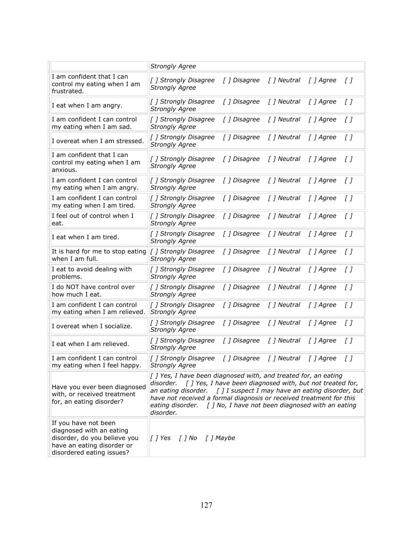|                                                                                                                                             | <b>Strongly Agree</b>                                                                                                                                                                                                                                                                                                               |                                                          |             |           |         |
|---------------------------------------------------------------------------------------------------------------------------------------------|-------------------------------------------------------------------------------------------------------------------------------------------------------------------------------------------------------------------------------------------------------------------------------------------------------------------------------------|----------------------------------------------------------|-------------|-----------|---------|
| I am confident that I can<br>control my eating when I am<br>frustrated.                                                                     | [] Strongly Disagree<br><b>Strongly Agree</b>                                                                                                                                                                                                                                                                                       | [ ] Disagree                                             | [ ] Neutral | [ ] Agree | $\iota$ |
| I eat when I am angry.                                                                                                                      | [ ] Strongly Disagree<br><b>Strongly Agree</b>                                                                                                                                                                                                                                                                                      | [] Disagree                                              | [ ] Neutral | [ ] Agree | $\iota$ |
| I am confident I can control<br>my eating when I am sad.                                                                                    | [] Strongly Disagree<br><b>Strongly Agree</b>                                                                                                                                                                                                                                                                                       | [ ] Disagree                                             | [ ] Neutral | [ ] Agree | $\iota$ |
| I overeat when I am stressed.                                                                                                               | [ ] Strongly Disagree<br><b>Strongly Agree</b>                                                                                                                                                                                                                                                                                      | [ ] Disagree                                             | [ ] Neutral | [ ] Agree | $\iota$ |
| I am confident that I can<br>control my eating when I am<br>anxious.                                                                        | [] Strongly Disagree<br><b>Strongly Agree</b>                                                                                                                                                                                                                                                                                       | [ ] Disagree                                             | [ ] Neutral | [ ] Agree | $\iota$ |
| I am confident I can control<br>my eating when I am angry.                                                                                  | [ ] Strongly Disagree<br><b>Strongly Agree</b>                                                                                                                                                                                                                                                                                      | [] Disagree                                              | [ ] Neutral | [ ] Agree | $\iota$ |
| I am confident I can control<br>my eating when I am tired.                                                                                  | [] Strongly Disagree<br><b>Strongly Agree</b>                                                                                                                                                                                                                                                                                       | [ ] Disagree                                             | [ ] Neutral | [ ] Agree | $\iota$ |
| I feel out of control when I<br>eat.                                                                                                        | [ ] Strongly Disagree<br><b>Strongly Agree</b>                                                                                                                                                                                                                                                                                      | [ ] Disagree                                             | [ ] Neutral | [ ] Agree | $\iota$ |
| I eat when I am tired.                                                                                                                      | [ ] Strongly Disagree<br><b>Strongly Agree</b>                                                                                                                                                                                                                                                                                      | [ ] Disagree                                             | [ ] Neutral | [ ] Agree | $\iota$ |
| It is hard for me to stop eating<br>when I am full.                                                                                         | [ ] Strongly Disagree<br><b>Strongly Agree</b>                                                                                                                                                                                                                                                                                      | [ ] Disagree                                             | [ ] Neutral | [ ] Agree | $\iota$ |
| I eat to avoid dealing with<br>problems.                                                                                                    | [] Strongly Disagree<br><b>Strongly Agree</b>                                                                                                                                                                                                                                                                                       | [ ] Disagree                                             | [] Neutral  | [ ] Agree | $\iota$ |
| I do NOT have control over<br>how much I eat.                                                                                               | [] Strongly Disagree<br><b>Strongly Agree</b>                                                                                                                                                                                                                                                                                       | [ ] Disagree                                             | [ ] Neutral | [ ] Agree | $\iota$ |
| I am confident I can control<br>my eating when I am relieved.                                                                               | [] Strongly Disagree<br><b>Strongly Agree</b>                                                                                                                                                                                                                                                                                       | [ ] Disagree                                             | [ ] Neutral | [ ] Agree | $\iota$ |
| I overeat when I socialize.                                                                                                                 | [] Strongly Disagree<br><b>Strongly Agree</b>                                                                                                                                                                                                                                                                                       | [ ] Disagree                                             | [ ] Neutral | [ ] Agree | $\iota$ |
| I eat when I am relieved.                                                                                                                   | [] Strongly Disagree<br><b>Strongly Agree</b>                                                                                                                                                                                                                                                                                       | [ ] Disagree                                             | [ ] Neutral | [ ] Agree | [ ]     |
| I am confident I can control<br>my eating when I feel happy.                                                                                | [] Strongly Disagree<br><b>Strongly Agree</b>                                                                                                                                                                                                                                                                                       | [] Disagree                                              | [ ] Neutral | [ ] Agree | [ ]     |
| Have you ever been diagnosed<br>with, or received treatment<br>for, an eating disorder?                                                     | $\left[\right]$ Yes, I have been diagnosed with, and treated for, an eating<br>disorder.<br>an eating disorder. $\int$ ] I suspect I may have an eating disorder, but<br>have not received a formal diagnosis or received treatment for this<br>eating disorder. $\int$ J No, I have not been diagnosed with an eating<br>disorder. | [] Yes, I have been diagnosed with, but not treated for, |             |           |         |
| If you have not been<br>diagnosed with an eating<br>disorder, do you believe you<br>have an eating disorder or<br>disordered eating issues? | [] No [] Maybe<br>[ ] Yes                                                                                                                                                                                                                                                                                                           |                                                          |             |           |         |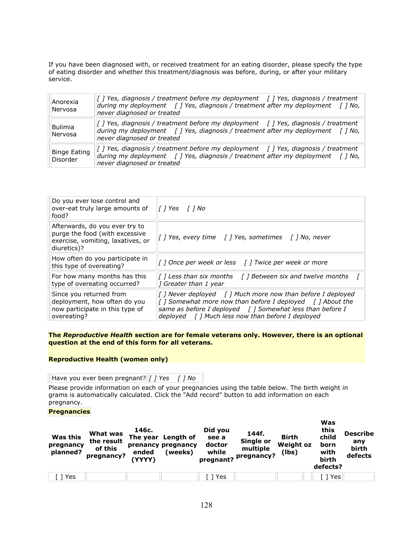If you have been diagnosed with, or received treatment for an eating disorder, please specify the type of eating disorder and whether this treatment/diagnosis was before, during, or after your military service.

| Anorexia<br>Nervosa      | [] Yes, diagnosis / treatment before my deployment [] Yes, diagnosis / treatment<br>during my deployment $\int$   Yes, diagnosis / treatment after my deployment $\int$   No,<br>never diagnosed or treated   |
|--------------------------|---------------------------------------------------------------------------------------------------------------------------------------------------------------------------------------------------------------|
| Bulimia<br>Nervosa       | [] Yes, diagnosis / treatment before my deployment [] Yes, diagnosis / treatment<br>during my deployment [ ] Yes, diagnosis / treatment after my deployment [ ] No,<br>never diagnosed or treated             |
| Binge Eating<br>Disorder | $\int$ ] Yes, diagnosis / treatment before my deployment $\int$ ] Yes, diagnosis / treatment<br>during my deployment [ ] Yes, diagnosis / treatment after my deployment [ ] No,<br>never diagnosed or treated |

| Do you ever lose control and<br>over-eat truly large amounts of<br>food?                                             | <i>[</i> ] Yes   <i>[</i> ] No                                                                                                                                                                                                          |
|----------------------------------------------------------------------------------------------------------------------|-----------------------------------------------------------------------------------------------------------------------------------------------------------------------------------------------------------------------------------------|
| Afterwards, do you ever try to<br>purge the food (with excessive<br>exercise, vomiting, laxatives, or<br>diuretics)? | [] Yes, every time [] Yes, sometimes [] No, never                                                                                                                                                                                       |
| How often do you participate in<br>this type of overeating?                                                          | [] Once per week or less [] Twice per week or more                                                                                                                                                                                      |
| For how many months has this<br>type of overeating occurred?                                                         | $\int$ ] Less than six months $\int$ ] Between six and twelve months<br>1 Greater than 1 year                                                                                                                                           |
| Since you returned from<br>deployment, how often do you<br>now participate in this type of<br>overeating?            | [ ] Never deployed [ ] Much more now than before I deployed<br>[] Somewhat more now than before I deployed [] About the<br>same as before I deployed [] Somewhat less than before I<br>deployed [] Much less now than before I deployed |

#### The *Reproductive Health* section are for female veterans only. However, there is an optional **question at the end of this form for all veterans.**

#### **Reproductive Health (women only)**

Have you ever been pregnant? *[] Yes [] No* 

Please provide information on each of your pregnancies using the table below. The birth weight in grams is automatically calculated. Click the "Add record" button to add information on each pregnancy.

#### **Pregnancies'**

| <b>Was this</b><br>pregnancy<br>planned? | What was<br>the result<br>of this<br>pregnancy? | 146с.<br>The year<br>ended<br>(YYYY) | Length of<br>prenancy pregnancy<br>(weeks) | Did you<br>see a<br>doctor<br>while | 144f.<br>Single or<br>multiple<br>pregnant? Pregnancy? | <b>Birth</b><br><b>Weight oz</b><br>(lbs) | Was<br>this<br>child<br>born<br>with<br>birth<br>defects? | <b>Describe</b><br>anv<br>birth<br>defects |
|------------------------------------------|-------------------------------------------------|--------------------------------------|--------------------------------------------|-------------------------------------|--------------------------------------------------------|-------------------------------------------|-----------------------------------------------------------|--------------------------------------------|
| Yes                                      |                                                 |                                      |                                            | Yes                                 |                                                        |                                           | Yes                                                       |                                            |